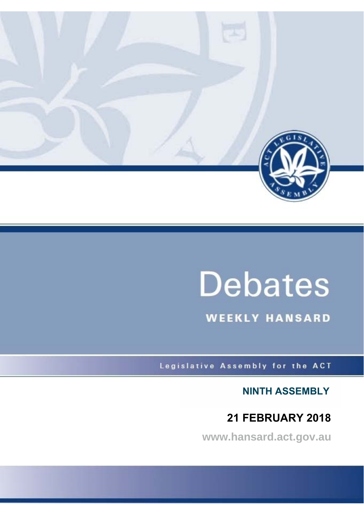

# **Debates**

**WEEKLY HANSARD** 

Legislative Assembly for the ACT

**NINTH ASSEMBLY**

## **21 FEBRUARY 2018**

**www.hansard.act.gov.au**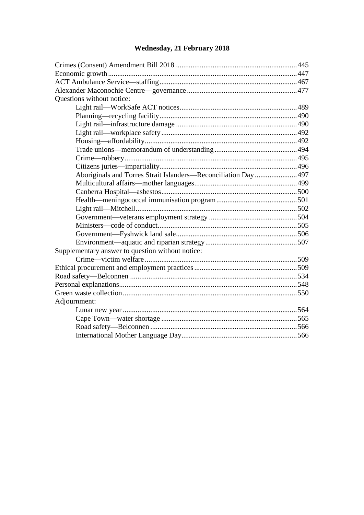## **[Wednesday, 21 February 2018](#page-2-0)**

| Questions without notice:                                       |  |  |
|-----------------------------------------------------------------|--|--|
|                                                                 |  |  |
|                                                                 |  |  |
|                                                                 |  |  |
|                                                                 |  |  |
|                                                                 |  |  |
|                                                                 |  |  |
|                                                                 |  |  |
|                                                                 |  |  |
| Aboriginals and Torres Strait Islanders-Reconciliation Day  497 |  |  |
|                                                                 |  |  |
|                                                                 |  |  |
|                                                                 |  |  |
|                                                                 |  |  |
|                                                                 |  |  |
|                                                                 |  |  |
|                                                                 |  |  |
|                                                                 |  |  |
| Supplementary answer to question without notice:                |  |  |
|                                                                 |  |  |
|                                                                 |  |  |
|                                                                 |  |  |
|                                                                 |  |  |
|                                                                 |  |  |
| Adjournment:                                                    |  |  |
|                                                                 |  |  |
|                                                                 |  |  |
|                                                                 |  |  |
|                                                                 |  |  |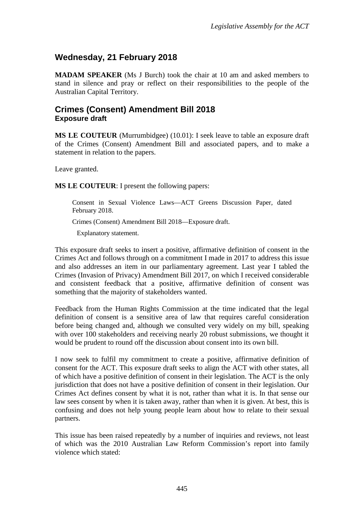#### <span id="page-2-0"></span>**Wednesday, 21 February 2018**

**MADAM SPEAKER** (Ms J Burch) took the chair at 10 am and asked members to stand in silence and pray or reflect on their responsibilities to the people of the Australian Capital Territory.

#### <span id="page-2-1"></span>**Crimes (Consent) Amendment Bill 2018 Exposure draft**

**MS LE COUTEUR** (Murrumbidgee) (10.01): I seek leave to table an exposure draft of the Crimes (Consent) Amendment Bill and associated papers, and to make a statement in relation to the papers.

Leave granted.

**MS LE COUTEUR**: I present the following papers:

Consent in Sexual Violence Laws—ACT Greens Discussion Paper, dated February 2018.

Crimes (Consent) Amendment Bill 2018—Exposure draft.

Explanatory statement.

This exposure draft seeks to insert a positive, affirmative definition of consent in the Crimes Act and follows through on a commitment I made in 2017 to address this issue and also addresses an item in our parliamentary agreement. Last year I tabled the Crimes (Invasion of Privacy) Amendment Bill 2017, on which I received considerable and consistent feedback that a positive, affirmative definition of consent was something that the majority of stakeholders wanted.

Feedback from the Human Rights Commission at the time indicated that the legal definition of consent is a sensitive area of law that requires careful consideration before being changed and, although we consulted very widely on my bill, speaking with over 100 stakeholders and receiving nearly 20 robust submissions, we thought it would be prudent to round off the discussion about consent into its own bill.

I now seek to fulfil my commitment to create a positive, affirmative definition of consent for the ACT. This exposure draft seeks to align the ACT with other states, all of which have a positive definition of consent in their legislation. The ACT is the only jurisdiction that does not have a positive definition of consent in their legislation. Our Crimes Act defines consent by what it is not, rather than what it is. In that sense our law sees consent by when it is taken away, rather than when it is given. At best, this is confusing and does not help young people learn about how to relate to their sexual partners.

This issue has been raised repeatedly by a number of inquiries and reviews, not least of which was the 2010 Australian Law Reform Commission's report into family violence which stated: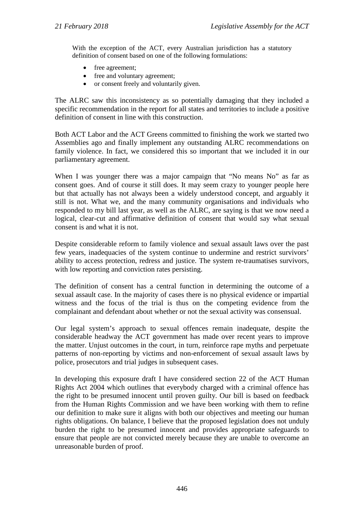With the exception of the ACT, every Australian jurisdiction has a statutory definition of consent based on one of the following formulations:

- free agreement;
- free and voluntary agreement;
- or consent freely and voluntarily given.

The ALRC saw this inconsistency as so potentially damaging that they included a specific recommendation in the report for all states and territories to include a positive definition of consent in line with this construction.

Both ACT Labor and the ACT Greens committed to finishing the work we started two Assemblies ago and finally implement any outstanding ALRC recommendations on family violence. In fact, we considered this so important that we included it in our parliamentary agreement.

When I was younger there was a major campaign that "No means No" as far as consent goes. And of course it still does. It may seem crazy to younger people here but that actually has not always been a widely understood concept, and arguably it still is not. What we, and the many community organisations and individuals who responded to my bill last year, as well as the ALRC, are saying is that we now need a logical, clear-cut and affirmative definition of consent that would say what sexual consent is and what it is not.

Despite considerable reform to family violence and sexual assault laws over the past few years, inadequacies of the system continue to undermine and restrict survivors' ability to access protection, redress and justice. The system re-traumatises survivors, with low reporting and conviction rates persisting.

The definition of consent has a central function in determining the outcome of a sexual assault case. In the majority of cases there is no physical evidence or impartial witness and the focus of the trial is thus on the competing evidence from the complainant and defendant about whether or not the sexual activity was consensual.

Our legal system's approach to sexual offences remain inadequate, despite the considerable headway the ACT government has made over recent years to improve the matter. Unjust outcomes in the court, in turn, reinforce rape myths and perpetuate patterns of non-reporting by victims and non-enforcement of sexual assault laws by police, prosecutors and trial judges in subsequent cases.

In developing this exposure draft I have considered section 22 of the ACT Human Rights Act 2004 which outlines that everybody charged with a criminal offence has the right to be presumed innocent until proven guilty. Our bill is based on feedback from the Human Rights Commission and we have been working with them to refine our definition to make sure it aligns with both our objectives and meeting our human rights obligations. On balance, I believe that the proposed legislation does not unduly burden the right to be presumed innocent and provides appropriate safeguards to ensure that people are not convicted merely because they are unable to overcome an unreasonable burden of proof.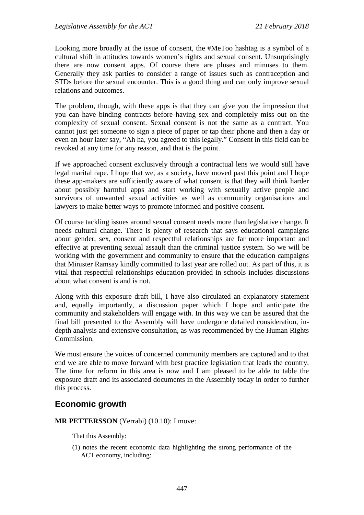Looking more broadly at the issue of consent, the #MeToo hashtag is a symbol of a cultural shift in attitudes towards women's rights and sexual consent. Unsurprisingly there are now consent apps. Of course there are pluses and minuses to them. Generally they ask parties to consider a range of issues such as contraception and STDs before the sexual encounter. This is a good thing and can only improve sexual relations and outcomes.

The problem, though, with these apps is that they can give you the impression that you can have binding contracts before having sex and completely miss out on the complexity of sexual consent. Sexual consent is not the same as a contract. You cannot just get someone to sign a piece of paper or tap their phone and then a day or even an hour later say, "Ah ha, you agreed to this legally." Consent in this field can be revoked at any time for any reason, and that is the point.

If we approached consent exclusively through a contractual lens we would still have legal marital rape. I hope that we, as a society, have moved past this point and I hope these app-makers are sufficiently aware of what consent is that they will think harder about possibly harmful apps and start working with sexually active people and survivors of unwanted sexual activities as well as community organisations and lawyers to make better ways to promote informed and positive consent.

Of course tackling issues around sexual consent needs more than legislative change. It needs cultural change. There is plenty of research that says educational campaigns about gender, sex, consent and respectful relationships are far more important and effective at preventing sexual assault than the criminal justice system. So we will be working with the government and community to ensure that the education campaigns that Minister Ramsay kindly committed to last year are rolled out. As part of this, it is vital that respectful relationships education provided in schools includes discussions about what consent is and is not.

Along with this exposure draft bill, I have also circulated an explanatory statement and, equally importantly, a discussion paper which I hope and anticipate the community and stakeholders will engage with. In this way we can be assured that the final bill presented to the Assembly will have undergone detailed consideration, indepth analysis and extensive consultation, as was recommended by the Human Rights Commission.

We must ensure the voices of concerned community members are captured and to that end we are able to move forward with best practice legislation that leads the country. The time for reform in this area is now and I am pleased to be able to table the exposure draft and its associated documents in the Assembly today in order to further this process.

### <span id="page-4-0"></span>**Economic growth**

**MR PETTERSSON** (Yerrabi) (10.10): I move:

That this Assembly:

(1) notes the recent economic data highlighting the strong performance of the ACT economy, including: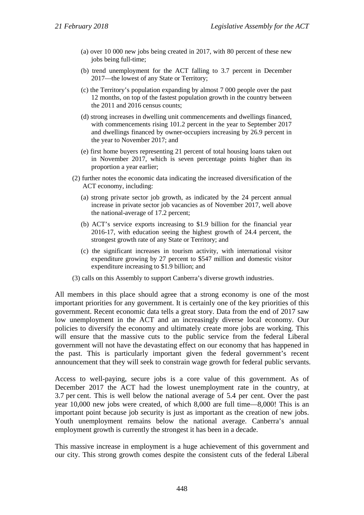- (a) over 10 000 new jobs being created in 2017, with 80 percent of these new jobs being full-time;
- (b) trend unemployment for the ACT falling to 3.7 percent in December 2017—the lowest of any State or Territory;
- (c) the Territory's population expanding by almost 7 000 people over the past 12 months, on top of the fastest population growth in the country between the 2011 and 2016 census counts;
- (d) strong increases in dwelling unit commencements and dwellings financed, with commencements rising 101.2 percent in the year to September 2017 and dwellings financed by owner-occupiers increasing by 26.9 percent in the year to November 2017; and
- (e) first home buyers representing 21 percent of total housing loans taken out in November 2017, which is seven percentage points higher than its proportion a year earlier;
- (2) further notes the economic data indicating the increased diversification of the ACT economy, including:
	- (a) strong private sector job growth, as indicated by the 24 percent annual increase in private sector job vacancies as of November 2017, well above the national-average of 17.2 percent;
	- (b) ACT's service exports increasing to \$1.9 billion for the financial year 2016-17, with education seeing the highest growth of 24.4 percent, the strongest growth rate of any State or Territory; and
	- (c) the significant increases in tourism activity, with international visitor expenditure growing by 27 percent to \$547 million and domestic visitor expenditure increasing to \$1.9 billion; and
- (3) calls on this Assembly to support Canberra's diverse growth industries.

All members in this place should agree that a strong economy is one of the most important priorities for any government. It is certainly one of the key priorities of this government. Recent economic data tells a great story. Data from the end of 2017 saw low unemployment in the ACT and an increasingly diverse local economy. Our policies to diversify the economy and ultimately create more jobs are working. This will ensure that the massive cuts to the public service from the federal Liberal government will not have the devastating effect on our economy that has happened in the past. This is particularly important given the federal government's recent announcement that they will seek to constrain wage growth for federal public servants.

Access to well-paying, secure jobs is a core value of this government. As of December 2017 the ACT had the lowest unemployment rate in the country, at 3.7 per cent. This is well below the national average of 5.4 per cent. Over the past year 10,000 new jobs were created, of which 8,000 are full time—8,000! This is an important point because job security is just as important as the creation of new jobs. Youth unemployment remains below the national average. Canberra's annual employment growth is currently the strongest it has been in a decade.

This massive increase in employment is a huge achievement of this government and our city. This strong growth comes despite the consistent cuts of the federal Liberal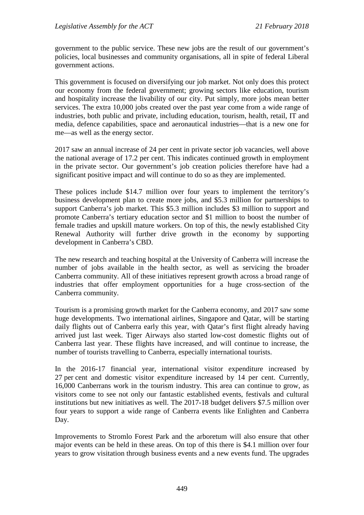government to the public service. These new jobs are the result of our government's policies, local businesses and community organisations, all in spite of federal Liberal government actions.

This government is focused on diversifying our job market. Not only does this protect our economy from the federal government; growing sectors like education, tourism and hospitality increase the livability of our city. Put simply, more jobs mean better services. The extra 10,000 jobs created over the past year come from a wide range of industries, both public and private, including education, tourism, health, retail, IT and media, defence capabilities, space and aeronautical industries—that is a new one for me—as well as the energy sector.

2017 saw an annual increase of 24 per cent in private sector job vacancies, well above the national average of 17.2 per cent. This indicates continued growth in employment in the private sector. Our government's job creation policies therefore have had a significant positive impact and will continue to do so as they are implemented.

These polices include \$14.7 million over four years to implement the territory's business development plan to create more jobs, and \$5.3 million for partnerships to support Canberra's job market. This \$5.3 million includes \$3 million to support and promote Canberra's tertiary education sector and \$1 million to boost the number of female tradies and upskill mature workers. On top of this, the newly established City Renewal Authority will further drive growth in the economy by supporting development in Canberra's CBD.

The new research and teaching hospital at the University of Canberra will increase the number of jobs available in the health sector, as well as servicing the broader Canberra community. All of these initiatives represent growth across a broad range of industries that offer employment opportunities for a huge cross-section of the Canberra community.

Tourism is a promising growth market for the Canberra economy, and 2017 saw some huge developments. Two international airlines, Singapore and Qatar, will be starting daily flights out of Canberra early this year, with Qatar's first flight already having arrived just last week. Tiger Airways also started low-cost domestic flights out of Canberra last year. These flights have increased, and will continue to increase, the number of tourists travelling to Canberra, especially international tourists.

In the 2016-17 financial year, international visitor expenditure increased by 27 per cent and domestic visitor expenditure increased by 14 per cent. Currently, 16,000 Canberrans work in the tourism industry. This area can continue to grow, as visitors come to see not only our fantastic established events, festivals and cultural institutions but new initiatives as well. The 2017-18 budget delivers \$7.5 million over four years to support a wide range of Canberra events like Enlighten and Canberra Day.

Improvements to Stromlo Forest Park and the arboretum will also ensure that other major events can be held in these areas. On top of this there is \$4.1 million over four years to grow visitation through business events and a new events fund. The upgrades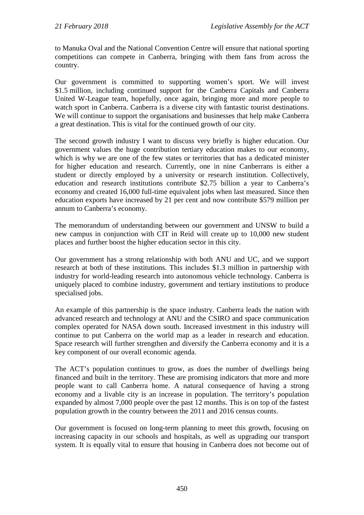to Manuka Oval and the National Convention Centre will ensure that national sporting competitions can compete in Canberra, bringing with them fans from across the country.

Our government is committed to supporting women's sport. We will invest \$1.5 million, including continued support for the Canberra Capitals and Canberra United W-League team, hopefully, once again, bringing more and more people to watch sport in Canberra. Canberra is a diverse city with fantastic tourist destinations. We will continue to support the organisations and businesses that help make Canberra a great destination. This is vital for the continued growth of our city.

The second growth industry I want to discuss very briefly is higher education. Our government values the huge contribution tertiary education makes to our economy, which is why we are one of the few states or territories that has a dedicated minister for higher education and research. Currently, one in nine Canberrans is either a student or directly employed by a university or research institution. Collectively, education and research institutions contribute \$2.75 billion a year to Canberra's economy and created 16,000 full-time equivalent jobs when last measured. Since then education exports have increased by 21 per cent and now contribute \$579 million per annum to Canberra's economy.

The memorandum of understanding between our government and UNSW to build a new campus in conjunction with CIT in Reid will create up to 10,000 new student places and further boost the higher education sector in this city.

Our government has a strong relationship with both ANU and UC, and we support research at both of these institutions. This includes \$1.3 million in partnership with industry for world-leading research into autonomous vehicle technology. Canberra is uniquely placed to combine industry, government and tertiary institutions to produce specialised jobs.

An example of this partnership is the space industry. Canberra leads the nation with advanced research and technology at ANU and the CSIRO and space communication complex operated for NASA down south. Increased investment in this industry will continue to put Canberra on the world map as a leader in research and education. Space research will further strengthen and diversify the Canberra economy and it is a key component of our overall economic agenda.

The ACT's population continues to grow, as does the number of dwellings being financed and built in the territory. These are promising indicators that more and more people want to call Canberra home. A natural consequence of having a strong economy and a livable city is an increase in population. The territory's population expanded by almost 7,000 people over the past 12 months. This is on top of the fastest population growth in the country between the 2011 and 2016 census counts.

Our government is focused on long-term planning to meet this growth, focusing on increasing capacity in our schools and hospitals, as well as upgrading our transport system. It is equally vital to ensure that housing in Canberra does not become out of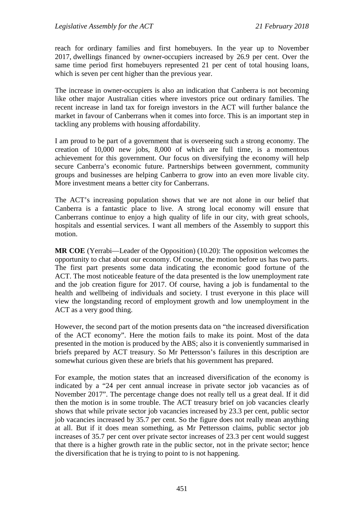reach for ordinary families and first homebuyers. In the year up to November 2017, dwellings financed by owner-occupiers increased by 26.9 per cent. Over the same time period first homebuyers represented 21 per cent of total housing loans, which is seven per cent higher than the previous year.

The increase in owner-occupiers is also an indication that Canberra is not becoming like other major Australian cities where investors price out ordinary families. The recent increase in land tax for foreign investors in the ACT will further balance the market in favour of Canberrans when it comes into force. This is an important step in tackling any problems with housing affordability.

I am proud to be part of a government that is overseeing such a strong economy. The creation of 10,000 new jobs, 8,000 of which are full time, is a momentous achievement for this government. Our focus on diversifying the economy will help secure Canberra's economic future. Partnerships between government, community groups and businesses are helping Canberra to grow into an even more livable city. More investment means a better city for Canberrans.

The ACT's increasing population shows that we are not alone in our belief that Canberra is a fantastic place to live. A strong local economy will ensure that Canberrans continue to enjoy a high quality of life in our city, with great schools, hospitals and essential services. I want all members of the Assembly to support this motion.

**MR COE** (Yerrabi—Leader of the Opposition) (10.20): The opposition welcomes the opportunity to chat about our economy. Of course, the motion before us has two parts. The first part presents some data indicating the economic good fortune of the ACT. The most noticeable feature of the data presented is the low unemployment rate and the job creation figure for 2017. Of course, having a job is fundamental to the health and wellbeing of individuals and society. I trust everyone in this place will view the longstanding record of employment growth and low unemployment in the ACT as a very good thing.

However, the second part of the motion presents data on "the increased diversification of the ACT economy". Here the motion fails to make its point. Most of the data presented in the motion is produced by the ABS; also it is conveniently summarised in briefs prepared by ACT treasury. So Mr Pettersson's failures in this description are somewhat curious given these are briefs that his government has prepared.

For example, the motion states that an increased diversification of the economy is indicated by a "24 per cent annual increase in private sector job vacancies as of November 2017". The percentage change does not really tell us a great deal. If it did then the motion is in some trouble. The ACT treasury brief on job vacancies clearly shows that while private sector job vacancies increased by 23.3 per cent, public sector job vacancies increased by 35.7 per cent. So the figure does not really mean anything at all. But if it does mean something, as Mr Pettersson claims, public sector job increases of 35.7 per cent over private sector increases of 23.3 per cent would suggest that there is a higher growth rate in the public sector, not in the private sector; hence the diversification that he is trying to point to is not happening.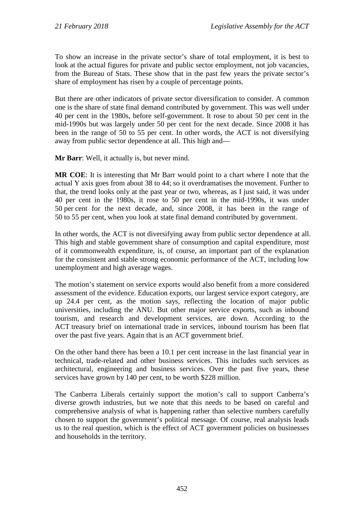To show an increase in the private sector's share of total employment, it is best to look at the actual figures for private and public sector employment, not job vacancies, from the Bureau of Stats. These show that in the past few years the private sector's share of employment has risen by a couple of percentage points.

But there are other indicators of private sector diversification to consider. A common one is the share of state final demand contributed by government. This was well under 40 per cent in the 1980s, before self-government. It rose to about 50 per cent in the mid-1990s but was largely under 50 per cent for the next decade. Since 2008 it has been in the range of 50 to 55 per cent. In other words, the ACT is not diversifying away from public sector dependence at all. This high and—

**Mr Barr**: Well, it actually is, but never mind.

**MR COE**: It is interesting that Mr Barr would point to a chart where I note that the actual Y axis goes from about 38 to 44; so it overdramatises the movement. Further to that, the trend looks only at the past year or two, whereas, as I just said, it was under 40 per cent in the 1980s, it rose to 50 per cent in the mid-1990s, it was under 50 per cent for the next decade, and, since 2008, it has been in the range of 50 to 55 per cent, when you look at state final demand contributed by government.

In other words, the ACT is not diversifying away from public sector dependence at all. This high and stable government share of consumption and capital expenditure, most of it commonwealth expenditure, is, of course, an important part of the explanation for the consistent and stable strong economic performance of the ACT, including low unemployment and high average wages.

The motion's statement on service exports would also benefit from a more considered assessment of the evidence. Education exports, our largest service export category, are up 24.4 per cent, as the motion says, reflecting the location of major public universities, including the ANU. But other major service exports, such as inbound tourism, and research and development services, are down. According to the ACT treasury brief on international trade in services, inbound tourism has been flat over the past five years. Again that is an ACT government brief.

On the other hand there has been a 10.1 per cent increase in the last financial year in technical, trade-related and other business services. This includes such services as architectural, engineering and business services. Over the past five years, these services have grown by 140 per cent, to be worth \$228 million.

The Canberra Liberals certainly support the motion's call to support Canberra's diverse growth industries, but we note that this needs to be based on careful and comprehensive analysis of what is happening rather than selective numbers carefully chosen to support the government's political message. Of course, real analysis leads us to the real question, which is the effect of ACT government policies on businesses and households in the territory.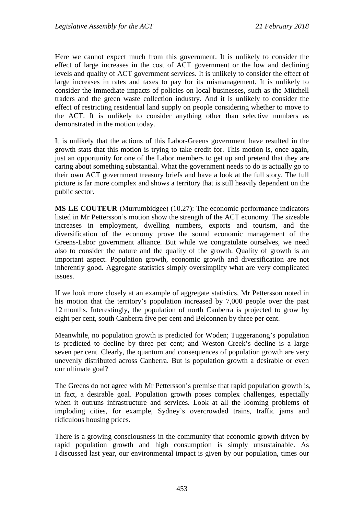Here we cannot expect much from this government. It is unlikely to consider the effect of large increases in the cost of ACT government or the low and declining levels and quality of ACT government services. It is unlikely to consider the effect of large increases in rates and taxes to pay for its mismanagement. It is unlikely to consider the immediate impacts of policies on local businesses, such as the Mitchell traders and the green waste collection industry. And it is unlikely to consider the effect of restricting residential land supply on people considering whether to move to the ACT. It is unlikely to consider anything other than selective numbers as demonstrated in the motion today.

It is unlikely that the actions of this Labor-Greens government have resulted in the growth stats that this motion is trying to take credit for. This motion is, once again, just an opportunity for one of the Labor members to get up and pretend that they are caring about something substantial. What the government needs to do is actually go to their own ACT government treasury briefs and have a look at the full story. The full picture is far more complex and shows a territory that is still heavily dependent on the public sector.

**MS LE COUTEUR** (Murrumbidgee) (10.27): The economic performance indicators listed in Mr Pettersson's motion show the strength of the ACT economy. The sizeable increases in employment, dwelling numbers, exports and tourism, and the diversification of the economy prove the sound economic management of the Greens-Labor government alliance. But while we congratulate ourselves, we need also to consider the nature and the quality of the growth. Quality of growth is an important aspect. Population growth, economic growth and diversification are not inherently good. Aggregate statistics simply oversimplify what are very complicated issues.

If we look more closely at an example of aggregate statistics, Mr Pettersson noted in his motion that the territory's population increased by 7,000 people over the past 12 months. Interestingly, the population of north Canberra is projected to grow by eight per cent, south Canberra five per cent and Belconnen by three per cent.

Meanwhile, no population growth is predicted for Woden; Tuggeranong's population is predicted to decline by three per cent; and Weston Creek's decline is a large seven per cent. Clearly, the quantum and consequences of population growth are very unevenly distributed across Canberra. But is population growth a desirable or even our ultimate goal?

The Greens do not agree with Mr Pettersson's premise that rapid population growth is, in fact, a desirable goal. Population growth poses complex challenges, especially when it outruns infrastructure and services. Look at all the looming problems of imploding cities, for example, Sydney's overcrowded trains, traffic jams and ridiculous housing prices.

There is a growing consciousness in the community that economic growth driven by rapid population growth and high consumption is simply unsustainable. As I discussed last year, our environmental impact is given by our population, times our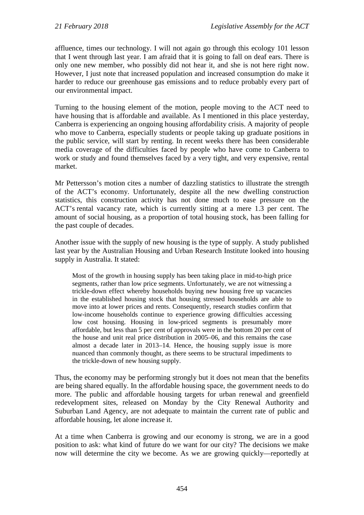affluence, times our technology. I will not again go through this ecology 101 lesson that I went through last year. I am afraid that it is going to fall on deaf ears. There is only one new member, who possibly did not hear it, and she is not here right now. However, I just note that increased population and increased consumption do make it harder to reduce our greenhouse gas emissions and to reduce probably every part of our environmental impact.

Turning to the housing element of the motion, people moving to the ACT need to have housing that is affordable and available. As I mentioned in this place yesterday, Canberra is experiencing an ongoing housing affordability crisis. A majority of people who move to Canberra, especially students or people taking up graduate positions in the public service, will start by renting. In recent weeks there has been considerable media coverage of the difficulties faced by people who have come to Canberra to work or study and found themselves faced by a very tight, and very expensive, rental market.

Mr Pettersson's motion cites a number of dazzling statistics to illustrate the strength of the ACT's economy. Unfortunately, despite all the new dwelling construction statistics, this construction activity has not done much to ease pressure on the ACT's rental vacancy rate, which is currently sitting at a mere 1.3 per cent. The amount of social housing, as a proportion of total housing stock, has been falling for the past couple of decades.

Another issue with the supply of new housing is the type of supply. A study published last year by the Australian Housing and Urban Research Institute looked into housing supply in Australia. It stated:

Most of the growth in housing supply has been taking place in mid-to-high price segments, rather than low price segments. Unfortunately, we are not witnessing a trickle-down effect whereby households buying new housing free up vacancies in the established housing stock that housing stressed households are able to move into at lower prices and rents. Consequently, research studies confirm that low-income households continue to experience growing difficulties accessing low cost housing. Housing in low-priced segments is presumably more affordable, but less than 5 per cent of approvals were in the bottom 20 per cent of the house and unit real price distribution in 2005–06, and this remains the case almost a decade later in 2013–14. Hence, the housing supply issue is more nuanced than commonly thought, as there seems to be structural impediments to the trickle-down of new housing supply.

Thus, the economy may be performing strongly but it does not mean that the benefits are being shared equally. In the affordable housing space, the government needs to do more. The public and affordable housing targets for urban renewal and greenfield redevelopment sites, released on Monday by the City Renewal Authority and Suburban Land Agency, are not adequate to maintain the current rate of public and affordable housing, let alone increase it.

At a time when Canberra is growing and our economy is strong, we are in a good position to ask: what kind of future do we want for our city? The decisions we make now will determine the city we become. As we are growing quickly—reportedly at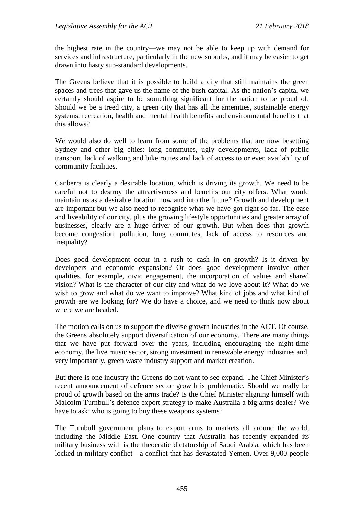the highest rate in the country—we may not be able to keep up with demand for services and infrastructure, particularly in the new suburbs, and it may be easier to get drawn into hasty sub-standard developments.

The Greens believe that it is possible to build a city that still maintains the green spaces and trees that gave us the name of the bush capital. As the nation's capital we certainly should aspire to be something significant for the nation to be proud of. Should we be a treed city, a green city that has all the amenities, sustainable energy systems, recreation, health and mental health benefits and environmental benefits that this allows?

We would also do well to learn from some of the problems that are now besetting Sydney and other big cities: long commutes, ugly developments, lack of public transport, lack of walking and bike routes and lack of access to or even availability of community facilities.

Canberra is clearly a desirable location, which is driving its growth. We need to be careful not to destroy the attractiveness and benefits our city offers. What would maintain us as a desirable location now and into the future? Growth and development are important but we also need to recognise what we have got right so far. The ease and liveability of our city, plus the growing lifestyle opportunities and greater array of businesses, clearly are a huge driver of our growth. But when does that growth become congestion, pollution, long commutes, lack of access to resources and inequality?

Does good development occur in a rush to cash in on growth? Is it driven by developers and economic expansion? Or does good development involve other qualities, for example, civic engagement, the incorporation of values and shared vision? What is the character of our city and what do we love about it? What do we wish to grow and what do we want to improve? What kind of jobs and what kind of growth are we looking for? We do have a choice, and we need to think now about where we are headed.

The motion calls on us to support the diverse growth industries in the ACT. Of course, the Greens absolutely support diversification of our economy. There are many things that we have put forward over the years, including encouraging the night-time economy, the live music sector, strong investment in renewable energy industries and, very importantly, green waste industry support and market creation.

But there is one industry the Greens do not want to see expand. The Chief Minister's recent announcement of defence sector growth is problematic. Should we really be proud of growth based on the arms trade? Is the Chief Minister aligning himself with Malcolm Turnbull's defence export strategy to make Australia a big arms dealer? We have to ask: who is going to buy these weapons systems?

The Turnbull government plans to export arms to markets all around the world, including the Middle East. One country that Australia has recently expanded its military business with is the theocratic dictatorship of Saudi Arabia, which has been locked in military conflict—a conflict that has devastated Yemen. Over 9,000 people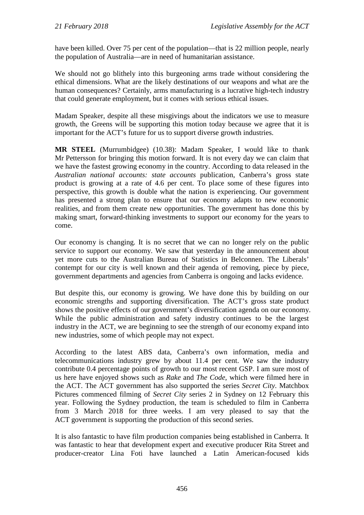have been killed. Over 75 per cent of the population—that is 22 million people, nearly the population of Australia—are in need of humanitarian assistance.

We should not go blithely into this burgeoning arms trade without considering the ethical dimensions. What are the likely destinations of our weapons and what are the human consequences? Certainly, arms manufacturing is a lucrative high-tech industry that could generate employment, but it comes with serious ethical issues.

Madam Speaker, despite all these misgivings about the indicators we use to measure growth, the Greens will be supporting this motion today because we agree that it is important for the ACT's future for us to support diverse growth industries.

**MR STEEL** (Murrumbidgee) (10.38): Madam Speaker, I would like to thank Mr Pettersson for bringing this motion forward. It is not every day we can claim that we have the fastest growing economy in the country. According to data released in the *Australian national accounts: state accounts* publication, Canberra's gross state product is growing at a rate of 4.6 per cent. To place some of these figures into perspective, this growth is double what the nation is experiencing. Our government has presented a strong plan to ensure that our economy adapts to new economic realities, and from them create new opportunities. The government has done this by making smart, forward-thinking investments to support our economy for the years to come.

Our economy is changing. It is no secret that we can no longer rely on the public service to support our economy. We saw that yesterday in the announcement about yet more cuts to the Australian Bureau of Statistics in Belconnen. The Liberals' contempt for our city is well known and their agenda of removing, piece by piece, government departments and agencies from Canberra is ongoing and lacks evidence.

But despite this, our economy is growing. We have done this by building on our economic strengths and supporting diversification. The ACT's gross state product shows the positive effects of our government's diversification agenda on our economy. While the public administration and safety industry continues to be the largest industry in the ACT, we are beginning to see the strength of our economy expand into new industries, some of which people may not expect.

According to the latest ABS data, Canberra's own information, media and telecommunications industry grew by about 11.4 per cent. We saw the industry contribute 0.4 percentage points of growth to our most recent GSP. I am sure most of us here have enjoyed shows such as *Rake* and *The Code*, which were filmed here in the ACT. The ACT government has also supported the series *Secret City*. Matchbox Pictures commenced filming of *Secret City* series 2 in Sydney on 12 February this year. Following the Sydney production, the team is scheduled to film in Canberra from 3 March 2018 for three weeks. I am very pleased to say that the ACT government is supporting the production of this second series.

It is also fantastic to have film production companies being established in Canberra. It was fantastic to hear that development expert and executive producer Rita Street and producer-creator Lina Foti have launched a Latin American-focused kids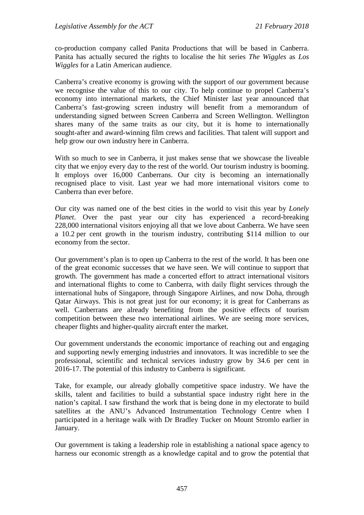co-production company called Panita Productions that will be based in Canberra. Panita has actually secured the rights to localise the hit series *The Wiggles* as *Los Wiggles* for a Latin American audience.

Canberra's creative economy is growing with the support of our government because we recognise the value of this to our city. To help continue to propel Canberra's economy into international markets, the Chief Minister last year announced that Canberra's fast-growing screen industry will benefit from a memorandum of understanding signed between Screen Canberra and Screen Wellington. Wellington shares many of the same traits as our city, but it is home to internationally sought-after and award-winning film crews and facilities. That talent will support and help grow our own industry here in Canberra.

With so much to see in Canberra, it just makes sense that we showcase the liveable city that we enjoy every day to the rest of the world. Our tourism industry is booming. It employs over 16,000 Canberrans. Our city is becoming an internationally recognised place to visit. Last year we had more international visitors come to Canberra than ever before.

Our city was named one of the best cities in the world to visit this year by *Lonely Planet*. Over the past year our city has experienced a record-breaking 228,000 international visitors enjoying all that we love about Canberra. We have seen a 10.2 per cent growth in the tourism industry, contributing \$114 million to our economy from the sector.

Our government's plan is to open up Canberra to the rest of the world. It has been one of the great economic successes that we have seen. We will continue to support that growth. The government has made a concerted effort to attract international visitors and international flights to come to Canberra, with daily flight services through the international hubs of Singapore, through Singapore Airlines, and now Doha, through Qatar Airways. This is not great just for our economy; it is great for Canberrans as well. Canberrans are already benefiting from the positive effects of tourism competition between these two international airlines. We are seeing more services, cheaper flights and higher-quality aircraft enter the market.

Our government understands the economic importance of reaching out and engaging and supporting newly emerging industries and innovators. It was incredible to see the professional, scientific and technical services industry grow by 34.6 per cent in 2016-17. The potential of this industry to Canberra is significant.

Take, for example, our already globally competitive space industry. We have the skills, talent and facilities to build a substantial space industry right here in the nation's capital. I saw firsthand the work that is being done in my electorate to build satellites at the ANU's Advanced Instrumentation Technology Centre when I participated in a heritage walk with Dr Bradley Tucker on Mount Stromlo earlier in January.

Our government is taking a leadership role in establishing a national space agency to harness our economic strength as a knowledge capital and to grow the potential that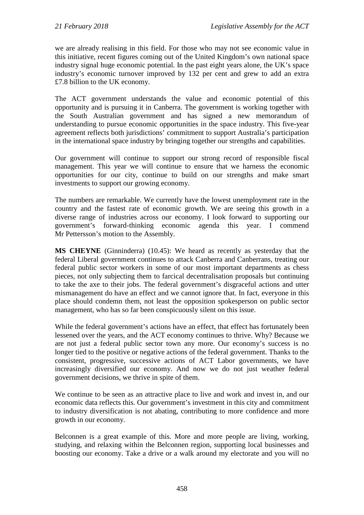we are already realising in this field. For those who may not see economic value in this initiative, recent figures coming out of the United Kingdom's own national space industry signal huge economic potential. In the past eight years alone, the UK's space industry's economic turnover improved by 132 per cent and grew to add an extra £7.8 billion to the UK economy.

The ACT government understands the value and economic potential of this opportunity and is pursuing it in Canberra. The government is working together with the South Australian government and has signed a new memorandum of understanding to pursue economic opportunities in the space industry. This five-year agreement reflects both jurisdictions' commitment to support Australia's participation in the international space industry by bringing together our strengths and capabilities.

Our government will continue to support our strong record of responsible fiscal management. This year we will continue to ensure that we harness the economic opportunities for our city, continue to build on our strengths and make smart investments to support our growing economy.

The numbers are remarkable. We currently have the lowest unemployment rate in the country and the fastest rate of economic growth. We are seeing this growth in a diverse range of industries across our economy. I look forward to supporting our government's forward-thinking economic agenda this year. I commend Mr Pettersson's motion to the Assembly.

**MS CHEYNE** (Ginninderra) (10.45): We heard as recently as yesterday that the federal Liberal government continues to attack Canberra and Canberrans, treating our federal public sector workers in some of our most important departments as chess pieces, not only subjecting them to farcical decentralisation proposals but continuing to take the axe to their jobs. The federal government's disgraceful actions and utter mismanagement do have an effect and we cannot ignore that. In fact, everyone in this place should condemn them, not least the opposition spokesperson on public sector management, who has so far been conspicuously silent on this issue.

While the federal government's actions have an effect, that effect has fortunately been lessened over the years, and the ACT economy continues to thrive. Why? Because we are not just a federal public sector town any more. Our economy's success is no longer tied to the positive or negative actions of the federal government. Thanks to the consistent, progressive, successive actions of ACT Labor governments, we have increasingly diversified our economy. And now we do not just weather federal government decisions, we thrive in spite of them.

We continue to be seen as an attractive place to live and work and invest in, and our economic data reflects this. Our government's investment in this city and commitment to industry diversification is not abating, contributing to more confidence and more growth in our economy.

Belconnen is a great example of this. More and more people are living, working, studying, and relaxing within the Belconnen region, supporting local businesses and boosting our economy. Take a drive or a walk around my electorate and you will no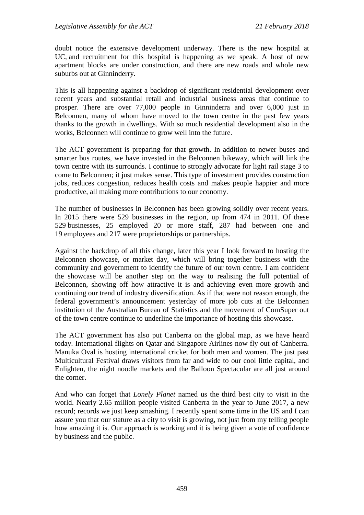doubt notice the extensive development underway. There is the new hospital at UC, and recruitment for this hospital is happening as we speak. A host of new apartment blocks are under construction, and there are new roads and whole new suburbs out at Ginninderry.

This is all happening against a backdrop of significant residential development over recent years and substantial retail and industrial business areas that continue to prosper. There are over 77,000 people in Ginninderra and over 6,000 just in Belconnen, many of whom have moved to the town centre in the past few years thanks to the growth in dwellings. With so much residential development also in the works, Belconnen will continue to grow well into the future.

The ACT government is preparing for that growth. In addition to newer buses and smarter bus routes, we have invested in the Belconnen bikeway, which will link the town centre with its surrounds. I continue to strongly advocate for light rail stage 3 to come to Belconnen; it just makes sense. This type of investment provides construction jobs, reduces congestion, reduces health costs and makes people happier and more productive, all making more contributions to our economy.

The number of businesses in Belconnen has been growing solidly over recent years. In 2015 there were 529 businesses in the region, up from 474 in 2011. Of these 529 businesses, 25 employed 20 or more staff, 287 had between one and 19 employees and 217 were proprietorships or partnerships.

Against the backdrop of all this change, later this year I look forward to hosting the Belconnen showcase, or market day, which will bring together business with the community and government to identify the future of our town centre. I am confident the showcase will be another step on the way to realising the full potential of Belconnen, showing off how attractive it is and achieving even more growth and continuing our trend of industry diversification. As if that were not reason enough, the federal government's announcement yesterday of more job cuts at the Belconnen institution of the Australian Bureau of Statistics and the movement of ComSuper out of the town centre continue to underline the importance of hosting this showcase.

The ACT government has also put Canberra on the global map, as we have heard today. International flights on Qatar and Singapore Airlines now fly out of Canberra. Manuka Oval is hosting international cricket for both men and women. The just past Multicultural Festival draws visitors from far and wide to our cool little capital, and Enlighten, the night noodle markets and the Balloon Spectacular are all just around the corner.

And who can forget that *Lonely Planet* named us the third best city to visit in the world. Nearly 2.65 million people visited Canberra in the year to June 2017, a new record; records we just keep smashing. I recently spent some time in the US and I can assure you that our stature as a city to visit is growing, not just from my telling people how amazing it is. Our approach is working and it is being given a vote of confidence by business and the public.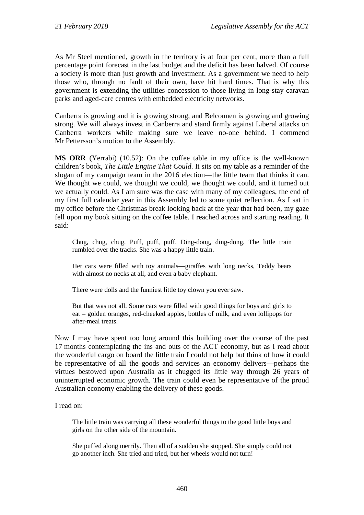As Mr Steel mentioned, growth in the territory is at four per cent, more than a full percentage point forecast in the last budget and the deficit has been halved. Of course a society is more than just growth and investment. As a government we need to help those who, through no fault of their own, have hit hard times. That is why this government is extending the utilities concession to those living in long-stay caravan parks and aged-care centres with embedded electricity networks.

Canberra is growing and it is growing strong, and Belconnen is growing and growing strong. We will always invest in Canberra and stand firmly against Liberal attacks on Canberra workers while making sure we leave no-one behind. I commend Mr Pettersson's motion to the Assembly.

**MS ORR** (Yerrabi) (10.52): On the coffee table in my office is the well-known children's book, *The Little Engine That Could*. It sits on my table as a reminder of the slogan of my campaign team in the 2016 election—the little team that thinks it can. We thought we could, we thought we could, we thought we could, and it turned out we actually could. As I am sure was the case with many of my colleagues, the end of my first full calendar year in this Assembly led to some quiet reflection. As I sat in my office before the Christmas break looking back at the year that had been, my gaze fell upon my book sitting on the coffee table. I reached across and starting reading. It said:

Chug, chug, chug. Puff, puff, puff. Ding-dong, ding-dong. The little train rumbled over the tracks. She was a happy little train.

Her cars were filled with toy animals—giraffes with long necks, Teddy bears with almost no necks at all, and even a baby elephant.

There were dolls and the funniest little toy clown you ever saw.

But that was not all. Some cars were filled with good things for boys and girls to eat – golden oranges, red-cheeked apples, bottles of milk, and even lollipops for after-meal treats.

Now I may have spent too long around this building over the course of the past 17 months contemplating the ins and outs of the ACT economy, but as I read about the wonderful cargo on board the little train I could not help but think of how it could be representative of all the goods and services an economy delivers—perhaps the virtues bestowed upon Australia as it chugged its little way through 26 years of uninterrupted economic growth. The train could even be representative of the proud Australian economy enabling the delivery of these goods.

#### I read on:

The little train was carrying all these wonderful things to the good little boys and girls on the other side of the mountain.

She puffed along merrily. Then all of a sudden she stopped. She simply could not go another inch. She tried and tried, but her wheels would not turn!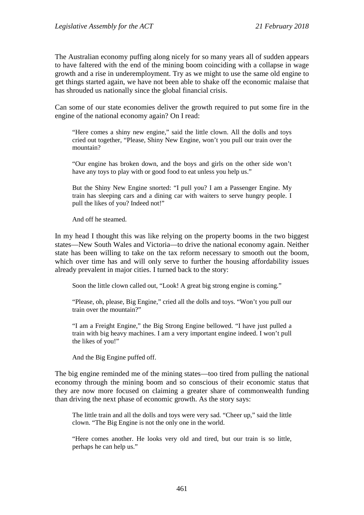The Australian economy puffing along nicely for so many years all of sudden appears to have faltered with the end of the mining boom coinciding with a collapse in wage growth and a rise in underemployment. Try as we might to use the same old engine to get things started again, we have not been able to shake off the economic malaise that has shrouded us nationally since the global financial crisis.

Can some of our state economies deliver the growth required to put some fire in the engine of the national economy again? On I read:

"Here comes a shiny new engine," said the little clown. All the dolls and toys cried out together, "Please, Shiny New Engine, won't you pull our train over the mountain?

"Our engine has broken down, and the boys and girls on the other side won't have any toys to play with or good food to eat unless you help us."

But the Shiny New Engine snorted: "I pull you? I am a Passenger Engine. My train has sleeping cars and a dining car with waiters to serve hungry people. I pull the likes of you? Indeed not!"

And off he steamed.

In my head I thought this was like relying on the property booms in the two biggest states—New South Wales and Victoria—to drive the national economy again. Neither state has been willing to take on the tax reform necessary to smooth out the boom, which over time has and will only serve to further the housing affordability issues already prevalent in major cities. I turned back to the story:

Soon the little clown called out, "Look! A great big strong engine is coming."

"Please, oh, please, Big Engine," cried all the dolls and toys. "Won't you pull our train over the mountain?"

"I am a Freight Engine," the Big Strong Engine bellowed. "I have just pulled a train with big heavy machines. I am a very important engine indeed. I won't pull the likes of you!"

And the Big Engine puffed off.

The big engine reminded me of the mining states—too tired from pulling the national economy through the mining boom and so conscious of their economic status that they are now more focused on claiming a greater share of commonwealth funding than driving the next phase of economic growth. As the story says:

The little train and all the dolls and toys were very sad. "Cheer up," said the little clown. "The Big Engine is not the only one in the world.

"Here comes another. He looks very old and tired, but our train is so little, perhaps he can help us."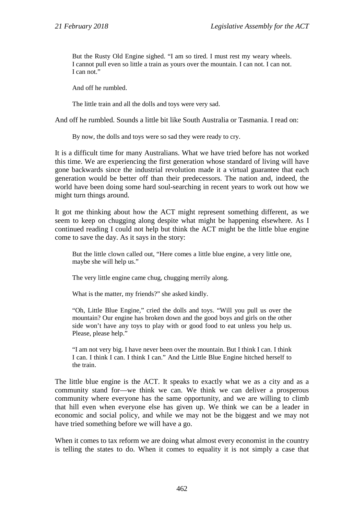But the Rusty Old Engine sighed. "I am so tired. I must rest my weary wheels. I cannot pull even so little a train as yours over the mountain. I can not. I can not. I can not."

And off he rumbled.

The little train and all the dolls and toys were very sad.

And off he rumbled. Sounds a little bit like South Australia or Tasmania. I read on:

By now, the dolls and toys were so sad they were ready to cry.

It is a difficult time for many Australians. What we have tried before has not worked this time. We are experiencing the first generation whose standard of living will have gone backwards since the industrial revolution made it a virtual guarantee that each generation would be better off than their predecessors. The nation and, indeed, the world have been doing some hard soul-searching in recent years to work out how we might turn things around.

It got me thinking about how the ACT might represent something different, as we seem to keep on chugging along despite what might be happening elsewhere. As I continued reading I could not help but think the ACT might be the little blue engine come to save the day. As it says in the story:

But the little clown called out, "Here comes a little blue engine, a very little one, maybe she will help us."

The very little engine came chug, chugging merrily along.

What is the matter, my friends?" she asked kindly.

"Oh, Little Blue Engine," cried the dolls and toys. "Will you pull us over the mountain? Our engine has broken down and the good boys and girls on the other side won't have any toys to play with or good food to eat unless you help us. Please, please help."

"I am not very big. I have never been over the mountain. But I think I can. I think I can. I think I can. I think I can." And the Little Blue Engine hitched herself to the train.

The little blue engine is the ACT. It speaks to exactly what we as a city and as a community stand for—we think we can. We think we can deliver a prosperous community where everyone has the same opportunity, and we are willing to climb that hill even when everyone else has given up. We think we can be a leader in economic and social policy, and while we may not be the biggest and we may not have tried something before we will have a go.

When it comes to tax reform we are doing what almost every economist in the country is telling the states to do. When it comes to equality it is not simply a case that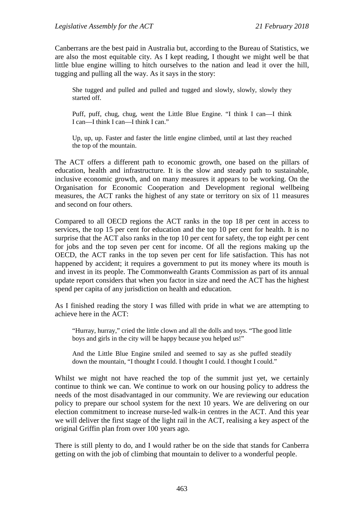Canberrans are the best paid in Australia but, according to the Bureau of Statistics, we are also the most equitable city. As I kept reading, I thought we might well be that little blue engine willing to hitch ourselves to the nation and lead it over the hill, tugging and pulling all the way. As it says in the story:

She tugged and pulled and pulled and tugged and slowly, slowly, slowly they started off.

Puff, puff, chug, chug, went the Little Blue Engine. "I think I can—I think I can—I think I can—I think I can."

Up, up, up. Faster and faster the little engine climbed, until at last they reached the top of the mountain.

The ACT offers a different path to economic growth, one based on the pillars of education, health and infrastructure. It is the slow and steady path to sustainable, inclusive economic growth, and on many measures it appears to be working. On the Organisation for Economic Cooperation and Development regional wellbeing measures, the ACT ranks the highest of any state or territory on six of 11 measures and second on four others.

Compared to all OECD regions the ACT ranks in the top 18 per cent in access to services, the top 15 per cent for education and the top 10 per cent for health. It is no surprise that the ACT also ranks in the top 10 per cent for safety, the top eight per cent for jobs and the top seven per cent for income. Of all the regions making up the OECD, the ACT ranks in the top seven per cent for life satisfaction. This has not happened by accident; it requires a government to put its money where its mouth is and invest in its people. The Commonwealth Grants Commission as part of its annual update report considers that when you factor in size and need the ACT has the highest spend per capita of any jurisdiction on health and education.

As I finished reading the story I was filled with pride in what we are attempting to achieve here in the ACT:

"Hurray, hurray," cried the little clown and all the dolls and toys. "The good little boys and girls in the city will be happy because you helped us!"

And the Little Blue Engine smiled and seemed to say as she puffed steadily down the mountain, "I thought I could. I thought I could. I thought I could."

Whilst we might not have reached the top of the summit just yet, we certainly continue to think we can. We continue to work on our housing policy to address the needs of the most disadvantaged in our community. We are reviewing our education policy to prepare our school system for the next 10 years. We are delivering on our election commitment to increase nurse-led walk-in centres in the ACT. And this year we will deliver the first stage of the light rail in the ACT, realising a key aspect of the original Griffin plan from over 100 years ago.

There is still plenty to do, and I would rather be on the side that stands for Canberra getting on with the job of climbing that mountain to deliver to a wonderful people.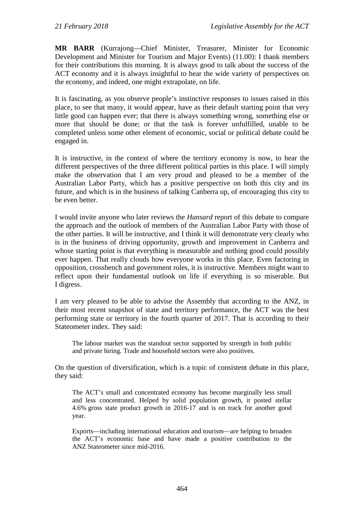**MR BARR** (Kurrajong—Chief Minister, Treasurer, Minister for Economic Development and Minister for Tourism and Major Events) (11.00): I thank members for their contributions this morning. It is always good to talk about the success of the ACT economy and it is always insightful to hear the wide variety of perspectives on the economy, and indeed, one might extrapolate, on life.

It is fascinating, as you observe people's instinctive responses to issues raised in this place, to see that many, it would appear, have as their default starting point that very little good can happen ever; that there is always something wrong, something else or more that should be done; or that the task is forever unfulfilled, unable to be completed unless some other element of economic, social or political debate could be engaged in.

It is instructive, in the context of where the territory economy is now, to hear the different perspectives of the three different political parties in this place. I will simply make the observation that I am very proud and pleased to be a member of the Australian Labor Party, which has a positive perspective on both this city and its future, and which is in the business of talking Canberra up, of encouraging this city to be even better.

I would invite anyone who later reviews the *Hansard* report of this debate to compare the approach and the outlook of members of the Australian Labor Party with those of the other parties. It will be instructive, and I think it will demonstrate very clearly who is in the business of driving opportunity, growth and improvement in Canberra and whose starting point is that everything is measurable and nothing good could possibly ever happen. That really clouds how everyone works in this place. Even factoring in opposition, crossbench and government roles, it is instructive. Members might want to reflect upon their fundamental outlook on life if everything is so miserable. But I digress.

I am very pleased to be able to advise the Assembly that according to the ANZ, in their most recent snapshot of state and territory performance, the ACT was the best performing state or territory in the fourth quarter of 2017. That is according to their Stateometer index. They said:

The labour market was the standout sector supported by strength in both public and private hiring. Trade and household sectors were also positives.

On the question of diversification, which is a topic of consistent debate in this place, they said:

The ACT's small and concentrated economy has become marginally less small and less concentrated. Helped by solid population growth, it posted stellar 4.6% gross state product growth in 2016-17 and is on track for another good year.

Exports—including international education and tourism—are helping to broaden the ACT's economic base and have made a positive contribution to the ANZ Stateometer since mid-2016.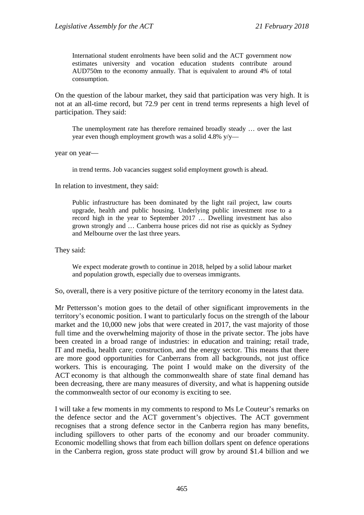International student enrolments have been solid and the ACT government now estimates university and vocation education students contribute around AUD750m to the economy annually. That is equivalent to around 4% of total consumption.

On the question of the labour market, they said that participation was very high. It is not at an all-time record, but 72.9 per cent in trend terms represents a high level of participation. They said:

The unemployment rate has therefore remained broadly steady … over the last year even though employment growth was a solid 4.8% y/y—

year on year—

in trend terms. Job vacancies suggest solid employment growth is ahead.

In relation to investment, they said:

Public infrastructure has been dominated by the light rail project, law courts upgrade, health and public housing. Underlying public investment rose to a record high in the year to September 2017 … Dwelling investment has also grown strongly and … Canberra house prices did not rise as quickly as Sydney and Melbourne over the last three years.

They said:

We expect moderate growth to continue in 2018, helped by a solid labour market and population growth, especially due to overseas immigrants.

So, overall, there is a very positive picture of the territory economy in the latest data.

Mr Pettersson's motion goes to the detail of other significant improvements in the territory's economic position. I want to particularly focus on the strength of the labour market and the 10,000 new jobs that were created in 2017, the vast majority of those full time and the overwhelming majority of those in the private sector. The jobs have been created in a broad range of industries: in education and training; retail trade, IT and media, health care; construction, and the energy sector. This means that there are more good opportunities for Canberrans from all backgrounds, not just office workers. This is encouraging. The point I would make on the diversity of the ACT economy is that although the commonwealth share of state final demand has been decreasing, there are many measures of diversity, and what is happening outside the commonwealth sector of our economy is exciting to see.

I will take a few moments in my comments to respond to Ms Le Couteur's remarks on the defence sector and the ACT government's objectives. The ACT government recognises that a strong defence sector in the Canberra region has many benefits, including spillovers to other parts of the economy and our broader community. Economic modelling shows that from each billion dollars spent on defence operations in the Canberra region, gross state product will grow by around \$1.4 billion and we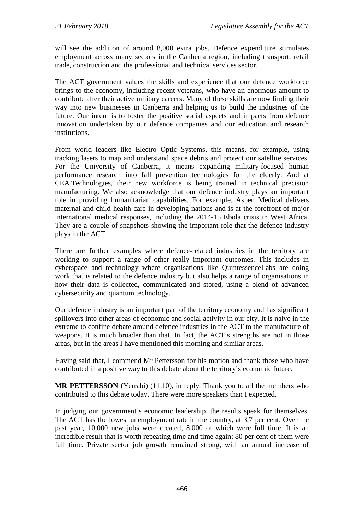will see the addition of around 8,000 extra jobs. Defence expenditure stimulates employment across many sectors in the Canberra region, including transport, retail trade, construction and the professional and technical services sector.

The ACT government values the skills and experience that our defence workforce brings to the economy, including recent veterans, who have an enormous amount to contribute after their active military careers. Many of these skills are now finding their way into new businesses in Canberra and helping us to build the industries of the future. Our intent is to foster the positive social aspects and impacts from defence innovation undertaken by our defence companies and our education and research institutions.

From world leaders like Electro Optic Systems, this means, for example, using tracking lasers to map and understand space debris and protect our satellite services. For the University of Canberra, it means expanding military-focused human performance research into fall prevention technologies for the elderly. And at CEA Technologies, their new workforce is being trained in technical precision manufacturing. We also acknowledge that our defence industry plays an important role in providing humanitarian capabilities. For example, Aspen Medical delivers maternal and child health care in developing nations and is at the forefront of major international medical responses, including the 2014-15 Ebola crisis in West Africa. They are a couple of snapshots showing the important role that the defence industry plays in the ACT.

There are further examples where defence-related industries in the territory are working to support a range of other really important outcomes. This includes in cyberspace and technology where organisations like QuintessenceLabs are doing work that is related to the defence industry but also helps a range of organisations in how their data is collected, communicated and stored, using a blend of advanced cybersecurity and quantum technology.

Our defence industry is an important part of the territory economy and has significant spillovers into other areas of economic and social activity in our city. It is naive in the extreme to confine debate around defence industries in the ACT to the manufacture of weapons. It is much broader than that. In fact, the ACT's strengths are not in those areas, but in the areas I have mentioned this morning and similar areas.

Having said that, I commend Mr Pettersson for his motion and thank those who have contributed in a positive way to this debate about the territory's economic future.

**MR PETTERSSON** (Yerrabi) (11.10), in reply: Thank you to all the members who contributed to this debate today. There were more speakers than I expected.

In judging our government's economic leadership, the results speak for themselves. The ACT has the lowest unemployment rate in the country, at 3.7 per cent. Over the past year, 10,000 new jobs were created, 8,000 of which were full time. It is an incredible result that is worth repeating time and time again: 80 per cent of them were full time. Private sector job growth remained strong, with an annual increase of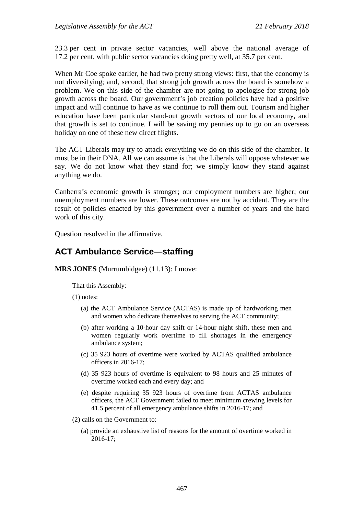23.3 per cent in private sector vacancies, well above the national average of 17.2 per cent, with public sector vacancies doing pretty well, at 35.7 per cent.

When Mr Coe spoke earlier, he had two pretty strong views: first, that the economy is not diversifying; and, second, that strong job growth across the board is somehow a problem. We on this side of the chamber are not going to apologise for strong job growth across the board. Our government's job creation policies have had a positive impact and will continue to have as we continue to roll them out. Tourism and higher education have been particular stand-out growth sectors of our local economy, and that growth is set to continue. I will be saving my pennies up to go on an overseas holiday on one of these new direct flights.

The ACT Liberals may try to attack everything we do on this side of the chamber. It must be in their DNA. All we can assume is that the Liberals will oppose whatever we say. We do not know what they stand for; we simply know they stand against anything we do.

Canberra's economic growth is stronger; our employment numbers are higher; our unemployment numbers are lower. These outcomes are not by accident. They are the result of policies enacted by this government over a number of years and the hard work of this city.

Question resolved in the affirmative.

### <span id="page-24-0"></span>**ACT Ambulance Service—staffing**

**MRS JONES** (Murrumbidgee) (11.13): I move:

That this Assembly:

(1) notes:

- (a) the ACT Ambulance Service (ACTAS) is made up of hardworking men and women who dedicate themselves to serving the ACT community;
- (b) after working a 10-hour day shift or 14-hour night shift, these men and women regularly work overtime to fill shortages in the emergency ambulance system;
- (c) 35 923 hours of overtime were worked by ACTAS qualified ambulance officers in 2016-17;
- (d) 35 923 hours of overtime is equivalent to 98 hours and 25 minutes of overtime worked each and every day; and
- (e) despite requiring 35 923 hours of overtime from ACTAS ambulance officers, the ACT Government failed to meet minimum crewing levels for 41.5 percent of all emergency ambulance shifts in 2016-17; and
- (2) calls on the Government to:
	- (a) provide an exhaustive list of reasons for the amount of overtime worked in 2016-17;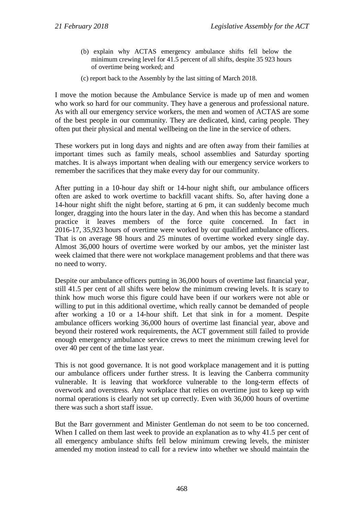- (b) explain why ACTAS emergency ambulance shifts fell below the minimum crewing level for 41.5 percent of all shifts, despite 35 923 hours of overtime being worked; and
- (c) report back to the Assembly by the last sitting of March 2018.

I move the motion because the Ambulance Service is made up of men and women who work so hard for our community. They have a generous and professional nature. As with all our emergency service workers, the men and women of ACTAS are some of the best people in our community. They are dedicated, kind, caring people. They often put their physical and mental wellbeing on the line in the service of others.

These workers put in long days and nights and are often away from their families at important times such as family meals, school assemblies and Saturday sporting matches. It is always important when dealing with our emergency service workers to remember the sacrifices that they make every day for our community.

After putting in a 10-hour day shift or 14-hour night shift, our ambulance officers often are asked to work overtime to backfill vacant shifts. So, after having done a 14-hour night shift the night before, starting at 6 pm, it can suddenly become much longer, dragging into the hours later in the day. And when this has become a standard practice it leaves members of the force quite concerned. In fact in 2016-17, 35,923 hours of overtime were worked by our qualified ambulance officers. That is on average 98 hours and 25 minutes of overtime worked every single day. Almost 36,000 hours of overtime were worked by our ambos, yet the minister last week claimed that there were not workplace management problems and that there was no need to worry.

Despite our ambulance officers putting in 36,000 hours of overtime last financial year, still 41.5 per cent of all shifts were below the minimum crewing levels. It is scary to think how much worse this figure could have been if our workers were not able or willing to put in this additional overtime, which really cannot be demanded of people after working a 10 or a 14-hour shift. Let that sink in for a moment. Despite ambulance officers working 36,000 hours of overtime last financial year, above and beyond their rostered work requirements, the ACT government still failed to provide enough emergency ambulance service crews to meet the minimum crewing level for over 40 per cent of the time last year.

This is not good governance. It is not good workplace management and it is putting our ambulance officers under further stress. It is leaving the Canberra community vulnerable. It is leaving that workforce vulnerable to the long-term effects of overwork and overstress. Any workplace that relies on overtime just to keep up with normal operations is clearly not set up correctly. Even with 36,000 hours of overtime there was such a short staff issue.

But the Barr government and Minister Gentleman do not seem to be too concerned. When I called on them last week to provide an explanation as to why 41.5 per cent of all emergency ambulance shifts fell below minimum crewing levels, the minister amended my motion instead to call for a review into whether we should maintain the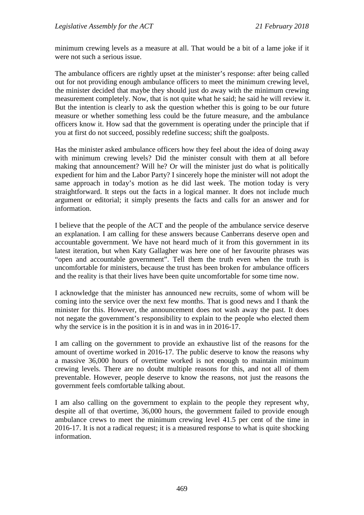minimum crewing levels as a measure at all. That would be a bit of a lame joke if it were not such a serious issue.

The ambulance officers are rightly upset at the minister's response: after being called out for not providing enough ambulance officers to meet the minimum crewing level, the minister decided that maybe they should just do away with the minimum crewing measurement completely. Now, that is not quite what he said; he said he will review it. But the intention is clearly to ask the question whether this is going to be our future measure or whether something less could be the future measure, and the ambulance officers know it. How sad that the government is operating under the principle that if you at first do not succeed, possibly redefine success; shift the goalposts.

Has the minister asked ambulance officers how they feel about the idea of doing away with minimum crewing levels? Did the minister consult with them at all before making that announcement? Will he? Or will the minister just do what is politically expedient for him and the Labor Party? I sincerely hope the minister will not adopt the same approach in today's motion as he did last week. The motion today is very straightforward. It steps out the facts in a logical manner. It does not include much argument or editorial; it simply presents the facts and calls for an answer and for information.

I believe that the people of the ACT and the people of the ambulance service deserve an explanation. I am calling for these answers because Canberrans deserve open and accountable government. We have not heard much of it from this government in its latest iteration, but when Katy Gallagher was here one of her favourite phrases was "open and accountable government". Tell them the truth even when the truth is uncomfortable for ministers, because the trust has been broken for ambulance officers and the reality is that their lives have been quite uncomfortable for some time now.

I acknowledge that the minister has announced new recruits, some of whom will be coming into the service over the next few months. That is good news and I thank the minister for this. However, the announcement does not wash away the past. It does not negate the government's responsibility to explain to the people who elected them why the service is in the position it is in and was in in 2016-17.

I am calling on the government to provide an exhaustive list of the reasons for the amount of overtime worked in 2016-17. The public deserve to know the reasons why a massive 36,000 hours of overtime worked is not enough to maintain minimum crewing levels. There are no doubt multiple reasons for this, and not all of them preventable. However, people deserve to know the reasons, not just the reasons the government feels comfortable talking about.

I am also calling on the government to explain to the people they represent why, despite all of that overtime, 36,000 hours, the government failed to provide enough ambulance crews to meet the minimum crewing level 41.5 per cent of the time in 2016-17. It is not a radical request; it is a measured response to what is quite shocking information.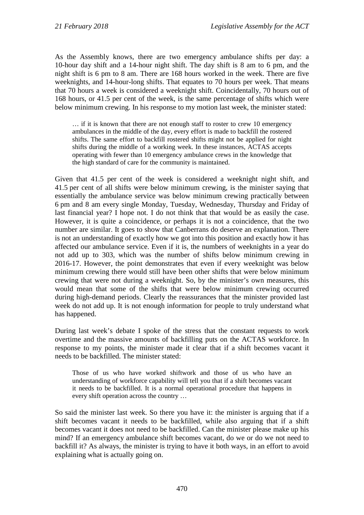As the Assembly knows, there are two emergency ambulance shifts per day: a 10-hour day shift and a 14-hour night shift. The day shift is 8 am to 6 pm, and the night shift is 6 pm to 8 am. There are 168 hours worked in the week. There are five weeknights, and 14-hour-long shifts. That equates to 70 hours per week. That means that 70 hours a week is considered a weeknight shift. Coincidentally, 70 hours out of 168 hours, or 41.5 per cent of the week, is the same percentage of shifts which were below minimum crewing. In his response to my motion last week, the minister stated:

… if it is known that there are not enough staff to roster to crew 10 emergency ambulances in the middle of the day, every effort is made to backfill the rostered shifts. The same effort to backfill rostered shifts might not be applied for night shifts during the middle of a working week. In these instances, ACTAS accepts operating with fewer than 10 emergency ambulance crews in the knowledge that the high standard of care for the community is maintained.

Given that 41.5 per cent of the week is considered a weeknight night shift, and 41.5 per cent of all shifts were below minimum crewing, is the minister saying that essentially the ambulance service was below minimum crewing practically between 6 pm and 8 am every single Monday, Tuesday, Wednesday, Thursday and Friday of last financial year? I hope not. I do not think that that would be as easily the case. However, it is quite a coincidence, or perhaps it is not a coincidence, that the two number are similar. It goes to show that Canberrans do deserve an explanation. There is not an understanding of exactly how we got into this position and exactly how it has affected our ambulance service. Even if it is, the numbers of weeknights in a year do not add up to 303, which was the number of shifts below minimum crewing in 2016-17. However, the point demonstrates that even if every weeknight was below minimum crewing there would still have been other shifts that were below minimum crewing that were not during a weeknight. So, by the minister's own measures, this would mean that some of the shifts that were below minimum crewing occurred during high-demand periods. Clearly the reassurances that the minister provided last week do not add up. It is not enough information for people to truly understand what has happened.

During last week's debate I spoke of the stress that the constant requests to work overtime and the massive amounts of backfilling puts on the ACTAS workforce. In response to my points, the minister made it clear that if a shift becomes vacant it needs to be backfilled. The minister stated:

Those of us who have worked shiftwork and those of us who have an understanding of workforce capability will tell you that if a shift becomes vacant it needs to be backfilled. It is a normal operational procedure that happens in every shift operation across the country …

So said the minister last week. So there you have it: the minister is arguing that if a shift becomes vacant it needs to be backfilled, while also arguing that if a shift becomes vacant it does not need to be backfilled. Can the minister please make up his mind? If an emergency ambulance shift becomes vacant, do we or do we not need to backfill it? As always, the minister is trying to have it both ways, in an effort to avoid explaining what is actually going on.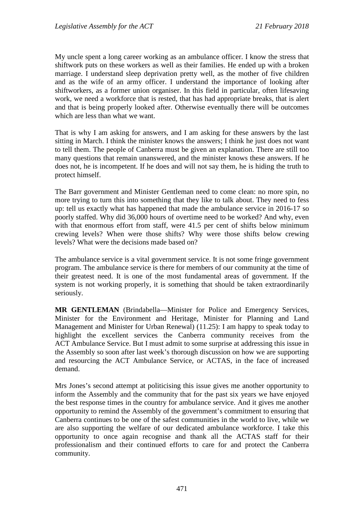My uncle spent a long career working as an ambulance officer. I know the stress that shiftwork puts on these workers as well as their families. He ended up with a broken marriage. I understand sleep deprivation pretty well, as the mother of five children and as the wife of an army officer. I understand the importance of looking after shiftworkers, as a former union organiser. In this field in particular, often lifesaving work, we need a workforce that is rested, that has had appropriate breaks, that is alert and that is being properly looked after. Otherwise eventually there will be outcomes which are less than what we want.

That is why I am asking for answers, and I am asking for these answers by the last sitting in March. I think the minister knows the answers; I think he just does not want to tell them. The people of Canberra must be given an explanation. There are still too many questions that remain unanswered, and the minister knows these answers. If he does not, he is incompetent. If he does and will not say them, he is hiding the truth to protect himself.

The Barr government and Minister Gentleman need to come clean: no more spin, no more trying to turn this into something that they like to talk about. They need to fess up: tell us exactly what has happened that made the ambulance service in 2016-17 so poorly staffed. Why did 36,000 hours of overtime need to be worked? And why, even with that enormous effort from staff, were 41.5 per cent of shifts below minimum crewing levels? When were those shifts? Why were those shifts below crewing levels? What were the decisions made based on?

The ambulance service is a vital government service. It is not some fringe government program. The ambulance service is there for members of our community at the time of their greatest need. It is one of the most fundamental areas of government. If the system is not working properly, it is something that should be taken extraordinarily seriously.

**MR GENTLEMAN** (Brindabella—Minister for Police and Emergency Services, Minister for the Environment and Heritage, Minister for Planning and Land Management and Minister for Urban Renewal) (11.25): I am happy to speak today to highlight the excellent services the Canberra community receives from the ACT Ambulance Service. But I must admit to some surprise at addressing this issue in the Assembly so soon after last week's thorough discussion on how we are supporting and resourcing the ACT Ambulance Service, or ACTAS, in the face of increased demand.

Mrs Jones's second attempt at politicising this issue gives me another opportunity to inform the Assembly and the community that for the past six years we have enjoyed the best response times in the country for ambulance service. And it gives me another opportunity to remind the Assembly of the government's commitment to ensuring that Canberra continues to be one of the safest communities in the world to live, while we are also supporting the welfare of our dedicated ambulance workforce. I take this opportunity to once again recognise and thank all the ACTAS staff for their professionalism and their continued efforts to care for and protect the Canberra community.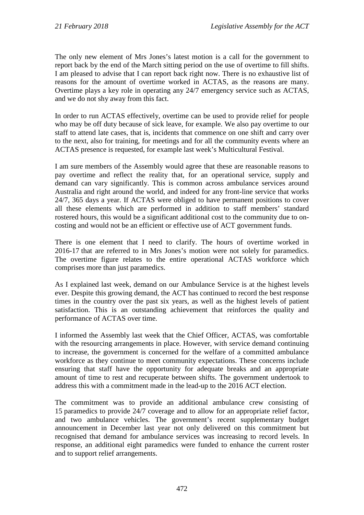The only new element of Mrs Jones's latest motion is a call for the government to report back by the end of the March sitting period on the use of overtime to fill shifts. I am pleased to advise that I can report back right now. There is no exhaustive list of reasons for the amount of overtime worked in ACTAS, as the reasons are many. Overtime plays a key role in operating any 24/7 emergency service such as ACTAS, and we do not shy away from this fact.

In order to run ACTAS effectively, overtime can be used to provide relief for people who may be off duty because of sick leave, for example. We also pay overtime to our staff to attend late cases, that is, incidents that commence on one shift and carry over to the next, also for training, for meetings and for all the community events where an ACTAS presence is requested, for example last week's Multicultural Festival.

I am sure members of the Assembly would agree that these are reasonable reasons to pay overtime and reflect the reality that, for an operational service, supply and demand can vary significantly. This is common across ambulance services around Australia and right around the world, and indeed for any front-line service that works 24/7, 365 days a year. If ACTAS were obliged to have permanent positions to cover all these elements which are performed in addition to staff members' standard rostered hours, this would be a significant additional cost to the community due to oncosting and would not be an efficient or effective use of ACT government funds.

There is one element that I need to clarify. The hours of overtime worked in 2016-17 that are referred to in Mrs Jones's motion were not solely for paramedics. The overtime figure relates to the entire operational ACTAS workforce which comprises more than just paramedics.

As I explained last week, demand on our Ambulance Service is at the highest levels ever. Despite this growing demand, the ACT has continued to record the best response times in the country over the past six years, as well as the highest levels of patient satisfaction. This is an outstanding achievement that reinforces the quality and performance of ACTAS over time.

I informed the Assembly last week that the Chief Officer, ACTAS, was comfortable with the resourcing arrangements in place. However, with service demand continuing to increase, the government is concerned for the welfare of a committed ambulance workforce as they continue to meet community expectations. These concerns include ensuring that staff have the opportunity for adequate breaks and an appropriate amount of time to rest and recuperate between shifts. The government undertook to address this with a commitment made in the lead-up to the 2016 ACT election.

The commitment was to provide an additional ambulance crew consisting of 15 paramedics to provide 24/7 coverage and to allow for an appropriate relief factor, and two ambulance vehicles. The government's recent supplementary budget announcement in December last year not only delivered on this commitment but recognised that demand for ambulance services was increasing to record levels. In response, an additional eight paramedics were funded to enhance the current roster and to support relief arrangements.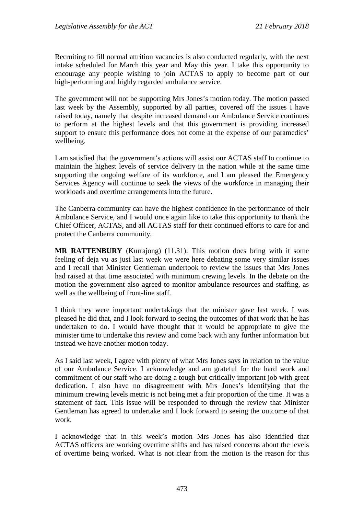Recruiting to fill normal attrition vacancies is also conducted regularly, with the next intake scheduled for March this year and May this year. I take this opportunity to encourage any people wishing to join ACTAS to apply to become part of our high-performing and highly regarded ambulance service.

The government will not be supporting Mrs Jones's motion today. The motion passed last week by the Assembly, supported by all parties, covered off the issues I have raised today, namely that despite increased demand our Ambulance Service continues to perform at the highest levels and that this government is providing increased support to ensure this performance does not come at the expense of our paramedics' wellbeing.

I am satisfied that the government's actions will assist our ACTAS staff to continue to maintain the highest levels of service delivery in the nation while at the same time supporting the ongoing welfare of its workforce, and I am pleased the Emergency Services Agency will continue to seek the views of the workforce in managing their workloads and overtime arrangements into the future.

The Canberra community can have the highest confidence in the performance of their Ambulance Service, and I would once again like to take this opportunity to thank the Chief Officer, ACTAS, and all ACTAS staff for their continued efforts to care for and protect the Canberra community.

**MR RATTENBURY** (Kurrajong) (11.31): This motion does bring with it some feeling of deja vu as just last week we were here debating some very similar issues and I recall that Minister Gentleman undertook to review the issues that Mrs Jones had raised at that time associated with minimum crewing levels. In the debate on the motion the government also agreed to monitor ambulance resources and staffing, as well as the wellbeing of front-line staff.

I think they were important undertakings that the minister gave last week. I was pleased he did that, and I look forward to seeing the outcomes of that work that he has undertaken to do. I would have thought that it would be appropriate to give the minister time to undertake this review and come back with any further information but instead we have another motion today.

As I said last week, I agree with plenty of what Mrs Jones says in relation to the value of our Ambulance Service. I acknowledge and am grateful for the hard work and commitment of our staff who are doing a tough but critically important job with great dedication. I also have no disagreement with Mrs Jones's identifying that the minimum crewing levels metric is not being met a fair proportion of the time. It was a statement of fact. This issue will be responded to through the review that Minister Gentleman has agreed to undertake and I look forward to seeing the outcome of that work.

I acknowledge that in this week's motion Mrs Jones has also identified that ACTAS officers are working overtime shifts and has raised concerns about the levels of overtime being worked. What is not clear from the motion is the reason for this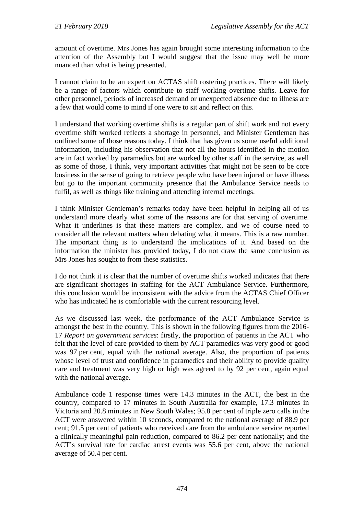amount of overtime. Mrs Jones has again brought some interesting information to the attention of the Assembly but I would suggest that the issue may well be more nuanced than what is being presented.

I cannot claim to be an expert on ACTAS shift rostering practices. There will likely be a range of factors which contribute to staff working overtime shifts. Leave for other personnel, periods of increased demand or unexpected absence due to illness are a few that would come to mind if one were to sit and reflect on this.

I understand that working overtime shifts is a regular part of shift work and not every overtime shift worked reflects a shortage in personnel, and Minister Gentleman has outlined some of those reasons today. I think that has given us some useful additional information, including his observation that not all the hours identified in the motion are in fact worked by paramedics but are worked by other staff in the service, as well as some of those, I think, very important activities that might not be seen to be core business in the sense of going to retrieve people who have been injured or have illness but go to the important community presence that the Ambulance Service needs to fulfil, as well as things like training and attending internal meetings.

I think Minister Gentleman's remarks today have been helpful in helping all of us understand more clearly what some of the reasons are for that serving of overtime. What it underlines is that these matters are complex, and we of course need to consider all the relevant matters when debating what it means. This is a raw number. The important thing is to understand the implications of it. And based on the information the minister has provided today, I do not draw the same conclusion as Mrs Jones has sought to from these statistics.

I do not think it is clear that the number of overtime shifts worked indicates that there are significant shortages in staffing for the ACT Ambulance Service. Furthermore, this conclusion would be inconsistent with the advice from the ACTAS Chief Officer who has indicated he is comfortable with the current resourcing level.

As we discussed last week, the performance of the ACT Ambulance Service is amongst the best in the country. This is shown in the following figures from the 2016- 17 *Report on government services*: firstly, the proportion of patients in the ACT who felt that the level of care provided to them by ACT paramedics was very good or good was 97 per cent, equal with the national average. Also, the proportion of patients whose level of trust and confidence in paramedics and their ability to provide quality care and treatment was very high or high was agreed to by 92 per cent, again equal with the national average.

Ambulance code 1 response times were 14.3 minutes in the ACT, the best in the country, compared to 17 minutes in South Australia for example, 17.3 minutes in Victoria and 20.8 minutes in New South Wales; 95.8 per cent of triple zero calls in the ACT were answered within 10 seconds, compared to the national average of 88.9 per cent; 91.5 per cent of patients who received care from the ambulance service reported a clinically meaningful pain reduction, compared to 86.2 per cent nationally; and the ACT's survival rate for cardiac arrest events was 55.6 per cent, above the national average of 50.4 per cent.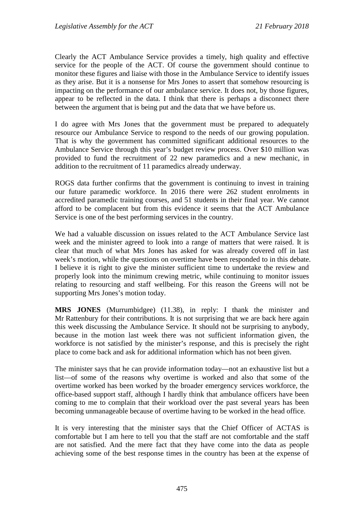Clearly the ACT Ambulance Service provides a timely, high quality and effective service for the people of the ACT. Of course the government should continue to monitor these figures and liaise with those in the Ambulance Service to identify issues as they arise. But it is a nonsense for Mrs Jones to assert that somehow resourcing is impacting on the performance of our ambulance service. It does not, by those figures, appear to be reflected in the data. I think that there is perhaps a disconnect there between the argument that is being put and the data that we have before us.

I do agree with Mrs Jones that the government must be prepared to adequately resource our Ambulance Service to respond to the needs of our growing population. That is why the government has committed significant additional resources to the Ambulance Service through this year's budget review process. Over \$10 million was provided to fund the recruitment of 22 new paramedics and a new mechanic, in addition to the recruitment of 11 paramedics already underway.

ROGS data further confirms that the government is continuing to invest in training our future paramedic workforce. In 2016 there were 262 student enrolments in accredited paramedic training courses, and 51 students in their final year. We cannot afford to be complacent but from this evidence it seems that the ACT Ambulance Service is one of the best performing services in the country.

We had a valuable discussion on issues related to the ACT Ambulance Service last week and the minister agreed to look into a range of matters that were raised. It is clear that much of what Mrs Jones has asked for was already covered off in last week's motion, while the questions on overtime have been responded to in this debate. I believe it is right to give the minister sufficient time to undertake the review and properly look into the minimum crewing metric, while continuing to monitor issues relating to resourcing and staff wellbeing. For this reason the Greens will not be supporting Mrs Jones's motion today.

**MRS JONES** (Murrumbidgee) (11.38), in reply: I thank the minister and Mr Rattenbury for their contributions. It is not surprising that we are back here again this week discussing the Ambulance Service. It should not be surprising to anybody, because in the motion last week there was not sufficient information given, the workforce is not satisfied by the minister's response, and this is precisely the right place to come back and ask for additional information which has not been given.

The minister says that he can provide information today—not an exhaustive list but a list—of some of the reasons why overtime is worked and also that some of the overtime worked has been worked by the broader emergency services workforce, the office-based support staff, although I hardly think that ambulance officers have been coming to me to complain that their workload over the past several years has been becoming unmanageable because of overtime having to be worked in the head office.

It is very interesting that the minister says that the Chief Officer of ACTAS is comfortable but I am here to tell you that the staff are not comfortable and the staff are not satisfied. And the mere fact that they have come into the data as people achieving some of the best response times in the country has been at the expense of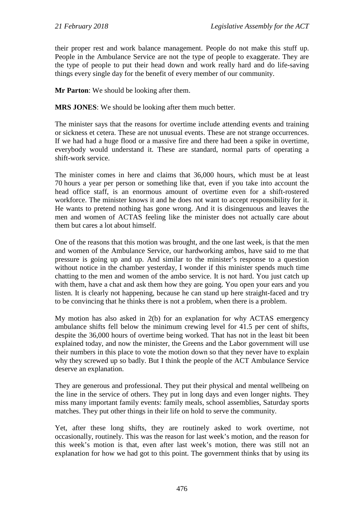their proper rest and work balance management. People do not make this stuff up. People in the Ambulance Service are not the type of people to exaggerate. They are the type of people to put their head down and work really hard and do life-saving things every single day for the benefit of every member of our community.

**Mr Parton**: We should be looking after them.

**MRS JONES**: We should be looking after them much better.

The minister says that the reasons for overtime include attending events and training or sickness et cetera. These are not unusual events. These are not strange occurrences. If we had had a huge flood or a massive fire and there had been a spike in overtime, everybody would understand it. These are standard, normal parts of operating a shift-work service.

The minister comes in here and claims that 36,000 hours, which must be at least 70 hours a year per person or something like that, even if you take into account the head office staff, is an enormous amount of overtime even for a shift-rostered workforce. The minister knows it and he does not want to accept responsibility for it. He wants to pretend nothing has gone wrong. And it is disingenuous and leaves the men and women of ACTAS feeling like the minister does not actually care about them but cares a lot about himself.

One of the reasons that this motion was brought, and the one last week, is that the men and women of the Ambulance Service, our hardworking ambos, have said to me that pressure is going up and up. And similar to the minister's response to a question without notice in the chamber yesterday, I wonder if this minister spends much time chatting to the men and women of the ambo service. It is not hard. You just catch up with them, have a chat and ask them how they are going. You open your ears and you listen. It is clearly not happening, because he can stand up here straight-faced and try to be convincing that he thinks there is not a problem, when there is a problem.

My motion has also asked in 2(b) for an explanation for why ACTAS emergency ambulance shifts fell below the minimum crewing level for 41.5 per cent of shifts, despite the 36,000 hours of overtime being worked. That has not in the least bit been explained today, and now the minister, the Greens and the Labor government will use their numbers in this place to vote the motion down so that they never have to explain why they screwed up so badly. But I think the people of the ACT Ambulance Service deserve an explanation.

They are generous and professional. They put their physical and mental wellbeing on the line in the service of others. They put in long days and even longer nights. They miss many important family events: family meals, school assemblies, Saturday sports matches. They put other things in their life on hold to serve the community.

Yet, after these long shifts, they are routinely asked to work overtime, not occasionally, routinely. This was the reason for last week's motion, and the reason for this week's motion is that, even after last week's motion, there was still not an explanation for how we had got to this point. The government thinks that by using its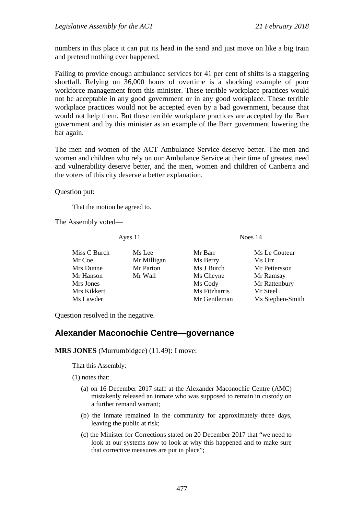numbers in this place it can put its head in the sand and just move on like a big train and pretend nothing ever happened.

Failing to provide enough ambulance services for 41 per cent of shifts is a staggering shortfall. Relying on 36,000 hours of overtime is a shocking example of poor workforce management from this minister. These terrible workplace practices would not be acceptable in any good government or in any good workplace. These terrible workplace practices would not be accepted even by a bad government, because that would not help them. But these terrible workplace practices are accepted by the Barr government and by this minister as an example of the Barr government lowering the bar again.

The men and women of the ACT Ambulance Service deserve better. The men and women and children who rely on our Ambulance Service at their time of greatest need and vulnerability deserve better, and the men, women and children of Canberra and the voters of this city deserve a better explanation.

Question put:

That the motion be agreed to.

The Assembly voted—

Ayes 11 Noes 14

| Miss C Burch | Ms Lee      | Mr Barr       | Ms Le Couteur    |
|--------------|-------------|---------------|------------------|
| Mr Coe       | Mr Milligan | Ms Berry      | Ms Orr           |
| Mrs Dunne    | Mr Parton   | Ms J Burch    | Mr Pettersson    |
| Mr Hanson    | Mr Wall     | Ms Cheyne     | Mr Ramsay        |
| Mrs Jones    |             | Ms Cody       | Mr Rattenbury    |
| Mrs Kikkert  |             | Ms Fitzharris | Mr Steel         |
| Ms Lawder    |             | Mr Gentleman  | Ms Stephen-Smith |

Question resolved in the negative.

#### <span id="page-34-0"></span>**Alexander Maconochie Centre—governance**

#### **MRS JONES** (Murrumbidgee) (11.49): I move:

That this Assembly:

(1) notes that:

- (a) on 16 December 2017 staff at the Alexander Maconochie Centre (AMC) mistakenly released an inmate who was supposed to remain in custody on a further remand warrant;
- (b) the inmate remained in the community for approximately three days, leaving the public at risk;
- (c) the Minister for Corrections stated on 20 December 2017 that "we need to look at our systems now to look at why this happened and to make sure that corrective measures are put in place";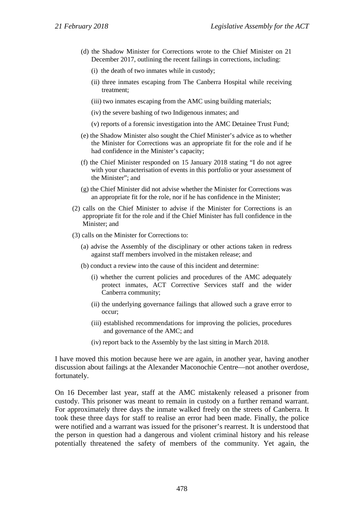- (d) the Shadow Minister for Corrections wrote to the Chief Minister on 21 December 2017, outlining the recent failings in corrections, including:
	- (i) the death of two inmates while in custody;
	- (ii) three inmates escaping from The Canberra Hospital while receiving treatment;
	- (iii) two inmates escaping from the AMC using building materials;
	- (iv) the severe bashing of two Indigenous inmates; and
	- (v) reports of a forensic investigation into the AMC Detainee Trust Fund;
- (e) the Shadow Minister also sought the Chief Minister's advice as to whether the Minister for Corrections was an appropriate fit for the role and if he had confidence in the Minister's capacity;
- (f) the Chief Minister responded on 15 January 2018 stating "I do not agree with your characterisation of events in this portfolio or your assessment of the Minister"; and
- (g) the Chief Minister did not advise whether the Minister for Corrections was an appropriate fit for the role, nor if he has confidence in the Minister;
- (2) calls on the Chief Minister to advise if the Minister for Corrections is an appropriate fit for the role and if the Chief Minister has full confidence in the Minister; and
- (3) calls on the Minister for Corrections to:
	- (a) advise the Assembly of the disciplinary or other actions taken in redress against staff members involved in the mistaken release; and
	- (b) conduct a review into the cause of this incident and determine:
		- (i) whether the current policies and procedures of the AMC adequately protect inmates, ACT Corrective Services staff and the wider Canberra community;
		- (ii) the underlying governance failings that allowed such a grave error to occur;
		- (iii) established recommendations for improving the policies, procedures and governance of the AMC; and
		- (iv) report back to the Assembly by the last sitting in March 2018.

I have moved this motion because here we are again, in another year, having another discussion about failings at the Alexander Maconochie Centre—not another overdose, fortunately.

On 16 December last year, staff at the AMC mistakenly released a prisoner from custody. This prisoner was meant to remain in custody on a further remand warrant. For approximately three days the inmate walked freely on the streets of Canberra. It took these three days for staff to realise an error had been made. Finally, the police were notified and a warrant was issued for the prisoner's rearrest. It is understood that the person in question had a dangerous and violent criminal history and his release potentially threatened the safety of members of the community. Yet again, the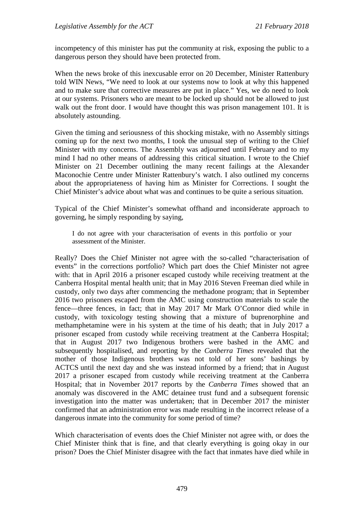incompetency of this minister has put the community at risk, exposing the public to a dangerous person they should have been protected from.

When the news broke of this inexcusable error on 20 December, Minister Rattenbury told WIN News, "We need to look at our systems now to look at why this happened and to make sure that corrective measures are put in place." Yes, we do need to look at our systems. Prisoners who are meant to be locked up should not be allowed to just walk out the front door. I would have thought this was prison management 101. It is absolutely astounding.

Given the timing and seriousness of this shocking mistake, with no Assembly sittings coming up for the next two months, I took the unusual step of writing to the Chief Minister with my concerns. The Assembly was adjourned until February and to my mind I had no other means of addressing this critical situation. I wrote to the Chief Minister on 21 December outlining the many recent failings at the Alexander Maconochie Centre under Minister Rattenbury's watch. I also outlined my concerns about the appropriateness of having him as Minister for Corrections. I sought the Chief Minister's advice about what was and continues to be quite a serious situation.

Typical of the Chief Minister's somewhat offhand and inconsiderate approach to governing, he simply responding by saying,

I do not agree with your characterisation of events in this portfolio or your assessment of the Minister.

Really? Does the Chief Minister not agree with the so-called "characterisation of events" in the corrections portfolio? Which part does the Chief Minister not agree with: that in April 2016 a prisoner escaped custody while receiving treatment at the Canberra Hospital mental health unit; that in May 2016 Steven Freeman died while in custody, only two days after commencing the methadone program; that in September 2016 two prisoners escaped from the AMC using construction materials to scale the fence—three fences, in fact; that in May 2017 Mr Mark O'Connor died while in custody, with toxicology testing showing that a mixture of buprenorphine and methamphetamine were in his system at the time of his death; that in July 2017 a prisoner escaped from custody while receiving treatment at the Canberra Hospital; that in August 2017 two Indigenous brothers were bashed in the AMC and subsequently hospitalised, and reporting by the *Canberra Times* revealed that the mother of those Indigenous brothers was not told of her sons' bashings by ACTCS until the next day and she was instead informed by a friend; that in August 2017 a prisoner escaped from custody while receiving treatment at the Canberra Hospital; that in November 2017 reports by the *Canberra Times* showed that an anomaly was discovered in the AMC detainee trust fund and a subsequent forensic investigation into the matter was undertaken; that in December 2017 the minister confirmed that an administration error was made resulting in the incorrect release of a dangerous inmate into the community for some period of time?

Which characterisation of events does the Chief Minister not agree with, or does the Chief Minister think that is fine, and that clearly everything is going okay in our prison? Does the Chief Minister disagree with the fact that inmates have died while in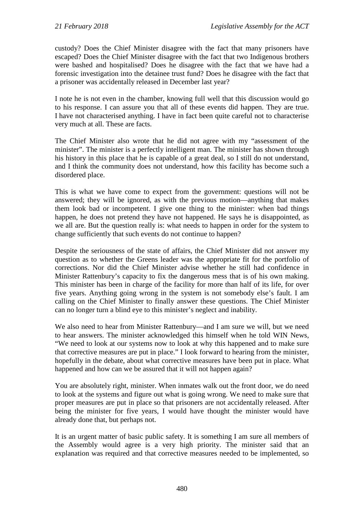custody? Does the Chief Minister disagree with the fact that many prisoners have escaped? Does the Chief Minister disagree with the fact that two Indigenous brothers were bashed and hospitalised? Does he disagree with the fact that we have had a forensic investigation into the detainee trust fund? Does he disagree with the fact that a prisoner was accidentally released in December last year?

I note he is not even in the chamber, knowing full well that this discussion would go to his response. I can assure you that all of these events did happen. They are true. I have not characterised anything. I have in fact been quite careful not to characterise very much at all. These are facts.

The Chief Minister also wrote that he did not agree with my "assessment of the minister". The minister is a perfectly intelligent man. The minister has shown through his history in this place that he is capable of a great deal, so I still do not understand, and I think the community does not understand, how this facility has become such a disordered place.

This is what we have come to expect from the government: questions will not be answered; they will be ignored, as with the previous motion—anything that makes them look bad or incompetent. I give one thing to the minister: when bad things happen, he does not pretend they have not happened. He says he is disappointed, as we all are. But the question really is: what needs to happen in order for the system to change sufficiently that such events do not continue to happen?

Despite the seriousness of the state of affairs, the Chief Minister did not answer my question as to whether the Greens leader was the appropriate fit for the portfolio of corrections. Nor did the Chief Minister advise whether he still had confidence in Minister Rattenbury's capacity to fix the dangerous mess that is of his own making. This minister has been in charge of the facility for more than half of its life, for over five years. Anything going wrong in the system is not somebody else's fault. I am calling on the Chief Minister to finally answer these questions. The Chief Minister can no longer turn a blind eye to this minister's neglect and inability.

We also need to hear from Minister Rattenbury—and I am sure we will, but we need to hear answers. The minister acknowledged this himself when he told WIN News, "We need to look at our systems now to look at why this happened and to make sure that corrective measures are put in place." I look forward to hearing from the minister, hopefully in the debate, about what corrective measures have been put in place. What happened and how can we be assured that it will not happen again?

You are absolutely right, minister. When inmates walk out the front door, we do need to look at the systems and figure out what is going wrong. We need to make sure that proper measures are put in place so that prisoners are not accidentally released. After being the minister for five years, I would have thought the minister would have already done that, but perhaps not.

It is an urgent matter of basic public safety. It is something I am sure all members of the Assembly would agree is a very high priority. The minister said that an explanation was required and that corrective measures needed to be implemented, so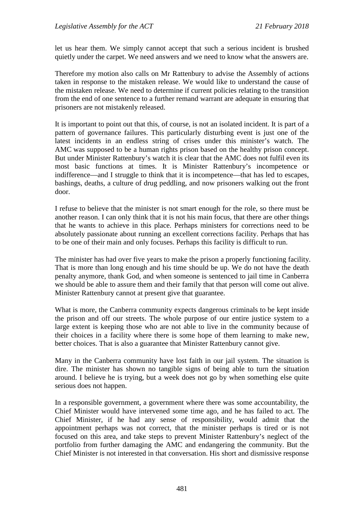let us hear them. We simply cannot accept that such a serious incident is brushed quietly under the carpet. We need answers and we need to know what the answers are.

Therefore my motion also calls on Mr Rattenbury to advise the Assembly of actions taken in response to the mistaken release. We would like to understand the cause of the mistaken release. We need to determine if current policies relating to the transition from the end of one sentence to a further remand warrant are adequate in ensuring that prisoners are not mistakenly released.

It is important to point out that this, of course, is not an isolated incident. It is part of a pattern of governance failures. This particularly disturbing event is just one of the latest incidents in an endless string of crises under this minister's watch. The AMC was supposed to be a human rights prison based on the healthy prison concept. But under Minister Rattenbury's watch it is clear that the AMC does not fulfil even its most basic functions at times. It is Minister Rattenbury's incompetence or indifference—and I struggle to think that it is incompetence—that has led to escapes, bashings, deaths, a culture of drug peddling, and now prisoners walking out the front door.

I refuse to believe that the minister is not smart enough for the role, so there must be another reason. I can only think that it is not his main focus, that there are other things that he wants to achieve in this place. Perhaps ministers for corrections need to be absolutely passionate about running an excellent corrections facility. Perhaps that has to be one of their main and only focuses. Perhaps this facility is difficult to run.

The minister has had over five years to make the prison a properly functioning facility. That is more than long enough and his time should be up. We do not have the death penalty anymore, thank God, and when someone is sentenced to jail time in Canberra we should be able to assure them and their family that that person will come out alive. Minister Rattenbury cannot at present give that guarantee.

What is more, the Canberra community expects dangerous criminals to be kept inside the prison and off our streets. The whole purpose of our entire justice system to a large extent is keeping those who are not able to live in the community because of their choices in a facility where there is some hope of them learning to make new, better choices. That is also a guarantee that Minister Rattenbury cannot give.

Many in the Canberra community have lost faith in our jail system. The situation is dire. The minister has shown no tangible signs of being able to turn the situation around. I believe he is trying, but a week does not go by when something else quite serious does not happen.

In a responsible government, a government where there was some accountability, the Chief Minister would have intervened some time ago, and he has failed to act. The Chief Minister, if he had any sense of responsibility, would admit that the appointment perhaps was not correct, that the minister perhaps is tired or is not focused on this area, and take steps to prevent Minister Rattenbury's neglect of the portfolio from further damaging the AMC and endangering the community. But the Chief Minister is not interested in that conversation. His short and dismissive response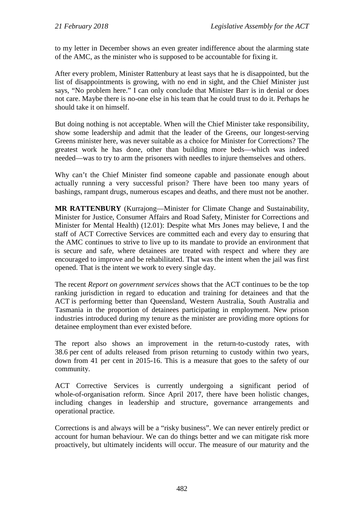to my letter in December shows an even greater indifference about the alarming state of the AMC, as the minister who is supposed to be accountable for fixing it.

After every problem, Minister Rattenbury at least says that he is disappointed, but the list of disappointments is growing, with no end in sight, and the Chief Minister just says, "No problem here." I can only conclude that Minister Barr is in denial or does not care. Maybe there is no-one else in his team that he could trust to do it. Perhaps he should take it on himself.

But doing nothing is not acceptable. When will the Chief Minister take responsibility, show some leadership and admit that the leader of the Greens, our longest-serving Greens minister here, was never suitable as a choice for Minister for Corrections? The greatest work he has done, other than building more beds—which was indeed needed—was to try to arm the prisoners with needles to injure themselves and others.

Why can't the Chief Minister find someone capable and passionate enough about actually running a very successful prison? There have been too many years of bashings, rampant drugs, numerous escapes and deaths, and there must not be another.

**MR RATTENBURY** (Kurrajong—Minister for Climate Change and Sustainability, Minister for Justice, Consumer Affairs and Road Safety, Minister for Corrections and Minister for Mental Health) (12.01): Despite what Mrs Jones may believe, I and the staff of ACT Corrective Services are committed each and every day to ensuring that the AMC continues to strive to live up to its mandate to provide an environment that is secure and safe, where detainees are treated with respect and where they are encouraged to improve and be rehabilitated. That was the intent when the jail was first opened. That is the intent we work to every single day.

The recent *Report on government services* shows that the ACT continues to be the top ranking jurisdiction in regard to education and training for detainees and that the ACT is performing better than Queensland, Western Australia, South Australia and Tasmania in the proportion of detainees participating in employment. New prison industries introduced during my tenure as the minister are providing more options for detainee employment than ever existed before.

The report also shows an improvement in the return-to-custody rates, with 38.6 per cent of adults released from prison returning to custody within two years, down from 41 per cent in 2015-16. This is a measure that goes to the safety of our community.

ACT Corrective Services is currently undergoing a significant period of whole-of-organisation reform. Since April 2017, there have been holistic changes, including changes in leadership and structure, governance arrangements and operational practice.

Corrections is and always will be a "risky business". We can never entirely predict or account for human behaviour. We can do things better and we can mitigate risk more proactively, but ultimately incidents will occur. The measure of our maturity and the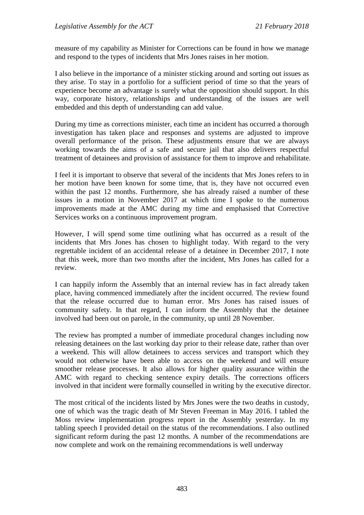measure of my capability as Minister for Corrections can be found in how we manage and respond to the types of incidents that Mrs Jones raises in her motion.

I also believe in the importance of a minister sticking around and sorting out issues as they arise. To stay in a portfolio for a sufficient period of time so that the years of experience become an advantage is surely what the opposition should support. In this way, corporate history, relationships and understanding of the issues are well embedded and this depth of understanding can add value.

During my time as corrections minister, each time an incident has occurred a thorough investigation has taken place and responses and systems are adjusted to improve overall performance of the prison. These adjustments ensure that we are always working towards the aims of a safe and secure jail that also delivers respectful treatment of detainees and provision of assistance for them to improve and rehabilitate.

I feel it is important to observe that several of the incidents that Mrs Jones refers to in her motion have been known for some time, that is, they have not occurred even within the past 12 months. Furthermore, she has already raised a number of these issues in a motion in November 2017 at which time I spoke to the numerous improvements made at the AMC during my time and emphasised that Corrective Services works on a continuous improvement program.

However, I will spend some time outlining what has occurred as a result of the incidents that Mrs Jones has chosen to highlight today. With regard to the very regrettable incident of an accidental release of a detainee in December 2017, I note that this week, more than two months after the incident, Mrs Jones has called for a review.

I can happily inform the Assembly that an internal review has in fact already taken place, having commenced immediately after the incident occurred. The review found that the release occurred due to human error. Mrs Jones has raised issues of community safety. In that regard, I can inform the Assembly that the detainee involved had been out on parole, in the community, up until 28 November.

The review has prompted a number of immediate procedural changes including now releasing detainees on the last working day prior to their release date, rather than over a weekend. This will allow detainees to access services and transport which they would not otherwise have been able to access on the weekend and will ensure smoother release processes. It also allows for higher quality assurance within the AMC with regard to checking sentence expiry details. The corrections officers involved in that incident were formally counselled in writing by the executive director.

The most critical of the incidents listed by Mrs Jones were the two deaths in custody, one of which was the tragic death of Mr Steven Freeman in May 2016. I tabled the Moss review implementation progress report in the Assembly yesterday. In my tabling speech I provided detail on the status of the recommendations. I also outlined significant reform during the past 12 months. A number of the recommendations are now complete and work on the remaining recommendations is well underway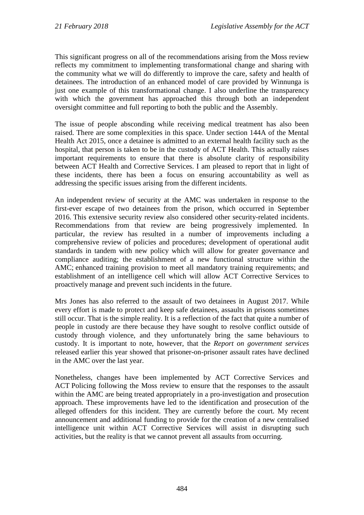This significant progress on all of the recommendations arising from the Moss review reflects my commitment to implementing transformational change and sharing with the community what we will do differently to improve the care, safety and health of detainees. The introduction of an enhanced model of care provided by Winnunga is just one example of this transformational change. I also underline the transparency with which the government has approached this through both an independent oversight committee and full reporting to both the public and the Assembly.

The issue of people absconding while receiving medical treatment has also been raised. There are some complexities in this space. Under section 144A of the Mental Health Act 2015, once a detainee is admitted to an external health facility such as the hospital, that person is taken to be in the custody of ACT Health. This actually raises important requirements to ensure that there is absolute clarity of responsibility between ACT Health and Corrective Services. I am pleased to report that in light of these incidents, there has been a focus on ensuring accountability as well as addressing the specific issues arising from the different incidents.

An independent review of security at the AMC was undertaken in response to the first-ever escape of two detainees from the prison, which occurred in September 2016. This extensive security review also considered other security-related incidents. Recommendations from that review are being progressively implemented. In particular, the review has resulted in a number of improvements including a comprehensive review of policies and procedures; development of operational audit standards in tandem with new policy which will allow for greater governance and compliance auditing; the establishment of a new functional structure within the AMC; enhanced training provision to meet all mandatory training requirements; and establishment of an intelligence cell which will allow ACT Corrective Services to proactively manage and prevent such incidents in the future.

Mrs Jones has also referred to the assault of two detainees in August 2017. While every effort is made to protect and keep safe detainees, assaults in prisons sometimes still occur. That is the simple reality. It is a reflection of the fact that quite a number of people in custody are there because they have sought to resolve conflict outside of custody through violence, and they unfortunately bring the same behaviours to custody. It is important to note, however, that the *Report on government services* released earlier this year showed that prisoner-on-prisoner assault rates have declined in the AMC over the last year.

Nonetheless, changes have been implemented by ACT Corrective Services and ACT Policing following the Moss review to ensure that the responses to the assault within the AMC are being treated appropriately in a pro-investigation and prosecution approach. These improvements have led to the identification and prosecution of the alleged offenders for this incident. They are currently before the court. My recent announcement and additional funding to provide for the creation of a new centralised intelligence unit within ACT Corrective Services will assist in disrupting such activities, but the reality is that we cannot prevent all assaults from occurring.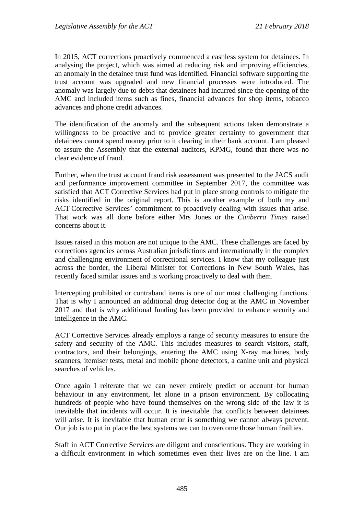In 2015, ACT corrections proactively commenced a cashless system for detainees. In analysing the project, which was aimed at reducing risk and improving efficiencies, an anomaly in the detainee trust fund was identified. Financial software supporting the trust account was upgraded and new financial processes were introduced. The anomaly was largely due to debts that detainees had incurred since the opening of the AMC and included items such as fines, financial advances for shop items, tobacco advances and phone credit advances.

The identification of the anomaly and the subsequent actions taken demonstrate a willingness to be proactive and to provide greater certainty to government that detainees cannot spend money prior to it clearing in their bank account. I am pleased to assure the Assembly that the external auditors, KPMG, found that there was no clear evidence of fraud.

Further, when the trust account fraud risk assessment was presented to the JACS audit and performance improvement committee in September 2017, the committee was satisfied that ACT Corrective Services had put in place strong controls to mitigate the risks identified in the original report. This is another example of both my and ACT Corrective Services' commitment to proactively dealing with issues that arise. That work was all done before either Mrs Jones or the *Canberra Times* raised concerns about it.

Issues raised in this motion are not unique to the AMC. These challenges are faced by corrections agencies across Australian jurisdictions and internationally in the complex and challenging environment of correctional services. I know that my colleague just across the border, the Liberal Minister for Corrections in New South Wales, has recently faced similar issues and is working proactively to deal with them.

Intercepting prohibited or contraband items is one of our most challenging functions. That is why I announced an additional drug detector dog at the AMC in November 2017 and that is why additional funding has been provided to enhance security and intelligence in the AMC.

ACT Corrective Services already employs a range of security measures to ensure the safety and security of the AMC. This includes measures to search visitors, staff, contractors, and their belongings, entering the AMC using X-ray machines, body scanners, itemiser tests, metal and mobile phone detectors, a canine unit and physical searches of vehicles.

Once again I reiterate that we can never entirely predict or account for human behaviour in any environment, let alone in a prison environment. By collocating hundreds of people who have found themselves on the wrong side of the law it is inevitable that incidents will occur. It is inevitable that conflicts between detainees will arise. It is inevitable that human error is something we cannot always prevent. Our job is to put in place the best systems we can to overcome those human frailties.

Staff in ACT Corrective Services are diligent and conscientious. They are working in a difficult environment in which sometimes even their lives are on the line. I am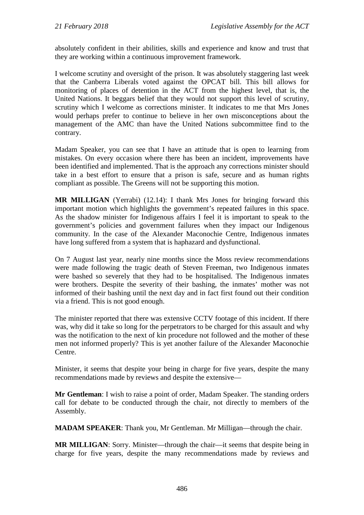absolutely confident in their abilities, skills and experience and know and trust that they are working within a continuous improvement framework.

I welcome scrutiny and oversight of the prison. It was absolutely staggering last week that the Canberra Liberals voted against the OPCAT bill. This bill allows for monitoring of places of detention in the ACT from the highest level, that is, the United Nations. It beggars belief that they would not support this level of scrutiny, scrutiny which I welcome as corrections minister. It indicates to me that Mrs Jones would perhaps prefer to continue to believe in her own misconceptions about the management of the AMC than have the United Nations subcommittee find to the contrary.

Madam Speaker, you can see that I have an attitude that is open to learning from mistakes. On every occasion where there has been an incident, improvements have been identified and implemented. That is the approach any corrections minister should take in a best effort to ensure that a prison is safe, secure and as human rights compliant as possible. The Greens will not be supporting this motion.

**MR MILLIGAN** (Yerrabi) (12.14): I thank Mrs Jones for bringing forward this important motion which highlights the government's repeated failures in this space. As the shadow minister for Indigenous affairs I feel it is important to speak to the government's policies and government failures when they impact our Indigenous community. In the case of the Alexander Maconochie Centre, Indigenous inmates have long suffered from a system that is haphazard and dysfunctional.

On 7 August last year, nearly nine months since the Moss review recommendations were made following the tragic death of Steven Freeman, two Indigenous inmates were bashed so severely that they had to be hospitalised. The Indigenous inmates were brothers. Despite the severity of their bashing, the inmates' mother was not informed of their bashing until the next day and in fact first found out their condition via a friend. This is not good enough.

The minister reported that there was extensive CCTV footage of this incident. If there was, why did it take so long for the perpetrators to be charged for this assault and why was the notification to the next of kin procedure not followed and the mother of these men not informed properly? This is yet another failure of the Alexander Maconochie Centre.

Minister, it seems that despite your being in charge for five years, despite the many recommendations made by reviews and despite the extensive—

**Mr Gentleman**: I wish to raise a point of order, Madam Speaker. The standing orders call for debate to be conducted through the chair, not directly to members of the Assembly.

**MADAM SPEAKER**: Thank you, Mr Gentleman. Mr Milligan—through the chair.

**MR MILLIGAN**: Sorry. Minister—through the chair—it seems that despite being in charge for five years, despite the many recommendations made by reviews and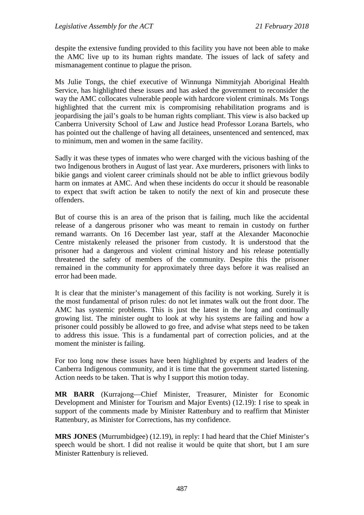despite the extensive funding provided to this facility you have not been able to make the AMC live up to its human rights mandate. The issues of lack of safety and mismanagement continue to plague the prison.

Ms Julie Tongs, the chief executive of Winnunga Nimmityjah Aboriginal Health Service, has highlighted these issues and has asked the government to reconsider the way the AMC collocates vulnerable people with hardcore violent criminals. Ms Tongs highlighted that the current mix is compromising rehabilitation programs and is jeopardising the jail's goals to be human rights compliant. This view is also backed up Canberra University School of Law and Justice head Professor Lorana Bartels, who has pointed out the challenge of having all detainees, unsentenced and sentenced, max to minimum, men and women in the same facility.

Sadly it was these types of inmates who were charged with the vicious bashing of the two Indigenous brothers in August of last year. Axe murderers, prisoners with links to bikie gangs and violent career criminals should not be able to inflict grievous bodily harm on inmates at AMC. And when these incidents do occur it should be reasonable to expect that swift action be taken to notify the next of kin and prosecute these offenders.

But of course this is an area of the prison that is failing, much like the accidental release of a dangerous prisoner who was meant to remain in custody on further remand warrants. On 16 December last year, staff at the Alexander Maconochie Centre mistakenly released the prisoner from custody. It is understood that the prisoner had a dangerous and violent criminal history and his release potentially threatened the safety of members of the community. Despite this the prisoner remained in the community for approximately three days before it was realised an error had been made.

It is clear that the minister's management of this facility is not working. Surely it is the most fundamental of prison rules: do not let inmates walk out the front door. The AMC has systemic problems. This is just the latest in the long and continually growing list. The minister ought to look at why his systems are failing and how a prisoner could possibly be allowed to go free, and advise what steps need to be taken to address this issue. This is a fundamental part of correction policies, and at the moment the minister is failing.

For too long now these issues have been highlighted by experts and leaders of the Canberra Indigenous community, and it is time that the government started listening. Action needs to be taken. That is why I support this motion today.

**MR BARR** (Kurrajong—Chief Minister, Treasurer, Minister for Economic Development and Minister for Tourism and Major Events) (12.19): I rise to speak in support of the comments made by Minister Rattenbury and to reaffirm that Minister Rattenbury, as Minister for Corrections, has my confidence.

**MRS JONES** (Murrumbidgee) (12.19), in reply: I had heard that the Chief Minister's speech would be short. I did not realise it would be quite that short, but I am sure Minister Rattenbury is relieved.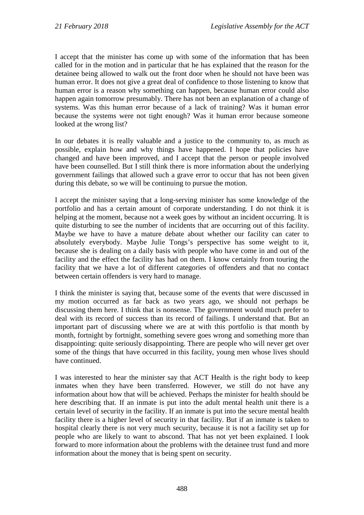I accept that the minister has come up with some of the information that has been called for in the motion and in particular that he has explained that the reason for the detainee being allowed to walk out the front door when he should not have been was human error. It does not give a great deal of confidence to those listening to know that human error is a reason why something can happen, because human error could also happen again tomorrow presumably. There has not been an explanation of a change of systems. Was this human error because of a lack of training? Was it human error because the systems were not tight enough? Was it human error because someone looked at the wrong list?

In our debates it is really valuable and a justice to the community to, as much as possible, explain how and why things have happened. I hope that policies have changed and have been improved, and I accept that the person or people involved have been counselled. But I still think there is more information about the underlying government failings that allowed such a grave error to occur that has not been given during this debate, so we will be continuing to pursue the motion.

I accept the minister saying that a long-serving minister has some knowledge of the portfolio and has a certain amount of corporate understanding. I do not think it is helping at the moment, because not a week goes by without an incident occurring. It is quite disturbing to see the number of incidents that are occurring out of this facility. Maybe we have to have a mature debate about whether our facility can cater to absolutely everybody. Maybe Julie Tongs's perspective has some weight to it, because she is dealing on a daily basis with people who have come in and out of the facility and the effect the facility has had on them. I know certainly from touring the facility that we have a lot of different categories of offenders and that no contact between certain offenders is very hard to manage.

I think the minister is saying that, because some of the events that were discussed in my motion occurred as far back as two years ago, we should not perhaps be discussing them here. I think that is nonsense. The government would much prefer to deal with its record of success than its record of failings. I understand that. But an important part of discussing where we are at with this portfolio is that month by month, fortnight by fortnight, something severe goes wrong and something more than disappointing: quite seriously disappointing. There are people who will never get over some of the things that have occurred in this facility, young men whose lives should have continued.

I was interested to hear the minister say that ACT Health is the right body to keep inmates when they have been transferred. However, we still do not have any information about how that will be achieved. Perhaps the minister for health should be here describing that. If an inmate is put into the adult mental health unit there is a certain level of security in the facility. If an inmate is put into the secure mental health facility there is a higher level of security in that facility. But if an inmate is taken to hospital clearly there is not very much security, because it is not a facility set up for people who are likely to want to abscond. That has not yet been explained. I look forward to more information about the problems with the detainee trust fund and more information about the money that is being spent on security.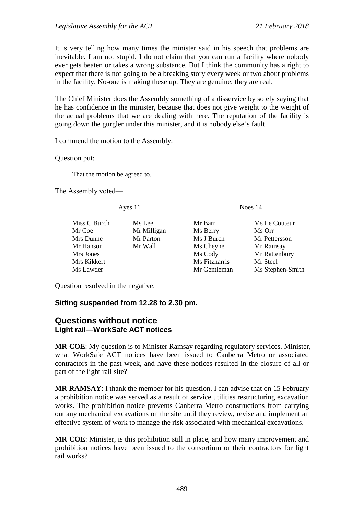It is very telling how many times the minister said in his speech that problems are inevitable. I am not stupid. I do not claim that you can run a facility where nobody ever gets beaten or takes a wrong substance. But I think the community has a right to expect that there is not going to be a breaking story every week or two about problems in the facility. No-one is making these up. They are genuine; they are real.

The Chief Minister does the Assembly something of a disservice by solely saying that he has confidence in the minister, because that does not give weight to the weight of the actual problems that we are dealing with here. The reputation of the facility is going down the gurgler under this minister, and it is nobody else's fault.

I commend the motion to the Assembly.

Question put:

That the motion be agreed to.

The Assembly voted—

Ayes 11 Noes 14

| Miss C Burch | Ms Lee      | Mr Barr       | Ms Le Couteur    |
|--------------|-------------|---------------|------------------|
| Mr Coe       | Mr Milligan | Ms Berry      | Ms Orr           |
| Mrs Dunne    | Mr Parton   | Ms J Burch    | Mr Pettersson    |
| Mr Hanson    | Mr Wall     | Ms Cheyne     | Mr Ramsay        |
| Mrs Jones    |             | Ms Cody       | Mr Rattenbury    |
| Mrs Kikkert  |             | Ms Fitzharris | Mr Steel         |
| Ms Lawder    |             | Mr Gentleman  | Ms Stephen-Smith |
|              |             |               |                  |

Question resolved in the negative.

# **Sitting suspended from 12.28 to 2.30 pm.**

# **Questions without notice Light rail—WorkSafe ACT notices**

**MR COE**: My question is to Minister Ramsay regarding regulatory services. Minister, what WorkSafe ACT notices have been issued to Canberra Metro or associated contractors in the past week, and have these notices resulted in the closure of all or part of the light rail site?

**MR RAMSAY**: I thank the member for his question. I can advise that on 15 February a prohibition notice was served as a result of service utilities restructuring excavation works. The prohibition notice prevents Canberra Metro constructions from carrying out any mechanical excavations on the site until they review, revise and implement an effective system of work to manage the risk associated with mechanical excavations.

**MR COE**: Minister, is this prohibition still in place, and how many improvement and prohibition notices have been issued to the consortium or their contractors for light rail works?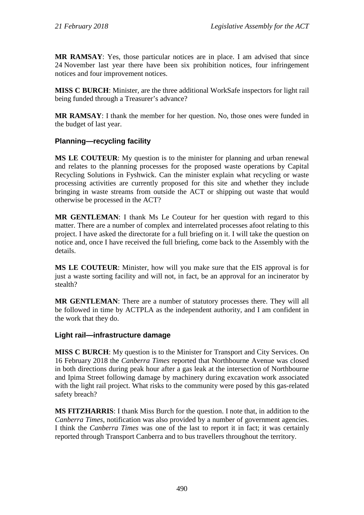**MR RAMSAY**: Yes, those particular notices are in place. I am advised that since 24 November last year there have been six prohibition notices, four infringement notices and four improvement notices.

**MISS C BURCH**: Minister, are the three additional WorkSafe inspectors for light rail being funded through a Treasurer's advance?

**MR RAMSAY**: I thank the member for her question. No, those ones were funded in the budget of last year.

# **Planning—recycling facility**

**MS LE COUTEUR**: My question is to the minister for planning and urban renewal and relates to the planning processes for the proposed waste operations by Capital Recycling Solutions in Fyshwick. Can the minister explain what recycling or waste processing activities are currently proposed for this site and whether they include bringing in waste streams from outside the ACT or shipping out waste that would otherwise be processed in the ACT?

**MR GENTLEMAN**: I thank Ms Le Couteur for her question with regard to this matter. There are a number of complex and interrelated processes afoot relating to this project. I have asked the directorate for a full briefing on it. I will take the question on notice and, once I have received the full briefing, come back to the Assembly with the details.

**MS LE COUTEUR**: Minister, how will you make sure that the EIS approval is for just a waste sorting facility and will not, in fact, be an approval for an incinerator by stealth?

**MR GENTLEMAN**: There are a number of statutory processes there. They will all be followed in time by ACTPLA as the independent authority, and I am confident in the work that they do.

# **Light rail—infrastructure damage**

**MISS C BURCH**: My question is to the Minister for Transport and City Services. On 16 February 2018 the *Canberra Times* reported that Northbourne Avenue was closed in both directions during peak hour after a gas leak at the intersection of Northbourne and Ipima Street following damage by machinery during excavation work associated with the light rail project. What risks to the community were posed by this gas-related safety breach?

**MS FITZHARRIS**: I thank Miss Burch for the question. I note that, in addition to the *Canberra Times,* notification was also provided by a number of government agencies. I think the *Canberra Times* was one of the last to report it in fact; it was certainly reported through Transport Canberra and to bus travellers throughout the territory.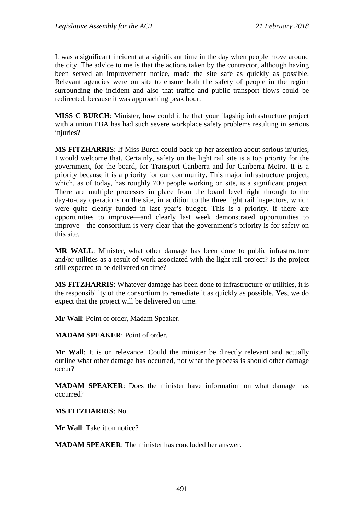It was a significant incident at a significant time in the day when people move around the city. The advice to me is that the actions taken by the contractor, although having been served an improvement notice, made the site safe as quickly as possible. Relevant agencies were on site to ensure both the safety of people in the region surrounding the incident and also that traffic and public transport flows could be redirected, because it was approaching peak hour.

**MISS C BURCH**: Minister, how could it be that your flagship infrastructure project with a union EBA has had such severe workplace safety problems resulting in serious injuries?

**MS FITZHARRIS**: If Miss Burch could back up her assertion about serious injuries, I would welcome that. Certainly, safety on the light rail site is a top priority for the government, for the board, for Transport Canberra and for Canberra Metro. It is a priority because it is a priority for our community. This major infrastructure project, which, as of today, has roughly 700 people working on site, is a significant project. There are multiple processes in place from the board level right through to the day-to-day operations on the site, in addition to the three light rail inspectors, which were quite clearly funded in last year's budget. This is a priority. If there are opportunities to improve—and clearly last week demonstrated opportunities to improve—the consortium is very clear that the government's priority is for safety on this site.

**MR WALL**: Minister, what other damage has been done to public infrastructure and/or utilities as a result of work associated with the light rail project? Is the project still expected to be delivered on time?

**MS FITZHARRIS**: Whatever damage has been done to infrastructure or utilities, it is the responsibility of the consortium to remediate it as quickly as possible. Yes, we do expect that the project will be delivered on time.

**Mr Wall**: Point of order, Madam Speaker.

**MADAM SPEAKER**: Point of order.

**Mr Wall**: It is on relevance. Could the minister be directly relevant and actually outline what other damage has occurred, not what the process is should other damage occur?

**MADAM SPEAKER**: Does the minister have information on what damage has occurred?

#### **MS FITZHARRIS**: No.

**Mr Wall**: Take it on notice?

**MADAM SPEAKER**: The minister has concluded her answer.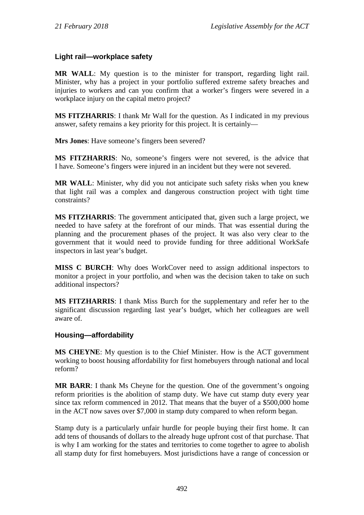## **Light rail—workplace safety**

**MR WALL**: My question is to the minister for transport, regarding light rail. Minister, why has a project in your portfolio suffered extreme safety breaches and injuries to workers and can you confirm that a worker's fingers were severed in a workplace injury on the capital metro project?

**MS FITZHARRIS**: I thank Mr Wall for the question. As I indicated in my previous answer, safety remains a key priority for this project. It is certainly—

**Mrs Jones**: Have someone's fingers been severed?

**MS FITZHARRIS**: No, someone's fingers were not severed, is the advice that I have. Someone's fingers were injured in an incident but they were not severed.

**MR WALL**: Minister, why did you not anticipate such safety risks when you knew that light rail was a complex and dangerous construction project with tight time constraints?

**MS FITZHARRIS**: The government anticipated that, given such a large project, we needed to have safety at the forefront of our minds. That was essential during the planning and the procurement phases of the project. It was also very clear to the government that it would need to provide funding for three additional WorkSafe inspectors in last year's budget.

**MISS C BURCH**: Why does WorkCover need to assign additional inspectors to monitor a project in your portfolio, and when was the decision taken to take on such additional inspectors?

**MS FITZHARRIS**: I thank Miss Burch for the supplementary and refer her to the significant discussion regarding last year's budget, which her colleagues are well aware of.

#### **Housing—affordability**

**MS CHEYNE**: My question is to the Chief Minister. How is the ACT government working to boost housing affordability for first homebuyers through national and local reform?

**MR BARR**: I thank Ms Cheyne for the question. One of the government's ongoing reform priorities is the abolition of stamp duty. We have cut stamp duty every year since tax reform commenced in 2012. That means that the buyer of a \$500,000 home in the ACT now saves over \$7,000 in stamp duty compared to when reform began.

Stamp duty is a particularly unfair hurdle for people buying their first home. It can add tens of thousands of dollars to the already huge upfront cost of that purchase. That is why I am working for the states and territories to come together to agree to abolish all stamp duty for first homebuyers. Most jurisdictions have a range of concession or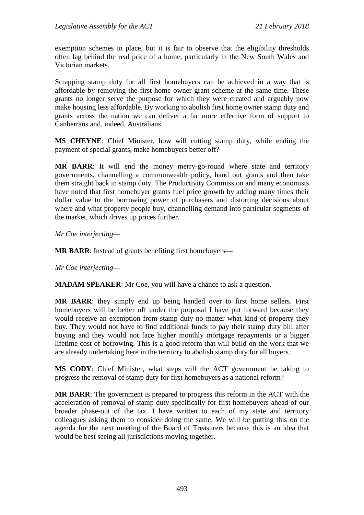exemption schemes in place, but it is fair to observe that the eligibility thresholds often lag behind the real price of a home, particularly in the New South Wales and Victorian markets.

Scrapping stamp duty for all first homebuyers can be achieved in a way that is affordable by removing the first home owner grant scheme at the same time. These grants no longer serve the purpose for which they were created and arguably now make housing less affordable. By working to abolish first home owner stamp duty and grants across the nation we can deliver a far more effective form of support to Canberrans and, indeed, Australians.

**MS CHEYNE**: Chief Minister, how will cutting stamp duty, while ending the payment of special grants, make homebuyers better off?

**MR BARR**: It will end the money merry-go-round where state and territory governments, channelling a commonwealth policy, hand out grants and then take them straight back in stamp duty. The Productivity Commission and many economists have noted that first homebuyer grants fuel price growth by adding many times their dollar value to the borrowing power of purchasers and distorting decisions about where and what property people buy, channelling demand into particular segments of the market, which drives up prices further.

*Mr Coe interjecting—*

**MR BARR**: Instead of grants benefiting first homebuyers—

*Mr Coe interjecting—*

**MADAM SPEAKER**: Mr Coe, you will have a chance to ask a question.

**MR BARR**: they simply end up being handed over to first home sellers. First homebuyers will be better off under the proposal I have put forward because they would receive an exemption from stamp duty no matter what kind of property they buy. They would not have to find additional funds to pay their stamp duty bill after buying and they would not face higher monthly mortgage repayments or a bigger lifetime cost of borrowing. This is a good reform that will build on the work that we are already undertaking here in the territory to abolish stamp duty for all buyers.

**MS CODY**: Chief Minister, what steps will the ACT government be taking to progress the removal of stamp duty for first homebuyers as a national reform?

**MR BARR**: The government is prepared to progress this reform in the ACT with the acceleration of removal of stamp duty specifically for first homebuyers ahead of our broader phase-out of the tax. I have written to each of my state and territory colleagues asking them to consider doing the same. We will be putting this on the agenda for the next meeting of the Board of Treasurers because this is an idea that would be best seeing all jurisdictions moving together.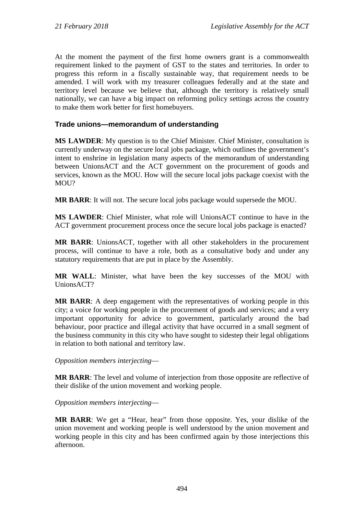At the moment the payment of the first home owners grant is a commonwealth requirement linked to the payment of GST to the states and territories. In order to progress this reform in a fiscally sustainable way, that requirement needs to be amended. I will work with my treasurer colleagues federally and at the state and territory level because we believe that, although the territory is relatively small nationally, we can have a big impact on reforming policy settings across the country to make them work better for first homebuyers.

## **Trade unions—memorandum of understanding**

**MS LAWDER**: My question is to the Chief Minister. Chief Minister, consultation is currently underway on the secure local jobs package, which outlines the government's intent to enshrine in legislation many aspects of the memorandum of understanding between UnionsACT and the ACT government on the procurement of goods and services, known as the MOU. How will the secure local jobs package coexist with the MOU?

**MR BARR**: It will not. The secure local jobs package would supersede the MOU.

**MS LAWDER**: Chief Minister, what role will UnionsACT continue to have in the ACT government procurement process once the secure local jobs package is enacted?

**MR BARR**: UnionsACT, together with all other stakeholders in the procurement process, will continue to have a role, both as a consultative body and under any statutory requirements that are put in place by the Assembly.

**MR WALL**: Minister, what have been the key successes of the MOU with UnionsACT?

**MR BARR**: A deep engagement with the representatives of working people in this city; a voice for working people in the procurement of goods and services; and a very important opportunity for advice to government, particularly around the bad behaviour, poor practice and illegal activity that have occurred in a small segment of the business community in this city who have sought to sidestep their legal obligations in relation to both national and territory law.

*Opposition members interjecting*—

**MR BARR**: The level and volume of interjection from those opposite are reflective of their dislike of the union movement and working people.

*Opposition members interjecting*—

**MR BARR**: We get a "Hear, hear" from those opposite. Yes, your dislike of the union movement and working people is well understood by the union movement and working people in this city and has been confirmed again by those interjections this afternoon.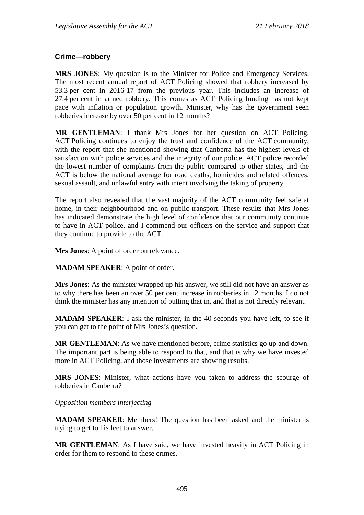### **Crime—robbery**

**MRS JONES**: My question is to the Minister for Police and Emergency Services. The most recent annual report of ACT Policing showed that robbery increased by 53.3 per cent in 2016-17 from the previous year. This includes an increase of 27.4 per cent in armed robbery. This comes as ACT Policing funding has not kept pace with inflation or population growth. Minister, why has the government seen robberies increase by over 50 per cent in 12 months?

**MR GENTLEMAN**: I thank Mrs Jones for her question on ACT Policing. ACT Policing continues to enjoy the trust and confidence of the ACT community, with the report that she mentioned showing that Canberra has the highest levels of satisfaction with police services and the integrity of our police. ACT police recorded the lowest number of complaints from the public compared to other states, and the ACT is below the national average for road deaths, homicides and related offences, sexual assault, and unlawful entry with intent involving the taking of property.

The report also revealed that the vast majority of the ACT community feel safe at home, in their neighbourhood and on public transport. These results that Mrs Jones has indicated demonstrate the high level of confidence that our community continue to have in ACT police, and I commend our officers on the service and support that they continue to provide to the ACT.

**Mrs Jones**: A point of order on relevance.

**MADAM SPEAKER**: A point of order.

**Mrs Jones**: As the minister wrapped up his answer, we still did not have an answer as to why there has been an over 50 per cent increase in robberies in 12 months. I do not think the minister has any intention of putting that in, and that is not directly relevant.

**MADAM SPEAKER**: I ask the minister, in the 40 seconds you have left, to see if you can get to the point of Mrs Jones's question.

**MR GENTLEMAN**: As we have mentioned before, crime statistics go up and down. The important part is being able to respond to that, and that is why we have invested more in ACT Policing, and those investments are showing results.

**MRS JONES**: Minister, what actions have you taken to address the scourge of robberies in Canberra?

*Opposition members interjecting*—

**MADAM SPEAKER**: Members! The question has been asked and the minister is trying to get to his feet to answer.

**MR GENTLEMAN**: As I have said, we have invested heavily in ACT Policing in order for them to respond to these crimes.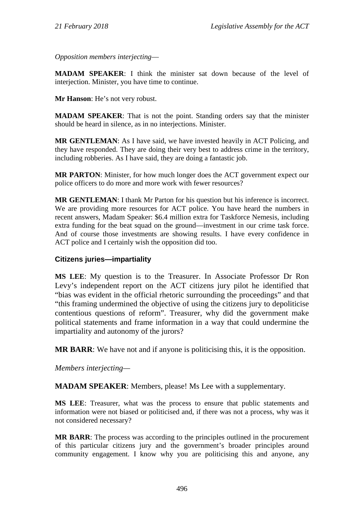*Opposition members interjecting*—

**MADAM SPEAKER**: I think the minister sat down because of the level of interjection. Minister, you have time to continue.

**Mr Hanson**: He's not very robust.

**MADAM SPEAKER**: That is not the point. Standing orders say that the minister should be heard in silence, as in no interjections. Minister.

**MR GENTLEMAN**: As I have said, we have invested heavily in ACT Policing, and they have responded. They are doing their very best to address crime in the territory, including robberies. As I have said, they are doing a fantastic job.

**MR PARTON**: Minister, for how much longer does the ACT government expect our police officers to do more and more work with fewer resources?

**MR GENTLEMAN**: I thank Mr Parton for his question but his inference is incorrect. We are providing more resources for ACT police. You have heard the numbers in recent answers, Madam Speaker: \$6.4 million extra for Taskforce Nemesis, including extra funding for the beat squad on the ground—investment in our crime task force. And of course those investments are showing results. I have every confidence in ACT police and I certainly wish the opposition did too.

#### **Citizens juries—impartiality**

**MS LEE**: My question is to the Treasurer. In Associate Professor Dr Ron Levy's independent report on the ACT citizens jury pilot he identified that "bias was evident in the official rhetoric surrounding the proceedings" and that "this framing undermined the objective of using the citizens jury to depoliticise contentious questions of reform". Treasurer, why did the government make political statements and frame information in a way that could undermine the impartiality and autonomy of the jurors?

**MR BARR**: We have not and if anyone is politicising this, it is the opposition.

*Members interjecting—*

**MADAM SPEAKER**: Members, please! Ms Lee with a supplementary.

**MS LEE**: Treasurer, what was the process to ensure that public statements and information were not biased or politicised and, if there was not a process, why was it not considered necessary?

**MR BARR**: The process was according to the principles outlined in the procurement of this particular citizens jury and the government's broader principles around community engagement. I know why you are politicising this and anyone, any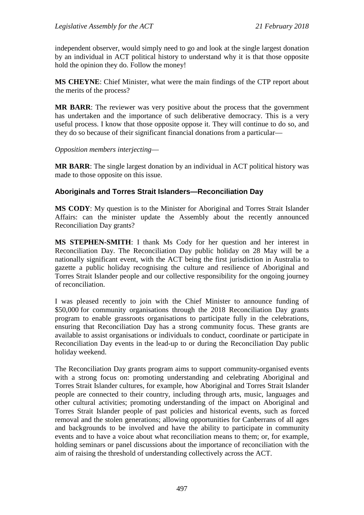independent observer, would simply need to go and look at the single largest donation by an individual in ACT political history to understand why it is that those opposite hold the opinion they do. Follow the money!

**MS CHEYNE**: Chief Minister, what were the main findings of the CTP report about the merits of the process?

**MR BARR**: The reviewer was very positive about the process that the government has undertaken and the importance of such deliberative democracy. This is a very useful process. I know that those opposite oppose it. They will continue to do so, and they do so because of their significant financial donations from a particular—

*Opposition members interjecting*—

**MR BARR**: The single largest donation by an individual in ACT political history was made to those opposite on this issue.

### **Aboriginals and Torres Strait Islanders—Reconciliation Day**

**MS CODY**: My question is to the Minister for Aboriginal and Torres Strait Islander Affairs: can the minister update the Assembly about the recently announced Reconciliation Day grants?

**MS STEPHEN-SMITH**: I thank Ms Cody for her question and her interest in Reconciliation Day. The Reconciliation Day public holiday on 28 May will be a nationally significant event, with the ACT being the first jurisdiction in Australia to gazette a public holiday recognising the culture and resilience of Aboriginal and Torres Strait Islander people and our collective responsibility for the ongoing journey of reconciliation.

I was pleased recently to join with the Chief Minister to announce funding of \$50,000 for community organisations through the 2018 Reconciliation Day grants program to enable grassroots organisations to participate fully in the celebrations, ensuring that Reconciliation Day has a strong community focus. These grants are available to assist organisations or individuals to conduct, coordinate or participate in Reconciliation Day events in the lead-up to or during the Reconciliation Day public holiday weekend.

The Reconciliation Day grants program aims to support community-organised events with a strong focus on: promoting understanding and celebrating Aboriginal and Torres Strait Islander cultures, for example, how Aboriginal and Torres Strait Islander people are connected to their country, including through arts, music, languages and other cultural activities; promoting understanding of the impact on Aboriginal and Torres Strait Islander people of past policies and historical events, such as forced removal and the stolen generations; allowing opportunities for Canberrans of all ages and backgrounds to be involved and have the ability to participate in community events and to have a voice about what reconciliation means to them; or, for example, holding seminars or panel discussions about the importance of reconciliation with the aim of raising the threshold of understanding collectively across the ACT.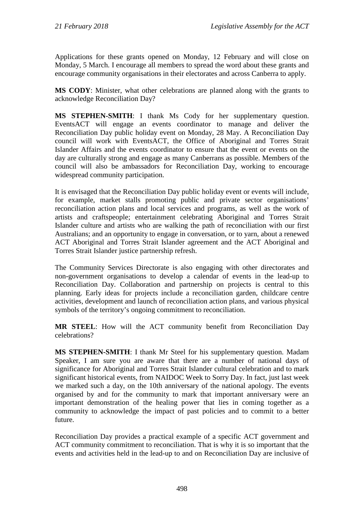Applications for these grants opened on Monday, 12 February and will close on Monday, 5 March. I encourage all members to spread the word about these grants and encourage community organisations in their electorates and across Canberra to apply.

**MS CODY**: Minister, what other celebrations are planned along with the grants to acknowledge Reconciliation Day?

**MS STEPHEN-SMITH**: I thank Ms Cody for her supplementary question. EventsACT will engage an events coordinator to manage and deliver the Reconciliation Day public holiday event on Monday, 28 May. A Reconciliation Day council will work with EventsACT, the Office of Aboriginal and Torres Strait Islander Affairs and the events coordinator to ensure that the event or events on the day are culturally strong and engage as many Canberrans as possible. Members of the council will also be ambassadors for Reconciliation Day, working to encourage widespread community participation.

It is envisaged that the Reconciliation Day public holiday event or events will include, for example, market stalls promoting public and private sector organisations' reconciliation action plans and local services and programs, as well as the work of artists and craftspeople; entertainment celebrating Aboriginal and Torres Strait Islander culture and artists who are walking the path of reconciliation with our first Australians; and an opportunity to engage in conversation, or to yarn, about a renewed ACT Aboriginal and Torres Strait Islander agreement and the ACT Aboriginal and Torres Strait Islander justice partnership refresh.

The Community Services Directorate is also engaging with other directorates and non-government organisations to develop a calendar of events in the lead-up to Reconciliation Day. Collaboration and partnership on projects is central to this planning. Early ideas for projects include a reconciliation garden, childcare centre activities, development and launch of reconciliation action plans, and various physical symbols of the territory's ongoing commitment to reconciliation.

**MR STEEL**: How will the ACT community benefit from Reconciliation Day celebrations?

**MS STEPHEN-SMITH**: I thank Mr Steel for his supplementary question. Madam Speaker, I am sure you are aware that there are a number of national days of significance for Aboriginal and Torres Strait Islander cultural celebration and to mark significant historical events, from NAIDOC Week to Sorry Day. In fact, just last week we marked such a day, on the 10th anniversary of the national apology. The events organised by and for the community to mark that important anniversary were an important demonstration of the healing power that lies in coming together as a community to acknowledge the impact of past policies and to commit to a better future.

Reconciliation Day provides a practical example of a specific ACT government and ACT community commitment to reconciliation. That is why it is so important that the events and activities held in the lead-up to and on Reconciliation Day are inclusive of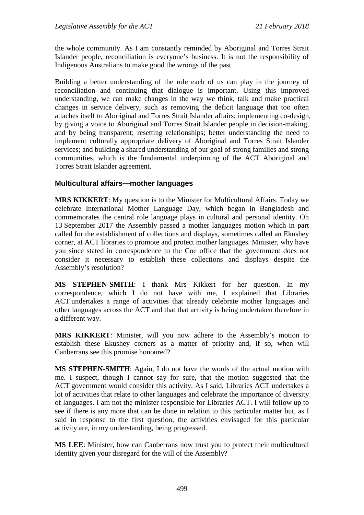the whole community. As I am constantly reminded by Aboriginal and Torres Strait Islander people, reconciliation is everyone's business. It is not the responsibility of Indigenous Australians to make good the wrongs of the past.

Building a better understanding of the role each of us can play in the journey of reconciliation and continuing that dialogue is important. Using this improved understanding, we can make changes in the way we think, talk and make practical changes in service delivery, such as removing the deficit language that too often attaches itself to Aboriginal and Torres Strait Islander affairs; implementing co-design, by giving a voice to Aboriginal and Torres Strait Islander people in decision-making, and by being transparent; resetting relationships; better understanding the need to implement culturally appropriate delivery of Aboriginal and Torres Strait Islander services; and building a shared understanding of our goal of strong families and strong communities, which is the fundamental underpinning of the ACT Aboriginal and Torres Strait Islander agreement.

### **Multicultural affairs—mother languages**

**MRS KIKKERT**: My question is to the Minister for Multicultural Affairs. Today we celebrate International Mother Language Day, which began in Bangladesh and commemorates the central role language plays in cultural and personal identity. On 13 September 2017 the Assembly passed a mother languages motion which in part called for the establishment of collections and displays, sometimes called an Ekushey corner, at ACT libraries to promote and protect mother languages. Minister, why have you since stated in correspondence to the Coe office that the government does not consider it necessary to establish these collections and displays despite the Assembly's resolution?

**MS STEPHEN-SMITH**: I thank Mrs Kikkert for her question. In my correspondence, which I do not have with me, I explained that Libraries ACT undertakes a range of activities that already celebrate mother languages and other languages across the ACT and that that activity is being undertaken therefore in a different way.

**MRS KIKKERT**: Minister, will you now adhere to the Assembly's motion to establish these Ekushey corners as a matter of priority and, if so, when will Canberrans see this promise honoured?

**MS STEPHEN-SMITH**: Again, I do not have the words of the actual motion with me. I suspect, though I cannot say for sure, that the motion suggested that the ACT government would consider this activity. As I said, Libraries ACT undertakes a lot of activities that relate to other languages and celebrate the importance of diversity of languages. I am not the minister responsible for Libraries ACT. I will follow up to see if there is any more that can be done in relation to this particular matter but, as I said in response to the first question, the activities envisaged for this particular activity are, in my understanding, being progressed.

**MS LEE**: Minister, how can Canberrans now trust you to protect their multicultural identity given your disregard for the will of the Assembly?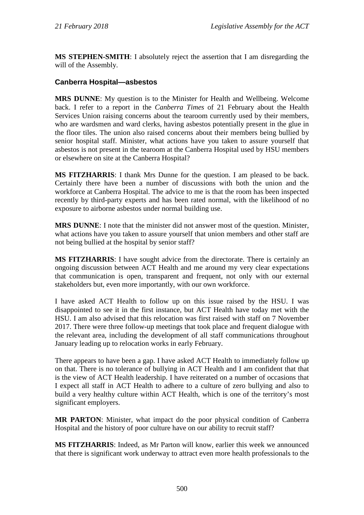**MS STEPHEN-SMITH**: I absolutely reject the assertion that I am disregarding the will of the Assembly.

## **Canberra Hospital—asbestos**

**MRS DUNNE**: My question is to the Minister for Health and Wellbeing. Welcome back. I refer to a report in the *Canberra Times* of 21 February about the Health Services Union raising concerns about the tearoom currently used by their members, who are wardsmen and ward clerks, having asbestos potentially present in the glue in the floor tiles. The union also raised concerns about their members being bullied by senior hospital staff. Minister, what actions have you taken to assure yourself that asbestos is not present in the tearoom at the Canberra Hospital used by HSU members or elsewhere on site at the Canberra Hospital?

**MS FITZHARRIS**: I thank Mrs Dunne for the question. I am pleased to be back. Certainly there have been a number of discussions with both the union and the workforce at Canberra Hospital. The advice to me is that the room has been inspected recently by third-party experts and has been rated normal, with the likelihood of no exposure to airborne asbestos under normal building use.

**MRS DUNNE**: I note that the minister did not answer most of the question. Minister, what actions have you taken to assure yourself that union members and other staff are not being bullied at the hospital by senior staff?

**MS FITZHARRIS**: I have sought advice from the directorate. There is certainly an ongoing discussion between ACT Health and me around my very clear expectations that communication is open, transparent and frequent, not only with our external stakeholders but, even more importantly, with our own workforce.

I have asked ACT Health to follow up on this issue raised by the HSU. I was disappointed to see it in the first instance, but ACT Health have today met with the HSU. I am also advised that this relocation was first raised with staff on 7 November 2017. There were three follow-up meetings that took place and frequent dialogue with the relevant area, including the development of all staff communications throughout January leading up to relocation works in early February.

There appears to have been a gap. I have asked ACT Health to immediately follow up on that. There is no tolerance of bullying in ACT Health and I am confident that that is the view of ACT Health leadership. I have reiterated on a number of occasions that I expect all staff in ACT Health to adhere to a culture of zero bullying and also to build a very healthy culture within ACT Health, which is one of the territory's most significant employers.

**MR PARTON**: Minister, what impact do the poor physical condition of Canberra Hospital and the history of poor culture have on our ability to recruit staff?

**MS FITZHARRIS**: Indeed, as Mr Parton will know, earlier this week we announced that there is significant work underway to attract even more health professionals to the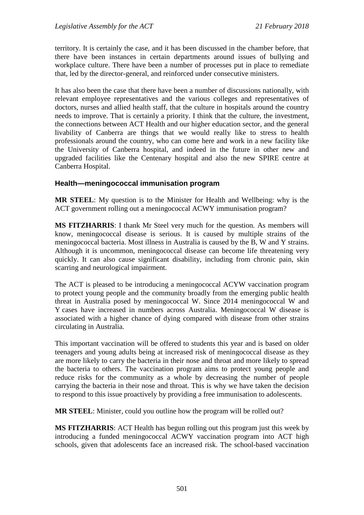territory. It is certainly the case, and it has been discussed in the chamber before, that there have been instances in certain departments around issues of bullying and workplace culture. There have been a number of processes put in place to remediate that, led by the director-general, and reinforced under consecutive ministers.

It has also been the case that there have been a number of discussions nationally, with relevant employee representatives and the various colleges and representatives of doctors, nurses and allied health staff, that the culture in hospitals around the country needs to improve. That is certainly a priority. I think that the culture, the investment, the connections between ACT Health and our higher education sector, and the general livability of Canberra are things that we would really like to stress to health professionals around the country, who can come here and work in a new facility like the University of Canberra hospital, and indeed in the future in other new and upgraded facilities like the Centenary hospital and also the new SPIRE centre at Canberra Hospital.

### **Health—meningococcal immunisation program**

**MR STEEL**: My question is to the Minister for Health and Wellbeing: why is the ACT government rolling out a meningococcal ACWY immunisation program?

**MS FITZHARRIS**: I thank Mr Steel very much for the question. As members will know, meningococcal disease is serious. It is caused by multiple strains of the meningococcal bacteria. Most illness in Australia is caused by the B, W and Y strains. Although it is uncommon, meningococcal disease can become life threatening very quickly. It can also cause significant disability, including from chronic pain, skin scarring and neurological impairment.

The ACT is pleased to be introducing a meningococcal ACYW vaccination program to protect young people and the community broadly from the emerging public health threat in Australia posed by meningococcal W. Since 2014 meningococcal W and Y cases have increased in numbers across Australia. Meningococcal W disease is associated with a higher chance of dying compared with disease from other strains circulating in Australia.

This important vaccination will be offered to students this year and is based on older teenagers and young adults being at increased risk of meningococcal disease as they are more likely to carry the bacteria in their nose and throat and more likely to spread the bacteria to others. The vaccination program aims to protect young people and reduce risks for the community as a whole by decreasing the number of people carrying the bacteria in their nose and throat. This is why we have taken the decision to respond to this issue proactively by providing a free immunisation to adolescents.

**MR STEEL**: Minister, could you outline how the program will be rolled out?

**MS FITZHARRIS**: ACT Health has begun rolling out this program just this week by introducing a funded meningococcal ACWY vaccination program into ACT high schools, given that adolescents face an increased risk. The school-based vaccination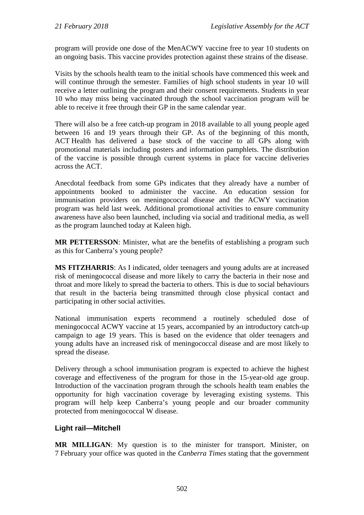program will provide one dose of the MenACWY vaccine free to year 10 students on an ongoing basis. This vaccine provides protection against these strains of the disease.

Visits by the schools health team to the initial schools have commenced this week and will continue through the semester. Families of high school students in year 10 will receive a letter outlining the program and their consent requirements. Students in year 10 who may miss being vaccinated through the school vaccination program will be able to receive it free through their GP in the same calendar year.

There will also be a free catch-up program in 2018 available to all young people aged between 16 and 19 years through their GP. As of the beginning of this month, ACT Health has delivered a base stock of the vaccine to all GPs along with promotional materials including posters and information pamphlets. The distribution of the vaccine is possible through current systems in place for vaccine deliveries across the ACT.

Anecdotal feedback from some GPs indicates that they already have a number of appointments booked to administer the vaccine. An education session for immunisation providers on meningococcal disease and the ACWY vaccination program was held last week. Additional promotional activities to ensure community awareness have also been launched, including via social and traditional media, as well as the program launched today at Kaleen high.

**MR PETTERSSON**: Minister, what are the benefits of establishing a program such as this for Canberra's young people?

**MS FITZHARRIS**: As I indicated, older teenagers and young adults are at increased risk of meningococcal disease and more likely to carry the bacteria in their nose and throat and more likely to spread the bacteria to others. This is due to social behaviours that result in the bacteria being transmitted through close physical contact and participating in other social activities.

National immunisation experts recommend a routinely scheduled dose of meningococcal ACWY vaccine at 15 years, accompanied by an introductory catch-up campaign to age 19 years. This is based on the evidence that older teenagers and young adults have an increased risk of meningococcal disease and are most likely to spread the disease.

Delivery through a school immunisation program is expected to achieve the highest coverage and effectiveness of the program for those in the 15-year-old age group. Introduction of the vaccination program through the schools health team enables the opportunity for high vaccination coverage by leveraging existing systems. This program will help keep Canberra's young people and our broader community protected from meningococcal W disease.

# **Light rail—Mitchell**

**MR MILLIGAN**: My question is to the minister for transport. Minister, on 7 February your office was quoted in the *Canberra Times* stating that the government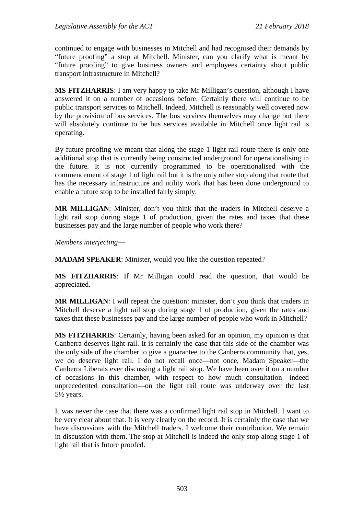continued to engage with businesses in Mitchell and had recognised their demands by "future proofing" a stop at Mitchell. Minister, can you clarify what is meant by "future proofing" to give business owners and employees certainty about public transport infrastructure in Mitchell?

**MS FITZHARRIS**: I am very happy to take Mr Milligan's question, although I have answered it on a number of occasions before. Certainly there will continue to be public transport services to Mitchell. Indeed, Mitchell is reasonably well covered now by the provision of bus services. The bus services themselves may change but there will absolutely continue to be bus services available in Mitchell once light rail is operating.

By future proofing we meant that along the stage 1 light rail route there is only one additional stop that is currently being constructed underground for operationalising in the future. It is not currently programmed to be operationalised with the commencement of stage 1 of light rail but it is the only other stop along that route that has the necessary infrastructure and utility work that has been done underground to enable a future stop to be installed fairly simply.

**MR MILLIGAN**: Minister, don't you think that the traders in Mitchell deserve a light rail stop during stage 1 of production, given the rates and taxes that these businesses pay and the large number of people who work there?

*Members interjecting*—

**MADAM SPEAKER**: Minister, would you like the question repeated?

**MS FITZHARRIS**: If Mr Milligan could read the question, that would be appreciated.

**MR MILLIGAN**: I will repeat the question: minister, don't you think that traders in Mitchell deserve a light rail stop during stage 1 of production, given the rates and taxes that these businesses pay and the large number of people who work in Mitchell?

**MS FITZHARRIS**: Certainly, having been asked for an opinion, my opinion is that Canberra deserves light rail. It is certainly the case that this side of the chamber was the only side of the chamber to give a guarantee to the Canberra community that, yes, we do deserve light rail. I do not recall once—not once, Madam Speaker—the Canberra Liberals ever discussing a light rail stop. We have been over it on a number of occasions in this chamber, with respect to how much consultation—indeed unprecedented consultation—on the light rail route was underway over the last 5½ years.

It was never the case that there was a confirmed light rail stop in Mitchell. I want to be very clear about that. It is very clearly on the record. It is certainly the case that we have discussions with the Mitchell traders. I welcome their contribution. We remain in discussion with them. The stop at Mitchell is indeed the only stop along stage 1 of light rail that is future proofed.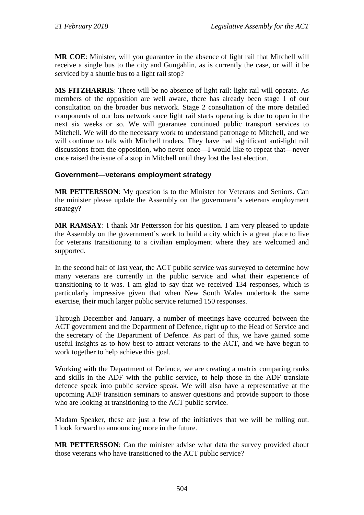**MR COE**: Minister, will you guarantee in the absence of light rail that Mitchell will receive a single bus to the city and Gungahlin, as is currently the case, or will it be serviced by a shuttle bus to a light rail stop?

**MS FITZHARRIS**: There will be no absence of light rail: light rail will operate. As members of the opposition are well aware, there has already been stage 1 of our consultation on the broader bus network. Stage 2 consultation of the more detailed components of our bus network once light rail starts operating is due to open in the next six weeks or so. We will guarantee continued public transport services to Mitchell. We will do the necessary work to understand patronage to Mitchell, and we will continue to talk with Mitchell traders. They have had significant anti-light rail discussions from the opposition, who never once—I would like to repeat that—never once raised the issue of a stop in Mitchell until they lost the last election.

### **Government—veterans employment strategy**

**MR PETTERSSON**: My question is to the Minister for Veterans and Seniors. Can the minister please update the Assembly on the government's veterans employment strategy?

**MR RAMSAY**: I thank Mr Pettersson for his question. I am very pleased to update the Assembly on the government's work to build a city which is a great place to live for veterans transitioning to a civilian employment where they are welcomed and supported.

In the second half of last year, the ACT public service was surveyed to determine how many veterans are currently in the public service and what their experience of transitioning to it was. I am glad to say that we received 134 responses, which is particularly impressive given that when New South Wales undertook the same exercise, their much larger public service returned 150 responses.

Through December and January, a number of meetings have occurred between the ACT government and the Department of Defence, right up to the Head of Service and the secretary of the Department of Defence. As part of this, we have gained some useful insights as to how best to attract veterans to the ACT, and we have begun to work together to help achieve this goal.

Working with the Department of Defence, we are creating a matrix comparing ranks and skills in the ADF with the public service, to help those in the ADF translate defence speak into public service speak. We will also have a representative at the upcoming ADF transition seminars to answer questions and provide support to those who are looking at transitioning to the ACT public service.

Madam Speaker, these are just a few of the initiatives that we will be rolling out. I look forward to announcing more in the future.

**MR PETTERSSON**: Can the minister advise what data the survey provided about those veterans who have transitioned to the ACT public service?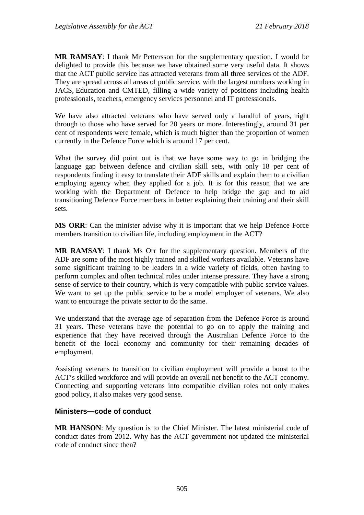**MR RAMSAY**: I thank Mr Pettersson for the supplementary question. I would be delighted to provide this because we have obtained some very useful data. It shows that the ACT public service has attracted veterans from all three services of the ADF. They are spread across all areas of public service, with the largest numbers working in JACS, Education and CMTED, filling a wide variety of positions including health professionals, teachers, emergency services personnel and IT professionals.

We have also attracted veterans who have served only a handful of years, right through to those who have served for 20 years or more. Interestingly, around 31 per cent of respondents were female, which is much higher than the proportion of women currently in the Defence Force which is around 17 per cent.

What the survey did point out is that we have some way to go in bridging the language gap between defence and civilian skill sets, with only 18 per cent of respondents finding it easy to translate their ADF skills and explain them to a civilian employing agency when they applied for a job. It is for this reason that we are working with the Department of Defence to help bridge the gap and to aid transitioning Defence Force members in better explaining their training and their skill sets.

**MS ORR:** Can the minister advise why it is important that we help Defence Force members transition to civilian life, including employment in the ACT?

**MR RAMSAY**: I thank Ms Orr for the supplementary question. Members of the ADF are some of the most highly trained and skilled workers available. Veterans have some significant training to be leaders in a wide variety of fields, often having to perform complex and often technical roles under intense pressure. They have a strong sense of service to their country, which is very compatible with public service values. We want to set up the public service to be a model employer of veterans. We also want to encourage the private sector to do the same.

We understand that the average age of separation from the Defence Force is around 31 years. These veterans have the potential to go on to apply the training and experience that they have received through the Australian Defence Force to the benefit of the local economy and community for their remaining decades of employment.

Assisting veterans to transition to civilian employment will provide a boost to the ACT's skilled workforce and will provide an overall net benefit to the ACT economy. Connecting and supporting veterans into compatible civilian roles not only makes good policy, it also makes very good sense.

#### **Ministers—code of conduct**

**MR HANSON**: My question is to the Chief Minister. The latest ministerial code of conduct dates from 2012. Why has the ACT government not updated the ministerial code of conduct since then?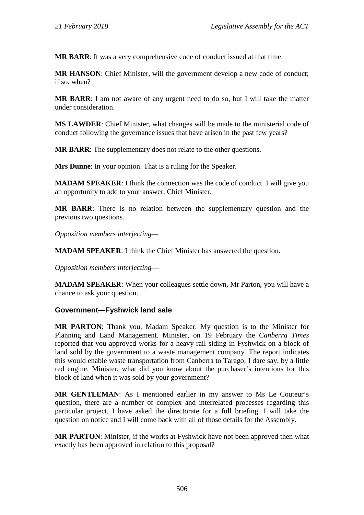**MR BARR**: It was a very comprehensive code of conduct issued at that time.

**MR HANSON**: Chief Minister, will the government develop a new code of conduct; if so, when?

**MR BARR**: I am not aware of any urgent need to do so, but I will take the matter under consideration.

**MS LAWDER**: Chief Minister, what changes will be made to the ministerial code of conduct following the governance issues that have arisen in the past few years?

**MR BARR**: The supplementary does not relate to the other questions.

**Mrs Dunne**: In your opinion. That is a ruling for the Speaker.

**MADAM SPEAKER**: I think the connection was the code of conduct. I will give you an opportunity to add to your answer, Chief Minister.

**MR BARR**: There is no relation between the supplementary question and the previous two questions.

*Opposition members interjecting—*

**MADAM SPEAKER**: I think the Chief Minister has answered the question.

*Opposition members interjecting*—

**MADAM SPEAKER**: When your colleagues settle down, Mr Parton, you will have a chance to ask your question.

#### **Government—Fyshwick land sale**

**MR PARTON**: Thank you, Madam Speaker. My question is to the Minister for Planning and Land Management. Minister, on 19 February the *Canberra Times* reported that you approved works for a heavy rail siding in Fyshwick on a block of land sold by the government to a waste management company. The report indicates this would enable waste transportation from Canberra to Tarago; I dare say, by a little red engine. Minister, what did you know about the purchaser's intentions for this block of land when it was sold by your government?

**MR GENTLEMAN**: As I mentioned earlier in my answer to Ms Le Couteur's question, there are a number of complex and interrelated processes regarding this particular project. I have asked the directorate for a full briefing. I will take the question on notice and I will come back with all of those details for the Assembly.

**MR PARTON**: Minister, if the works at Fyshwick have not been approved then what exactly has been approved in relation to this proposal?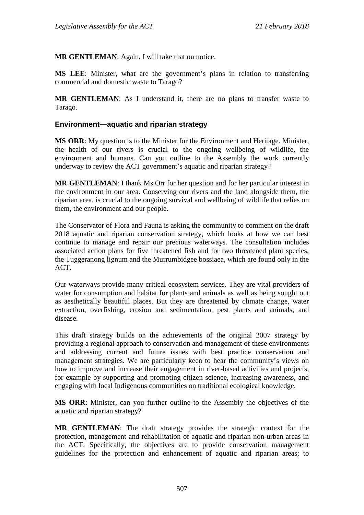**MR GENTLEMAN**: Again, I will take that on notice.

**MS LEE**: Minister, what are the government's plans in relation to transferring commercial and domestic waste to Tarago?

**MR GENTLEMAN**: As I understand it, there are no plans to transfer waste to Tarago.

#### **Environment—aquatic and riparian strategy**

**MS ORR**: My question is to the Minister for the Environment and Heritage. Minister, the health of our rivers is crucial to the ongoing wellbeing of wildlife, the environment and humans. Can you outline to the Assembly the work currently underway to review the ACT government's aquatic and riparian strategy?

**MR GENTLEMAN**: I thank Ms Orr for her question and for her particular interest in the environment in our area. Conserving our rivers and the land alongside them, the riparian area, is crucial to the ongoing survival and wellbeing of wildlife that relies on them, the environment and our people.

The Conservator of Flora and Fauna is asking the community to comment on the draft 2018 aquatic and riparian conservation strategy, which looks at how we can best continue to manage and repair our precious waterways. The consultation includes associated action plans for five threatened fish and for two threatened plant species, the Tuggeranong lignum and the Murrumbidgee bossiaea, which are found only in the ACT.

Our waterways provide many critical ecosystem services. They are vital providers of water for consumption and habitat for plants and animals as well as being sought out as aesthetically beautiful places. But they are threatened by climate change, water extraction, overfishing, erosion and sedimentation, pest plants and animals, and disease.

This draft strategy builds on the achievements of the original 2007 strategy by providing a regional approach to conservation and management of these environments and addressing current and future issues with best practice conservation and management strategies. We are particularly keen to hear the community's views on how to improve and increase their engagement in river-based activities and projects, for example by supporting and promoting citizen science, increasing awareness, and engaging with local Indigenous communities on traditional ecological knowledge.

**MS ORR**: Minister, can you further outline to the Assembly the objectives of the aquatic and riparian strategy?

**MR GENTLEMAN**: The draft strategy provides the strategic context for the protection, management and rehabilitation of aquatic and riparian non-urban areas in the ACT. Specifically, the objectives are to provide conservation management guidelines for the protection and enhancement of aquatic and riparian areas; to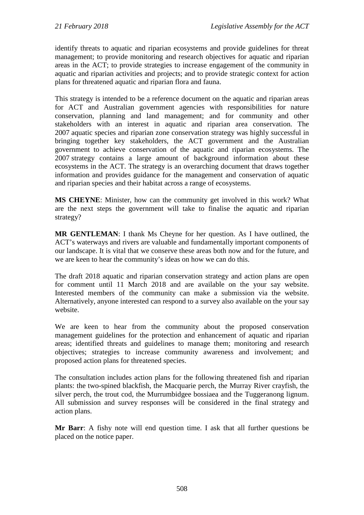identify threats to aquatic and riparian ecosystems and provide guidelines for threat management; to provide monitoring and research objectives for aquatic and riparian areas in the ACT; to provide strategies to increase engagement of the community in aquatic and riparian activities and projects; and to provide strategic context for action plans for threatened aquatic and riparian flora and fauna.

This strategy is intended to be a reference document on the aquatic and riparian areas for ACT and Australian government agencies with responsibilities for nature conservation, planning and land management; and for community and other stakeholders with an interest in aquatic and riparian area conservation. The 2007 aquatic species and riparian zone conservation strategy was highly successful in bringing together key stakeholders, the ACT government and the Australian government to achieve conservation of the aquatic and riparian ecosystems. The 2007 strategy contains a large amount of background information about these ecosystems in the ACT. The strategy is an overarching document that draws together information and provides guidance for the management and conservation of aquatic and riparian species and their habitat across a range of ecosystems.

**MS CHEYNE**: Minister, how can the community get involved in this work? What are the next steps the government will take to finalise the aquatic and riparian strategy?

**MR GENTLEMAN**: I thank Ms Cheyne for her question. As I have outlined, the ACT's waterways and rivers are valuable and fundamentally important components of our landscape. It is vital that we conserve these areas both now and for the future, and we are keen to hear the community's ideas on how we can do this.

The draft 2018 aquatic and riparian conservation strategy and action plans are open for comment until 11 March 2018 and are available on the your say website. Interested members of the community can make a submission via the website. Alternatively, anyone interested can respond to a survey also available on the your say website.

We are keen to hear from the community about the proposed conservation management guidelines for the protection and enhancement of aquatic and riparian areas; identified threats and guidelines to manage them; monitoring and research objectives; strategies to increase community awareness and involvement; and proposed action plans for threatened species.

The consultation includes action plans for the following threatened fish and riparian plants: the two-spined blackfish, the Macquarie perch, the Murray River crayfish, the silver perch, the trout cod, the Murrumbidgee bossiaea and the Tuggeranong lignum. All submission and survey responses will be considered in the final strategy and action plans.

**Mr Barr**: A fishy note will end question time. I ask that all further questions be placed on the notice paper.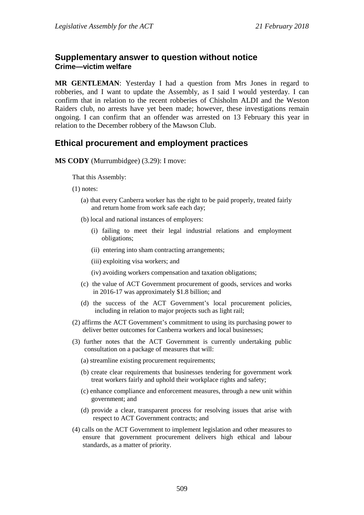## **Supplementary answer to question without notice Crime—victim welfare**

**MR GENTLEMAN**: Yesterday I had a question from Mrs Jones in regard to robberies, and I want to update the Assembly, as I said I would yesterday. I can confirm that in relation to the recent robberies of Chisholm ALDI and the Weston Raiders club, no arrests have yet been made; however, these investigations remain ongoing. I can confirm that an offender was arrested on 13 February this year in relation to the December robbery of the Mawson Club.

# **Ethical procurement and employment practices**

**MS CODY** (Murrumbidgee) (3.29): I move:

That this Assembly:

- (1) notes:
	- (a) that every Canberra worker has the right to be paid properly, treated fairly and return home from work safe each day;
	- (b) local and national instances of employers:
		- (i) failing to meet their legal industrial relations and employment obligations;
		- (ii) entering into sham contracting arrangements;
		- (iii) exploiting visa workers; and
		- (iv) avoiding workers compensation and taxation obligations;
	- (c) the value of ACT Government procurement of goods, services and works in 2016-17 was approximately \$1.8 billion; and
	- (d) the success of the ACT Government's local procurement policies, including in relation to major projects such as light rail;
- (2) affirms the ACT Government's commitment to using its purchasing power to deliver better outcomes for Canberra workers and local businesses;
- (3) further notes that the ACT Government is currently undertaking public consultation on a package of measures that will:
	- (a) streamline existing procurement requirements;
	- (b) create clear requirements that businesses tendering for government work treat workers fairly and uphold their workplace rights and safety;
	- (c) enhance compliance and enforcement measures, through a new unit within government; and
	- (d) provide a clear, transparent process for resolving issues that arise with respect to ACT Government contracts; and
- (4) calls on the ACT Government to implement legislation and other measures to ensure that government procurement delivers high ethical and labour standards, as a matter of priority.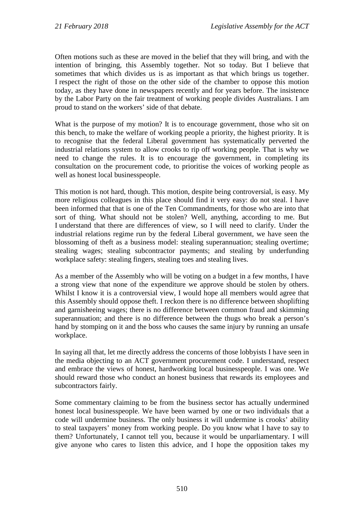Often motions such as these are moved in the belief that they will bring, and with the intention of bringing, this Assembly together. Not so today. But I believe that sometimes that which divides us is as important as that which brings us together. I respect the right of those on the other side of the chamber to oppose this motion today, as they have done in newspapers recently and for years before. The insistence by the Labor Party on the fair treatment of working people divides Australians. I am proud to stand on the workers' side of that debate.

What is the purpose of my motion? It is to encourage government, those who sit on this bench, to make the welfare of working people a priority, the highest priority. It is to recognise that the federal Liberal government has systematically perverted the industrial relations system to allow crooks to rip off working people. That is why we need to change the rules. It is to encourage the government, in completing its consultation on the procurement code, to prioritise the voices of working people as well as honest local businesspeople.

This motion is not hard, though. This motion, despite being controversial, is easy. My more religious colleagues in this place should find it very easy: do not steal. I have been informed that that is one of the Ten Commandments, for those who are into that sort of thing. What should not be stolen? Well, anything, according to me. But I understand that there are differences of view, so I will need to clarify. Under the industrial relations regime run by the federal Liberal government, we have seen the blossoming of theft as a business model: stealing superannuation; stealing overtime; stealing wages; stealing subcontractor payments; and stealing by underfunding workplace safety: stealing fingers, stealing toes and stealing lives.

As a member of the Assembly who will be voting on a budget in a few months, I have a strong view that none of the expenditure we approve should be stolen by others. Whilst I know it is a controversial view, I would hope all members would agree that this Assembly should oppose theft. I reckon there is no difference between shoplifting and garnisheeing wages; there is no difference between common fraud and skimming superannuation; and there is no difference between the thugs who break a person's hand by stomping on it and the boss who causes the same injury by running an unsafe workplace.

In saying all that, let me directly address the concerns of those lobbyists I have seen in the media objecting to an ACT government procurement code. I understand, respect and embrace the views of honest, hardworking local businesspeople. I was one. We should reward those who conduct an honest business that rewards its employees and subcontractors fairly.

Some commentary claiming to be from the business sector has actually undermined honest local businesspeople. We have been warned by one or two individuals that a code will undermine business. The only business it will undermine is crooks' ability to steal taxpayers' money from working people. Do you know what I have to say to them? Unfortunately, I cannot tell you, because it would be unparliamentary. I will give anyone who cares to listen this advice, and I hope the opposition takes my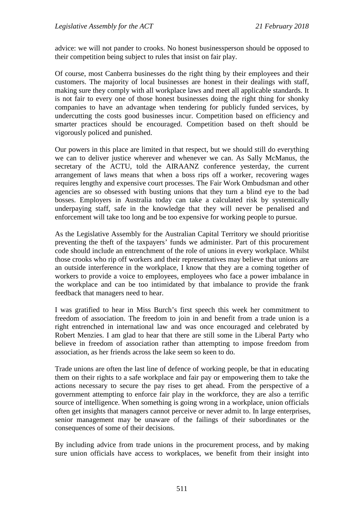advice: we will not pander to crooks. No honest businessperson should be opposed to their competition being subject to rules that insist on fair play.

Of course, most Canberra businesses do the right thing by their employees and their customers. The majority of local businesses are honest in their dealings with staff, making sure they comply with all workplace laws and meet all applicable standards. It is not fair to every one of those honest businesses doing the right thing for shonky companies to have an advantage when tendering for publicly funded services, by undercutting the costs good businesses incur. Competition based on efficiency and smarter practices should be encouraged. Competition based on theft should be vigorously policed and punished.

Our powers in this place are limited in that respect, but we should still do everything we can to deliver justice wherever and whenever we can. As Sally McManus, the secretary of the ACTU, told the AIRAANZ conference yesterday, the current arrangement of laws means that when a boss rips off a worker, recovering wages requires lengthy and expensive court processes. The Fair Work Ombudsman and other agencies are so obsessed with busting unions that they turn a blind eye to the bad bosses. Employers in Australia today can take a calculated risk by systemically underpaying staff, safe in the knowledge that they will never be penalised and enforcement will take too long and be too expensive for working people to pursue.

As the Legislative Assembly for the Australian Capital Territory we should prioritise preventing the theft of the taxpayers' funds we administer. Part of this procurement code should include an entrenchment of the role of unions in every workplace. Whilst those crooks who rip off workers and their representatives may believe that unions are an outside interference in the workplace, I know that they are a coming together of workers to provide a voice to employees, employees who face a power imbalance in the workplace and can be too intimidated by that imbalance to provide the frank feedback that managers need to hear.

I was gratified to hear in Miss Burch's first speech this week her commitment to freedom of association. The freedom to join in and benefit from a trade union is a right entrenched in international law and was once encouraged and celebrated by Robert Menzies. I am glad to hear that there are still some in the Liberal Party who believe in freedom of association rather than attempting to impose freedom from association, as her friends across the lake seem so keen to do.

Trade unions are often the last line of defence of working people, be that in educating them on their rights to a safe workplace and fair pay or empowering them to take the actions necessary to secure the pay rises to get ahead. From the perspective of a government attempting to enforce fair play in the workforce, they are also a terrific source of intelligence. When something is going wrong in a workplace, union officials often get insights that managers cannot perceive or never admit to. In large enterprises, senior management may be unaware of the failings of their subordinates or the consequences of some of their decisions.

By including advice from trade unions in the procurement process, and by making sure union officials have access to workplaces, we benefit from their insight into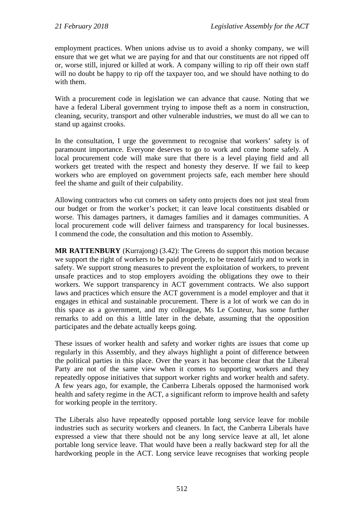employment practices. When unions advise us to avoid a shonky company, we will ensure that we get what we are paying for and that our constituents are not ripped off or, worse still, injured or killed at work. A company willing to rip off their own staff will no doubt be happy to rip off the taxpayer too, and we should have nothing to do with them.

With a procurement code in legislation we can advance that cause. Noting that we have a federal Liberal government trying to impose theft as a norm in construction, cleaning, security, transport and other vulnerable industries, we must do all we can to stand up against crooks.

In the consultation, I urge the government to recognise that workers' safety is of paramount importance. Everyone deserves to go to work and come home safely. A local procurement code will make sure that there is a level playing field and all workers get treated with the respect and honesty they deserve. If we fail to keep workers who are employed on government projects safe, each member here should feel the shame and guilt of their culpability.

Allowing contractors who cut corners on safety onto projects does not just steal from our budget or from the worker's pocket; it can leave local constituents disabled or worse. This damages partners, it damages families and it damages communities. A local procurement code will deliver fairness and transparency for local businesses. I commend the code, the consultation and this motion to Assembly.

**MR RATTENBURY** (Kurrajong) (3.42): The Greens do support this motion because we support the right of workers to be paid properly, to be treated fairly and to work in safety. We support strong measures to prevent the exploitation of workers, to prevent unsafe practices and to stop employers avoiding the obligations they owe to their workers. We support transparency in ACT government contracts. We also support laws and practices which ensure the ACT government is a model employer and that it engages in ethical and sustainable procurement. There is a lot of work we can do in this space as a government, and my colleague, Ms Le Couteur, has some further remarks to add on this a little later in the debate, assuming that the opposition participates and the debate actually keeps going.

These issues of worker health and safety and worker rights are issues that come up regularly in this Assembly, and they always highlight a point of difference between the political parties in this place. Over the years it has become clear that the Liberal Party are not of the same view when it comes to supporting workers and they repeatedly oppose initiatives that support worker rights and worker health and safety. A few years ago, for example, the Canberra Liberals opposed the harmonised work health and safety regime in the ACT, a significant reform to improve health and safety for working people in the territory.

The Liberals also have repeatedly opposed portable long service leave for mobile industries such as security workers and cleaners. In fact, the Canberra Liberals have expressed a view that there should not be any long service leave at all, let alone portable long service leave. That would have been a really backward step for all the hardworking people in the ACT. Long service leave recognises that working people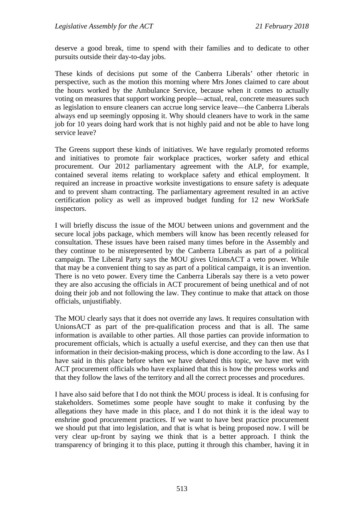deserve a good break, time to spend with their families and to dedicate to other pursuits outside their day-to-day jobs.

These kinds of decisions put some of the Canberra Liberals' other rhetoric in perspective, such as the motion this morning where Mrs Jones claimed to care about the hours worked by the Ambulance Service, because when it comes to actually voting on measures that support working people—actual, real, concrete measures such as legislation to ensure cleaners can accrue long service leave—the Canberra Liberals always end up seemingly opposing it. Why should cleaners have to work in the same job for 10 years doing hard work that is not highly paid and not be able to have long service leave?

The Greens support these kinds of initiatives. We have regularly promoted reforms and initiatives to promote fair workplace practices, worker safety and ethical procurement. Our 2012 parliamentary agreement with the ALP, for example, contained several items relating to workplace safety and ethical employment. It required an increase in proactive worksite investigations to ensure safety is adequate and to prevent sham contracting. The parliamentary agreement resulted in an active certification policy as well as improved budget funding for 12 new WorkSafe inspectors.

I will briefly discuss the issue of the MOU between unions and government and the secure local jobs package, which members will know has been recently released for consultation. These issues have been raised many times before in the Assembly and they continue to be misrepresented by the Canberra Liberals as part of a political campaign. The Liberal Party says the MOU gives UnionsACT a veto power. While that may be a convenient thing to say as part of a political campaign, it is an invention. There is no veto power. Every time the Canberra Liberals say there is a veto power they are also accusing the officials in ACT procurement of being unethical and of not doing their job and not following the law. They continue to make that attack on those officials, unjustifiably.

The MOU clearly says that it does not override any laws. It requires consultation with UnionsACT as part of the pre-qualification process and that is all. The same information is available to other parties. All those parties can provide information to procurement officials, which is actually a useful exercise, and they can then use that information in their decision-making process, which is done according to the law. As I have said in this place before when we have debated this topic, we have met with ACT procurement officials who have explained that this is how the process works and that they follow the laws of the territory and all the correct processes and procedures.

I have also said before that I do not think the MOU process is ideal. It is confusing for stakeholders. Sometimes some people have sought to make it confusing by the allegations they have made in this place, and I do not think it is the ideal way to enshrine good procurement practices. If we want to have best practice procurement we should put that into legislation, and that is what is being proposed now. I will be very clear up-front by saying we think that is a better approach. I think the transparency of bringing it to this place, putting it through this chamber, having it in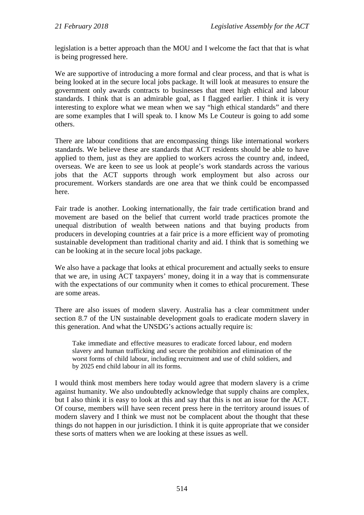legislation is a better approach than the MOU and I welcome the fact that that is what is being progressed here.

We are supportive of introducing a more formal and clear process, and that is what is being looked at in the secure local jobs package. It will look at measures to ensure the government only awards contracts to businesses that meet high ethical and labour standards. I think that is an admirable goal, as I flagged earlier. I think it is very interesting to explore what we mean when we say "high ethical standards" and there are some examples that I will speak to. I know Ms Le Couteur is going to add some others.

There are labour conditions that are encompassing things like international workers standards. We believe these are standards that ACT residents should be able to have applied to them, just as they are applied to workers across the country and, indeed, overseas. We are keen to see us look at people's work standards across the various jobs that the ACT supports through work employment but also across our procurement. Workers standards are one area that we think could be encompassed here.

Fair trade is another. Looking internationally, the fair trade certification brand and movement are based on the belief that current world trade practices promote the unequal distribution of wealth between nations and that buying products from producers in developing countries at a fair price is a more efficient way of promoting sustainable development than traditional charity and aid. I think that is something we can be looking at in the secure local jobs package.

We also have a package that looks at ethical procurement and actually seeks to ensure that we are, in using ACT taxpayers' money, doing it in a way that is commensurate with the expectations of our community when it comes to ethical procurement. These are some areas.

There are also issues of modern slavery. Australia has a clear commitment under section 8.7 of the UN sustainable development goals to eradicate modern slavery in this generation. And what the UNSDG's actions actually require is:

Take immediate and effective measures to eradicate forced labour, end modern slavery and human trafficking and secure the prohibition and elimination of the worst forms of child labour, including recruitment and use of child soldiers, and by 2025 end child labour in all its forms.

I would think most members here today would agree that modern slavery is a crime against humanity. We also undoubtedly acknowledge that supply chains are complex, but I also think it is easy to look at this and say that this is not an issue for the ACT. Of course, members will have seen recent press here in the territory around issues of modern slavery and I think we must not be complacent about the thought that these things do not happen in our jurisdiction. I think it is quite appropriate that we consider these sorts of matters when we are looking at these issues as well.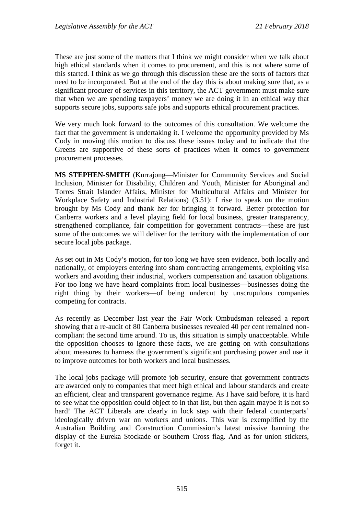These are just some of the matters that I think we might consider when we talk about high ethical standards when it comes to procurement, and this is not where some of this started. I think as we go through this discussion these are the sorts of factors that need to be incorporated. But at the end of the day this is about making sure that, as a significant procurer of services in this territory, the ACT government must make sure that when we are spending taxpayers' money we are doing it in an ethical way that supports secure jobs, supports safe jobs and supports ethical procurement practices.

We very much look forward to the outcomes of this consultation. We welcome the fact that the government is undertaking it. I welcome the opportunity provided by Ms Cody in moving this motion to discuss these issues today and to indicate that the Greens are supportive of these sorts of practices when it comes to government procurement processes.

**MS STEPHEN-SMITH** (Kurrajong—Minister for Community Services and Social Inclusion, Minister for Disability, Children and Youth, Minister for Aboriginal and Torres Strait Islander Affairs, Minister for Multicultural Affairs and Minister for Workplace Safety and Industrial Relations) (3.51): I rise to speak on the motion brought by Ms Cody and thank her for bringing it forward. Better protection for Canberra workers and a level playing field for local business, greater transparency, strengthened compliance, fair competition for government contracts—these are just some of the outcomes we will deliver for the territory with the implementation of our secure local jobs package.

As set out in Ms Cody's motion, for too long we have seen evidence, both locally and nationally, of employers entering into sham contracting arrangements, exploiting visa workers and avoiding their industrial, workers compensation and taxation obligations. For too long we have heard complaints from local businesses—businesses doing the right thing by their workers—of being undercut by unscrupulous companies competing for contracts.

As recently as December last year the Fair Work Ombudsman released a report showing that a re-audit of 80 Canberra businesses revealed 40 per cent remained noncompliant the second time around. To us, this situation is simply unacceptable. While the opposition chooses to ignore these facts, we are getting on with consultations about measures to harness the government's significant purchasing power and use it to improve outcomes for both workers and local businesses.

The local jobs package will promote job security, ensure that government contracts are awarded only to companies that meet high ethical and labour standards and create an efficient, clear and transparent governance regime. As I have said before, it is hard to see what the opposition could object to in that list, but then again maybe it is not so hard! The ACT Liberals are clearly in lock step with their federal counterparts' ideologically driven war on workers and unions. This war is exemplified by the Australian Building and Construction Commission's latest missive banning the display of the Eureka Stockade or Southern Cross flag. And as for union stickers, forget it.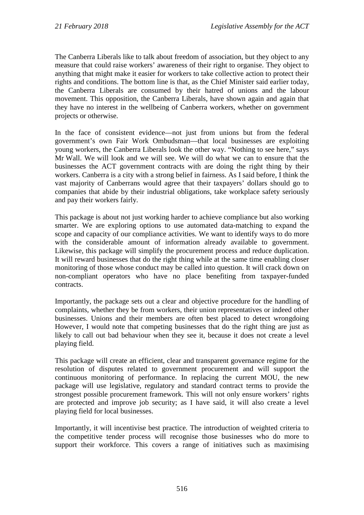The Canberra Liberals like to talk about freedom of association, but they object to any measure that could raise workers' awareness of their right to organise. They object to anything that might make it easier for workers to take collective action to protect their rights and conditions. The bottom line is that, as the Chief Minister said earlier today, the Canberra Liberals are consumed by their hatred of unions and the labour movement. This opposition, the Canberra Liberals, have shown again and again that they have no interest in the wellbeing of Canberra workers, whether on government projects or otherwise.

In the face of consistent evidence—not just from unions but from the federal government's own Fair Work Ombudsman—that local businesses are exploiting young workers, the Canberra Liberals look the other way. "Nothing to see here," says Mr Wall. We will look and we will see. We will do what we can to ensure that the businesses the ACT government contracts with are doing the right thing by their workers. Canberra is a city with a strong belief in fairness. As I said before, I think the vast majority of Canberrans would agree that their taxpayers' dollars should go to companies that abide by their industrial obligations, take workplace safety seriously and pay their workers fairly.

This package is about not just working harder to achieve compliance but also working smarter. We are exploring options to use automated data-matching to expand the scope and capacity of our compliance activities. We want to identify ways to do more with the considerable amount of information already available to government. Likewise, this package will simplify the procurement process and reduce duplication. It will reward businesses that do the right thing while at the same time enabling closer monitoring of those whose conduct may be called into question. It will crack down on non-compliant operators who have no place benefiting from taxpayer-funded contracts.

Importantly, the package sets out a clear and objective procedure for the handling of complaints, whether they be from workers, their union representatives or indeed other businesses. Unions and their members are often best placed to detect wrongdoing However, I would note that competing businesses that do the right thing are just as likely to call out bad behaviour when they see it, because it does not create a level playing field.

This package will create an efficient, clear and transparent governance regime for the resolution of disputes related to government procurement and will support the continuous monitoring of performance. In replacing the current MOU, the new package will use legislative, regulatory and standard contract terms to provide the strongest possible procurement framework. This will not only ensure workers' rights are protected and improve job security; as I have said, it will also create a level playing field for local businesses.

Importantly, it will incentivise best practice. The introduction of weighted criteria to the competitive tender process will recognise those businesses who do more to support their workforce. This covers a range of initiatives such as maximising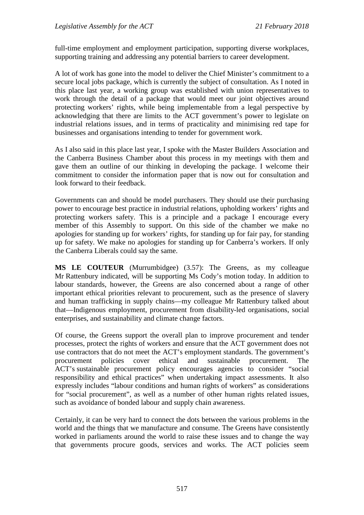full-time employment and employment participation, supporting diverse workplaces, supporting training and addressing any potential barriers to career development.

A lot of work has gone into the model to deliver the Chief Minister's commitment to a secure local jobs package, which is currently the subject of consultation. As I noted in this place last year, a working group was established with union representatives to work through the detail of a package that would meet our joint objectives around protecting workers' rights, while being implementable from a legal perspective by acknowledging that there are limits to the ACT government's power to legislate on industrial relations issues, and in terms of practicality and minimising red tape for businesses and organisations intending to tender for government work.

As I also said in this place last year, I spoke with the Master Builders Association and the Canberra Business Chamber about this process in my meetings with them and gave them an outline of our thinking in developing the package. I welcome their commitment to consider the information paper that is now out for consultation and look forward to their feedback.

Governments can and should be model purchasers. They should use their purchasing power to encourage best practice in industrial relations, upholding workers' rights and protecting workers safety. This is a principle and a package I encourage every member of this Assembly to support. On this side of the chamber we make no apologies for standing up for workers' rights, for standing up for fair pay, for standing up for safety. We make no apologies for standing up for Canberra's workers. If only the Canberra Liberals could say the same.

**MS LE COUTEUR** (Murrumbidgee) (3.57): The Greens, as my colleague Mr Rattenbury indicated, will be supporting Ms Cody's motion today. In addition to labour standards, however, the Greens are also concerned about a range of other important ethical priorities relevant to procurement, such as the presence of slavery and human trafficking in supply chains—my colleague Mr Rattenbury talked about that—Indigenous employment, procurement from disability-led organisations, social enterprises, and sustainability and climate change factors.

Of course, the Greens support the overall plan to improve procurement and tender processes, protect the rights of workers and ensure that the ACT government does not use contractors that do not meet the ACT's employment standards. The government's procurement policies cover ethical and sustainable procurement. The ACT's sustainable procurement policy encourages agencies to consider "social responsibility and ethical practices" when undertaking impact assessments. It also expressly includes "labour conditions and human rights of workers" as considerations for "social procurement", as well as a number of other human rights related issues, such as avoidance of bonded labour and supply chain awareness.

Certainly, it can be very hard to connect the dots between the various problems in the world and the things that we manufacture and consume. The Greens have consistently worked in parliaments around the world to raise these issues and to change the way that governments procure goods, services and works. The ACT policies seem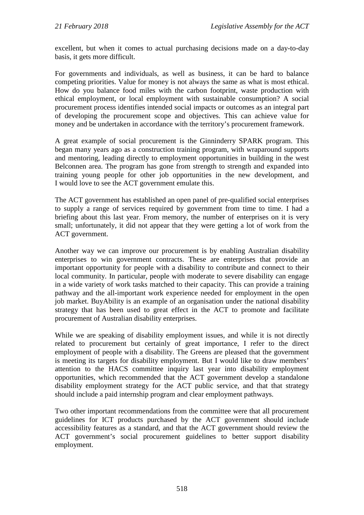excellent, but when it comes to actual purchasing decisions made on a day-to-day basis, it gets more difficult.

For governments and individuals, as well as business, it can be hard to balance competing priorities. Value for money is not always the same as what is most ethical. How do you balance food miles with the carbon footprint, waste production with ethical employment, or local employment with sustainable consumption? A social procurement process identifies intended social impacts or outcomes as an integral part of developing the procurement scope and objectives. This can achieve value for money and be undertaken in accordance with the territory's procurement framework.

A great example of social procurement is the Ginninderry SPARK program. This began many years ago as a construction training program, with wraparound supports and mentoring, leading directly to employment opportunities in building in the west Belconnen area. The program has gone from strength to strength and expanded into training young people for other job opportunities in the new development, and I would love to see the ACT government emulate this.

The ACT government has established an open panel of pre-qualified social enterprises to supply a range of services required by government from time to time. I had a briefing about this last year. From memory, the number of enterprises on it is very small; unfortunately, it did not appear that they were getting a lot of work from the ACT government.

Another way we can improve our procurement is by enabling Australian disability enterprises to win government contracts. These are enterprises that provide an important opportunity for people with a disability to contribute and connect to their local community. In particular, people with moderate to severe disability can engage in a wide variety of work tasks matched to their capacity. This can provide a training pathway and the all-important work experience needed for employment in the open job market. BuyAbility is an example of an organisation under the national disability strategy that has been used to great effect in the ACT to promote and facilitate procurement of Australian disability enterprises.

While we are speaking of disability employment issues, and while it is not directly related to procurement but certainly of great importance, I refer to the direct employment of people with a disability. The Greens are pleased that the government is meeting its targets for disability employment. But I would like to draw members' attention to the HACS committee inquiry last year into disability employment opportunities, which recommended that the ACT government develop a standalone disability employment strategy for the ACT public service, and that that strategy should include a paid internship program and clear employment pathways.

Two other important recommendations from the committee were that all procurement guidelines for ICT products purchased by the ACT government should include accessibility features as a standard, and that the ACT government should review the ACT government's social procurement guidelines to better support disability employment.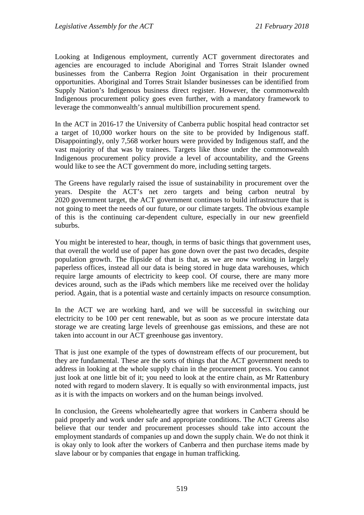Looking at Indigenous employment, currently ACT government directorates and agencies are encouraged to include Aboriginal and Torres Strait Islander owned businesses from the Canberra Region Joint Organisation in their procurement opportunities. Aboriginal and Torres Strait Islander businesses can be identified from Supply Nation's Indigenous business direct register. However, the commonwealth Indigenous procurement policy goes even further, with a mandatory framework to leverage the commonwealth's annual multibillion procurement spend.

In the ACT in 2016-17 the University of Canberra public hospital head contractor set a target of 10,000 worker hours on the site to be provided by Indigenous staff. Disappointingly, only 7,568 worker hours were provided by Indigenous staff, and the vast majority of that was by trainees. Targets like those under the commonwealth Indigenous procurement policy provide a level of accountability, and the Greens would like to see the ACT government do more, including setting targets.

The Greens have regularly raised the issue of sustainability in procurement over the years. Despite the ACT's net zero targets and being carbon neutral by 2020 government target, the ACT government continues to build infrastructure that is not going to meet the needs of our future, or our climate targets. The obvious example of this is the continuing car-dependent culture, especially in our new greenfield suburbs.

You might be interested to hear, though, in terms of basic things that government uses, that overall the world use of paper has gone down over the past two decades, despite population growth. The flipside of that is that, as we are now working in largely paperless offices, instead all our data is being stored in huge data warehouses, which require large amounts of electricity to keep cool. Of course, there are many more devices around, such as the iPads which members like me received over the holiday period. Again, that is a potential waste and certainly impacts on resource consumption.

In the ACT we are working hard, and we will be successful in switching our electricity to be 100 per cent renewable, but as soon as we procure interstate data storage we are creating large levels of greenhouse gas emissions, and these are not taken into account in our ACT greenhouse gas inventory.

That is just one example of the types of downstream effects of our procurement, but they are fundamental. These are the sorts of things that the ACT government needs to address in looking at the whole supply chain in the procurement process. You cannot just look at one little bit of it; you need to look at the entire chain, as Mr Rattenbury noted with regard to modern slavery. It is equally so with environmental impacts, just as it is with the impacts on workers and on the human beings involved.

In conclusion, the Greens wholeheartedly agree that workers in Canberra should be paid properly and work under safe and appropriate conditions. The ACT Greens also believe that our tender and procurement processes should take into account the employment standards of companies up and down the supply chain. We do not think it is okay only to look after the workers of Canberra and then purchase items made by slave labour or by companies that engage in human trafficking.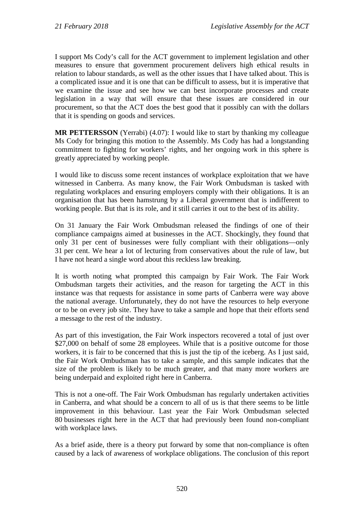I support Ms Cody's call for the ACT government to implement legislation and other measures to ensure that government procurement delivers high ethical results in relation to labour standards, as well as the other issues that I have talked about. This is a complicated issue and it is one that can be difficult to assess, but it is imperative that we examine the issue and see how we can best incorporate processes and create legislation in a way that will ensure that these issues are considered in our procurement, so that the ACT does the best good that it possibly can with the dollars that it is spending on goods and services.

**MR PETTERSSON** (Yerrabi) (4.07): I would like to start by thanking my colleague Ms Cody for bringing this motion to the Assembly. Ms Cody has had a longstanding commitment to fighting for workers' rights, and her ongoing work in this sphere is greatly appreciated by working people.

I would like to discuss some recent instances of workplace exploitation that we have witnessed in Canberra. As many know, the Fair Work Ombudsman is tasked with regulating workplaces and ensuring employers comply with their obligations. It is an organisation that has been hamstrung by a Liberal government that is indifferent to working people. But that is its role, and it still carries it out to the best of its ability.

On 31 January the Fair Work Ombudsman released the findings of one of their compliance campaigns aimed at businesses in the ACT. Shockingly, they found that only 31 per cent of businesses were fully compliant with their obligations—only 31 per cent. We hear a lot of lecturing from conservatives about the rule of law, but I have not heard a single word about this reckless law breaking.

It is worth noting what prompted this campaign by Fair Work. The Fair Work Ombudsman targets their activities, and the reason for targeting the ACT in this instance was that requests for assistance in some parts of Canberra were way above the national average. Unfortunately, they do not have the resources to help everyone or to be on every job site. They have to take a sample and hope that their efforts send a message to the rest of the industry.

As part of this investigation, the Fair Work inspectors recovered a total of just over \$27,000 on behalf of some 28 employees. While that is a positive outcome for those workers, it is fair to be concerned that this is just the tip of the iceberg. As I just said, the Fair Work Ombudsman has to take a sample, and this sample indicates that the size of the problem is likely to be much greater, and that many more workers are being underpaid and exploited right here in Canberra.

This is not a one-off. The Fair Work Ombudsman has regularly undertaken activities in Canberra, and what should be a concern to all of us is that there seems to be little improvement in this behaviour. Last year the Fair Work Ombudsman selected 80 businesses right here in the ACT that had previously been found non-compliant with workplace laws.

As a brief aside, there is a theory put forward by some that non-compliance is often caused by a lack of awareness of workplace obligations. The conclusion of this report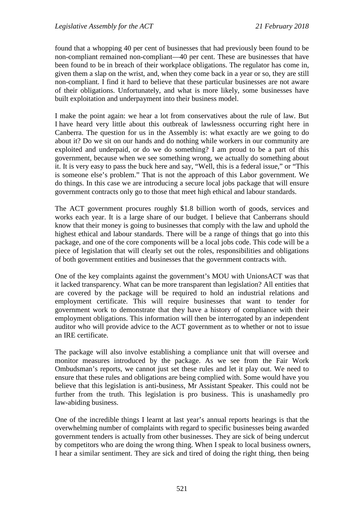found that a whopping 40 per cent of businesses that had previously been found to be non-compliant remained non-compliant—40 per cent. These are businesses that have been found to be in breach of their workplace obligations. The regulator has come in, given them a slap on the wrist, and, when they come back in a year or so, they are still non-compliant. I find it hard to believe that these particular businesses are not aware of their obligations. Unfortunately, and what is more likely, some businesses have built exploitation and underpayment into their business model.

I make the point again: we hear a lot from conservatives about the rule of law. But I have heard very little about this outbreak of lawlessness occurring right here in Canberra. The question for us in the Assembly is: what exactly are we going to do about it? Do we sit on our hands and do nothing while workers in our community are exploited and underpaid, or do we do something? I am proud to be a part of this government, because when we see something wrong, we actually do something about it. It is very easy to pass the buck here and say, "Well, this is a federal issue," or "This is someone else's problem." That is not the approach of this Labor government. We do things. In this case we are introducing a secure local jobs package that will ensure government contracts only go to those that meet high ethical and labour standards.

The ACT government procures roughly \$1.8 billion worth of goods, services and works each year. It is a large share of our budget. I believe that Canberrans should know that their money is going to businesses that comply with the law and uphold the highest ethical and labour standards. There will be a range of things that go into this package, and one of the core components will be a local jobs code. This code will be a piece of legislation that will clearly set out the roles, responsibilities and obligations of both government entities and businesses that the government contracts with.

One of the key complaints against the government's MOU with UnionsACT was that it lacked transparency. What can be more transparent than legislation? All entities that are covered by the package will be required to hold an industrial relations and employment certificate. This will require businesses that want to tender for government work to demonstrate that they have a history of compliance with their employment obligations. This information will then be interrogated by an independent auditor who will provide advice to the ACT government as to whether or not to issue an IRE certificate.

The package will also involve establishing a compliance unit that will oversee and monitor measures introduced by the package. As we see from the Fair Work Ombudsman's reports, we cannot just set these rules and let it play out. We need to ensure that these rules and obligations are being complied with. Some would have you believe that this legislation is anti-business, Mr Assistant Speaker. This could not be further from the truth. This legislation is pro business. This is unashamedly pro law-abiding business.

One of the incredible things I learnt at last year's annual reports hearings is that the overwhelming number of complaints with regard to specific businesses being awarded government tenders is actually from other businesses. They are sick of being undercut by competitors who are doing the wrong thing. When I speak to local business owners, I hear a similar sentiment. They are sick and tired of doing the right thing, then being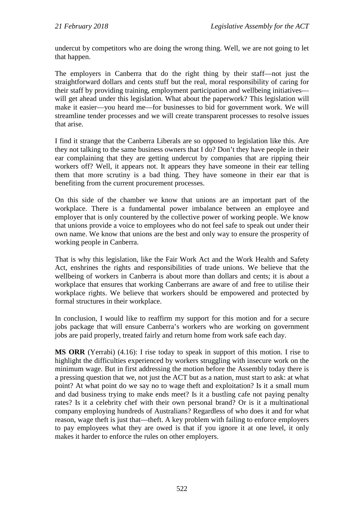undercut by competitors who are doing the wrong thing. Well, we are not going to let that happen.

The employers in Canberra that do the right thing by their staff—not just the straightforward dollars and cents stuff but the real, moral responsibility of caring for their staff by providing training, employment participation and wellbeing initiatives will get ahead under this legislation. What about the paperwork? This legislation will make it easier—you heard me—for businesses to bid for government work. We will streamline tender processes and we will create transparent processes to resolve issues that arise.

I find it strange that the Canberra Liberals are so opposed to legislation like this. Are they not talking to the same business owners that I do? Don't they have people in their ear complaining that they are getting undercut by companies that are ripping their workers off? Well, it appears not. It appears they have someone in their ear telling them that more scrutiny is a bad thing. They have someone in their ear that is benefiting from the current procurement processes.

On this side of the chamber we know that unions are an important part of the workplace. There is a fundamental power imbalance between an employee and employer that is only countered by the collective power of working people. We know that unions provide a voice to employees who do not feel safe to speak out under their own name. We know that unions are the best and only way to ensure the prosperity of working people in Canberra.

That is why this legislation, like the Fair Work Act and the Work Health and Safety Act, enshrines the rights and responsibilities of trade unions. We believe that the wellbeing of workers in Canberra is about more than dollars and cents; it is about a workplace that ensures that working Canberrans are aware of and free to utilise their workplace rights. We believe that workers should be empowered and protected by formal structures in their workplace.

In conclusion, I would like to reaffirm my support for this motion and for a secure jobs package that will ensure Canberra's workers who are working on government jobs are paid properly, treated fairly and return home from work safe each day.

**MS ORR** (Yerrabi) (4.16): I rise today to speak in support of this motion. I rise to highlight the difficulties experienced by workers struggling with insecure work on the minimum wage. But in first addressing the motion before the Assembly today there is a pressing question that we, not just the ACT but as a nation, must start to ask: at what point? At what point do we say no to wage theft and exploitation? Is it a small mum and dad business trying to make ends meet? Is it a bustling cafe not paying penalty rates? Is it a celebrity chef with their own personal brand? Or is it a multinational company employing hundreds of Australians? Regardless of who does it and for what reason, wage theft is just that—theft. A key problem with failing to enforce employers to pay employees what they are owed is that if you ignore it at one level, it only makes it harder to enforce the rules on other employers.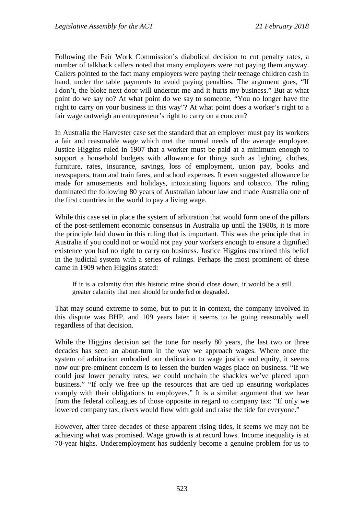Following the Fair Work Commission's diabolical decision to cut penalty rates, a number of talkback callers noted that many employers were not paying them anyway. Callers pointed to the fact many employers were paying their teenage children cash in hand, under the table payments to avoid paying penalties. The argument goes, "If I don't, the bloke next door will undercut me and it hurts my business." But at what point do we say no? At what point do we say to someone, "You no longer have the right to carry on your business in this way"? At what point does a worker's right to a fair wage outweigh an entrepreneur's right to carry on a concern?

In Australia the Harvester case set the standard that an employer must pay its workers a fair and reasonable wage which met the normal needs of the average employee. Justice Higgins ruled in 1907 that a worker must be paid at a minimum enough to support a household budgets with allowance for things such as lighting, clothes, furniture, rates, insurance, savings, loss of employment, union pay, books and newspapers, tram and train fares, and school expenses. It even suggested allowance be made for amusements and holidays, intoxicating liquors and tobacco. The ruling dominated the following 80 years of Australian labour law and made Australia one of the first countries in the world to pay a living wage.

While this case set in place the system of arbitration that would form one of the pillars of the post-settlement economic consensus in Australia up until the 1980s, it is more the principle laid down in this ruling that is important. This was the principle that in Australia if you could not or would not pay your workers enough to ensure a dignified existence you had no right to carry on business. Justice Higgins enshrined this belief in the judicial system with a series of rulings. Perhaps the most prominent of these came in 1909 when Higgins stated:

If it is a calamity that this historic mine should close down, it would be a still greater calamity that men should be underfed or degraded.

That may sound extreme to some, but to put it in context, the company involved in this dispute was BHP, and 109 years later it seems to be going reasonably well regardless of that decision.

While the Higgins decision set the tone for nearly 80 years, the last two or three decades has seen an about-turn in the way we approach wages. Where once the system of arbitration embodied our dedication to wage justice and equity, it seems now our pre-eminent concern is to lessen the burden wages place on business. "If we could just lower penalty rates, we could unchain the shackles we've placed upon business." "If only we free up the resources that are tied up ensuring workplaces comply with their obligations to employees." It is a similar argument that we hear from the federal colleagues of those opposite in regard to company tax: "If only we lowered company tax, rivers would flow with gold and raise the tide for everyone."

However, after three decades of these apparent rising tides, it seems we may not be achieving what was promised. Wage growth is at record lows. Income inequality is at 70-year highs. Underemployment has suddenly become a genuine problem for us to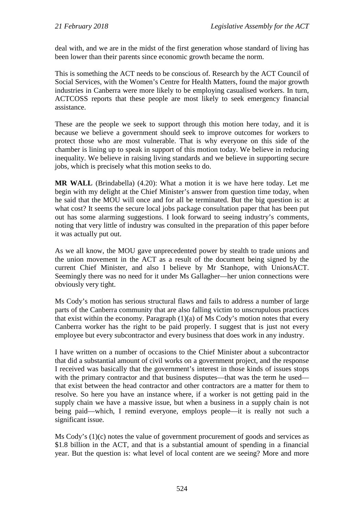deal with, and we are in the midst of the first generation whose standard of living has been lower than their parents since economic growth became the norm.

This is something the ACT needs to be conscious of. Research by the ACT Council of Social Services, with the Women's Centre for Health Matters, found the major growth industries in Canberra were more likely to be employing casualised workers. In turn, ACTCOSS reports that these people are most likely to seek emergency financial assistance.

These are the people we seek to support through this motion here today, and it is because we believe a government should seek to improve outcomes for workers to protect those who are most vulnerable. That is why everyone on this side of the chamber is lining up to speak in support of this motion today. We believe in reducing inequality. We believe in raising living standards and we believe in supporting secure jobs, which is precisely what this motion seeks to do.

**MR WALL** (Brindabella) (4.20): What a motion it is we have here today. Let me begin with my delight at the Chief Minister's answer from question time today, when he said that the MOU will once and for all be terminated. But the big question is: at what cost? It seems the secure local jobs package consultation paper that has been put out has some alarming suggestions. I look forward to seeing industry's comments, noting that very little of industry was consulted in the preparation of this paper before it was actually put out.

As we all know, the MOU gave unprecedented power by stealth to trade unions and the union movement in the ACT as a result of the document being signed by the current Chief Minister, and also I believe by Mr Stanhope, with UnionsACT. Seemingly there was no need for it under Ms Gallagher—her union connections were obviously very tight.

Ms Cody's motion has serious structural flaws and fails to address a number of large parts of the Canberra community that are also falling victim to unscrupulous practices that exist within the economy. Paragraph  $(1)(a)$  of Ms Cody's motion notes that every Canberra worker has the right to be paid properly. I suggest that is just not every employee but every subcontractor and every business that does work in any industry.

I have written on a number of occasions to the Chief Minister about a subcontractor that did a substantial amount of civil works on a government project, and the response I received was basically that the government's interest in those kinds of issues stops with the primary contractor and that business disputes—that was the term he used that exist between the head contractor and other contractors are a matter for them to resolve. So here you have an instance where, if a worker is not getting paid in the supply chain we have a massive issue, but when a business in a supply chain is not being paid—which, I remind everyone, employs people—it is really not such a significant issue.

Ms Cody's (1)(c) notes the value of government procurement of goods and services as \$1.8 billion in the ACT, and that is a substantial amount of spending in a financial year. But the question is: what level of local content are we seeing? More and more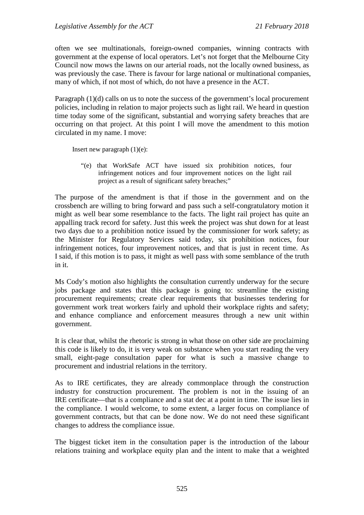often we see multinationals, foreign-owned companies, winning contracts with government at the expense of local operators. Let's not forget that the Melbourne City Council now mows the lawns on our arterial roads, not the locally owned business, as was previously the case. There is favour for large national or multinational companies, many of which, if not most of which, do not have a presence in the ACT.

Paragraph (1)(d) calls on us to note the success of the government's local procurement policies, including in relation to major projects such as light rail. We heard in question time today some of the significant, substantial and worrying safety breaches that are occurring on that project. At this point I will move the amendment to this motion circulated in my name. I move:

Insert new paragraph  $(1)(e)$ :

"(e) that WorkSafe ACT have issued six prohibition notices, four infringement notices and four improvement notices on the light rail project as a result of significant safety breaches;"

The purpose of the amendment is that if those in the government and on the crossbench are willing to bring forward and pass such a self-congratulatory motion it might as well bear some resemblance to the facts. The light rail project has quite an appalling track record for safety. Just this week the project was shut down for at least two days due to a prohibition notice issued by the commissioner for work safety; as the Minister for Regulatory Services said today, six prohibition notices, four infringement notices, four improvement notices, and that is just in recent time. As I said, if this motion is to pass, it might as well pass with some semblance of the truth in it.

Ms Cody's motion also highlights the consultation currently underway for the secure jobs package and states that this package is going to: streamline the existing procurement requirements; create clear requirements that businesses tendering for government work treat workers fairly and uphold their workplace rights and safety; and enhance compliance and enforcement measures through a new unit within government.

It is clear that, whilst the rhetoric is strong in what those on other side are proclaiming this code is likely to do, it is very weak on substance when you start reading the very small, eight-page consultation paper for what is such a massive change to procurement and industrial relations in the territory.

As to IRE certificates, they are already commonplace through the construction industry for construction procurement. The problem is not in the issuing of an IRE certificate—that is a compliance and a stat dec at a point in time. The issue lies in the compliance. I would welcome, to some extent, a larger focus on compliance of government contracts, but that can be done now. We do not need these significant changes to address the compliance issue.

The biggest ticket item in the consultation paper is the introduction of the labour relations training and workplace equity plan and the intent to make that a weighted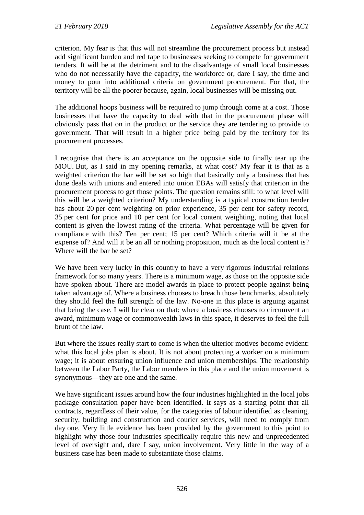criterion. My fear is that this will not streamline the procurement process but instead add significant burden and red tape to businesses seeking to compete for government tenders. It will be at the detriment and to the disadvantage of small local businesses who do not necessarily have the capacity, the workforce or, dare I say, the time and money to pour into additional criteria on government procurement. For that, the territory will be all the poorer because, again, local businesses will be missing out.

The additional hoops business will be required to jump through come at a cost. Those businesses that have the capacity to deal with that in the procurement phase will obviously pass that on in the product or the service they are tendering to provide to government. That will result in a higher price being paid by the territory for its procurement processes.

I recognise that there is an acceptance on the opposite side to finally tear up the MOU. But, as I said in my opening remarks, at what cost? My fear it is that as a weighted criterion the bar will be set so high that basically only a business that has done deals with unions and entered into union EBAs will satisfy that criterion in the procurement process to get those points. The question remains still: to what level will this will be a weighted criterion? My understanding is a typical construction tender has about 20 per cent weighting on prior experience, 35 per cent for safety record, 35 per cent for price and 10 per cent for local content weighting, noting that local content is given the lowest rating of the criteria. What percentage will be given for compliance with this? Ten per cent; 15 per cent? Which criteria will it be at the expense of? And will it be an all or nothing proposition, much as the local content is? Where will the bar be set?

We have been very lucky in this country to have a very rigorous industrial relations framework for so many years. There is a minimum wage, as those on the opposite side have spoken about. There are model awards in place to protect people against being taken advantage of. Where a business chooses to breach those benchmarks, absolutely they should feel the full strength of the law. No-one in this place is arguing against that being the case. I will be clear on that: where a business chooses to circumvent an award, minimum wage or commonwealth laws in this space, it deserves to feel the full brunt of the law.

But where the issues really start to come is when the ulterior motives become evident: what this local jobs plan is about. It is not about protecting a worker on a minimum wage; it is about ensuring union influence and union memberships. The relationship between the Labor Party, the Labor members in this place and the union movement is synonymous—they are one and the same.

We have significant issues around how the four industries highlighted in the local jobs package consultation paper have been identified. It says as a starting point that all contracts, regardless of their value, for the categories of labour identified as cleaning, security, building and construction and courier services, will need to comply from day one. Very little evidence has been provided by the government to this point to highlight why those four industries specifically require this new and unprecedented level of oversight and, dare I say, union involvement. Very little in the way of a business case has been made to substantiate those claims.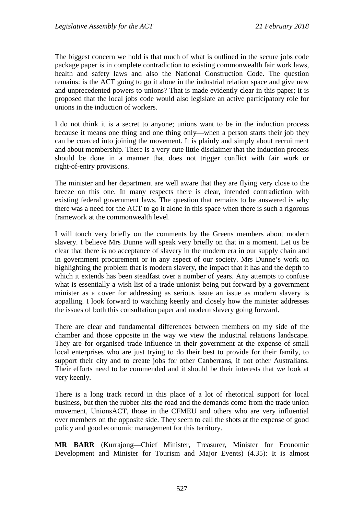The biggest concern we hold is that much of what is outlined in the secure jobs code package paper is in complete contradiction to existing commonwealth fair work laws, health and safety laws and also the National Construction Code. The question remains: is the ACT going to go it alone in the industrial relation space and give new and unprecedented powers to unions? That is made evidently clear in this paper; it is proposed that the local jobs code would also legislate an active participatory role for unions in the induction of workers.

I do not think it is a secret to anyone; unions want to be in the induction process because it means one thing and one thing only—when a person starts their job they can be coerced into joining the movement. It is plainly and simply about recruitment and about membership. There is a very cute little disclaimer that the induction process should be done in a manner that does not trigger conflict with fair work or right-of-entry provisions.

The minister and her department are well aware that they are flying very close to the breeze on this one. In many respects there is clear, intended contradiction with existing federal government laws. The question that remains to be answered is why there was a need for the ACT to go it alone in this space when there is such a rigorous framework at the commonwealth level.

I will touch very briefly on the comments by the Greens members about modern slavery. I believe Mrs Dunne will speak very briefly on that in a moment. Let us be clear that there is no acceptance of slavery in the modern era in our supply chain and in government procurement or in any aspect of our society. Mrs Dunne's work on highlighting the problem that is modern slavery, the impact that it has and the depth to which it extends has been steadfast over a number of years. Any attempts to confuse what is essentially a wish list of a trade unionist being put forward by a government minister as a cover for addressing as serious issue an issue as modern slavery is appalling. I look forward to watching keenly and closely how the minister addresses the issues of both this consultation paper and modern slavery going forward.

There are clear and fundamental differences between members on my side of the chamber and those opposite in the way we view the industrial relations landscape. They are for organised trade influence in their government at the expense of small local enterprises who are just trying to do their best to provide for their family, to support their city and to create jobs for other Canberrans, if not other Australians. Their efforts need to be commended and it should be their interests that we look at very keenly.

There is a long track record in this place of a lot of rhetorical support for local business, but then the rubber hits the road and the demands come from the trade union movement, UnionsACT, those in the CFMEU and others who are very influential over members on the opposite side. They seem to call the shots at the expense of good policy and good economic management for this territory.

**MR BARR** (Kurrajong—Chief Minister, Treasurer, Minister for Economic Development and Minister for Tourism and Major Events) (4.35): It is almost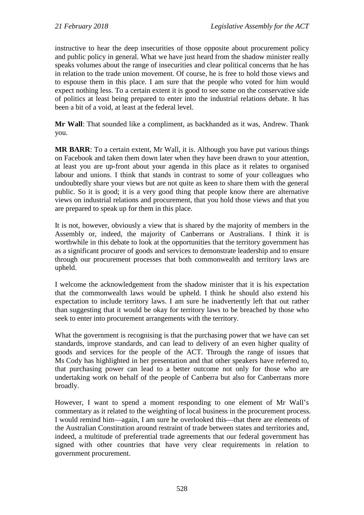instructive to hear the deep insecurities of those opposite about procurement policy and public policy in general. What we have just heard from the shadow minister really speaks volumes about the range of insecurities and clear political concerns that he has in relation to the trade union movement. Of course, he is free to hold those views and to espouse them in this place. I am sure that the people who voted for him would expect nothing less. To a certain extent it is good to see some on the conservative side of politics at least being prepared to enter into the industrial relations debate. It has been a bit of a void, at least at the federal level.

**Mr Wall**: That sounded like a compliment, as backhanded as it was, Andrew. Thank you.

**MR BARR**: To a certain extent, Mr Wall, it is. Although you have put various things on Facebook and taken them down later when they have been drawn to your attention, at least you are up-front about your agenda in this place as it relates to organised labour and unions. I think that stands in contrast to some of your colleagues who undoubtedly share your views but are not quite as keen to share them with the general public. So it is good; it is a very good thing that people know there are alternative views on industrial relations and procurement, that you hold those views and that you are prepared to speak up for them in this place.

It is not, however, obviously a view that is shared by the majority of members in the Assembly or, indeed, the majority of Canberrans or Australians. I think it is worthwhile in this debate to look at the opportunities that the territory government has as a significant procurer of goods and services to demonstrate leadership and to ensure through our procurement processes that both commonwealth and territory laws are upheld.

I welcome the acknowledgement from the shadow minister that it is his expectation that the commonwealth laws would be upheld. I think he should also extend his expectation to include territory laws. I am sure he inadvertently left that out rather than suggesting that it would be okay for territory laws to be breached by those who seek to enter into procurement arrangements with the territory.

What the government is recognising is that the purchasing power that we have can set standards, improve standards, and can lead to delivery of an even higher quality of goods and services for the people of the ACT. Through the range of issues that Ms Cody has highlighted in her presentation and that other speakers have referred to, that purchasing power can lead to a better outcome not only for those who are undertaking work on behalf of the people of Canberra but also for Canberrans more broadly.

However, I want to spend a moment responding to one element of Mr Wall's commentary as it related to the weighting of local business in the procurement process. I would remind him—again, I am sure he overlooked this—that there are elements of the Australian Constitution around restraint of trade between states and territories and, indeed, a multitude of preferential trade agreements that our federal government has signed with other countries that have very clear requirements in relation to government procurement.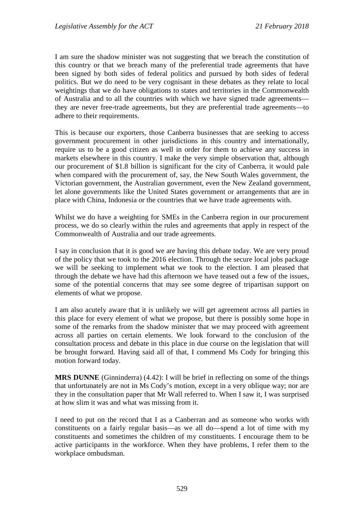I am sure the shadow minister was not suggesting that we breach the constitution of this country or that we breach many of the preferential trade agreements that have been signed by both sides of federal politics and pursued by both sides of federal politics. But we do need to be very cognisant in these debates as they relate to local weightings that we do have obligations to states and territories in the Commonwealth of Australia and to all the countries with which we have signed trade agreements they are never free-trade agreements, but they are preferential trade agreements—to adhere to their requirements.

This is because our exporters, those Canberra businesses that are seeking to access government procurement in other jurisdictions in this country and internationally, require us to be a good citizen as well in order for them to achieve any success in markets elsewhere in this country. I make the very simple observation that, although our procurement of \$1.8 billion is significant for the city of Canberra, it would pale when compared with the procurement of, say, the New South Wales government, the Victorian government, the Australian government, even the New Zealand government, let alone governments like the United States government or arrangements that are in place with China, Indonesia or the countries that we have trade agreements with.

Whilst we do have a weighting for SMEs in the Canberra region in our procurement process, we do so clearly within the rules and agreements that apply in respect of the Commonwealth of Australia and our trade agreements.

I say in conclusion that it is good we are having this debate today. We are very proud of the policy that we took to the 2016 election. Through the secure local jobs package we will be seeking to implement what we took to the election. I am pleased that through the debate we have had this afternoon we have teased out a few of the issues, some of the potential concerns that may see some degree of tripartisan support on elements of what we propose.

I am also acutely aware that it is unlikely we will get agreement across all parties in this place for every element of what we propose, but there is possibly some hope in some of the remarks from the shadow minister that we may proceed with agreement across all parties on certain elements. We look forward to the conclusion of the consultation process and debate in this place in due course on the legislation that will be brought forward. Having said all of that, I commend Ms Cody for bringing this motion forward today.

**MRS DUNNE** (Ginninderra) (4.42): I will be brief in reflecting on some of the things that unfortunately are not in Ms Cody's motion, except in a very oblique way; nor are they in the consultation paper that Mr Wall referred to. When I saw it, I was surprised at how slim it was and what was missing from it.

I need to put on the record that I as a Canberran and as someone who works with constituents on a fairly regular basis—as we all do—spend a lot of time with my constituents and sometimes the children of my constituents. I encourage them to be active participants in the workforce. When they have problems, I refer them to the workplace ombudsman.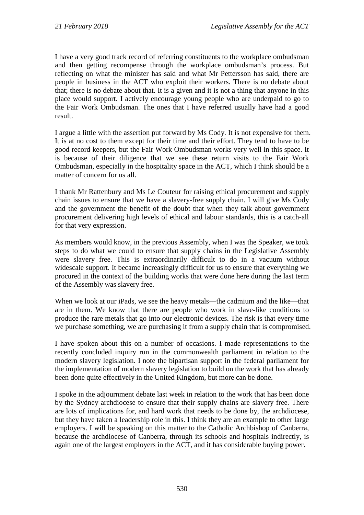I have a very good track record of referring constituents to the workplace ombudsman and then getting recompense through the workplace ombudsman's process. But reflecting on what the minister has said and what Mr Pettersson has said, there are people in business in the ACT who exploit their workers. There is no debate about that; there is no debate about that. It is a given and it is not a thing that anyone in this place would support. I actively encourage young people who are underpaid to go to the Fair Work Ombudsman. The ones that I have referred usually have had a good result.

I argue a little with the assertion put forward by Ms Cody. It is not expensive for them. It is at no cost to them except for their time and their effort. They tend to have to be good record keepers, but the Fair Work Ombudsman works very well in this space. It is because of their diligence that we see these return visits to the Fair Work Ombudsman, especially in the hospitality space in the ACT, which I think should be a matter of concern for us all.

I thank Mr Rattenbury and Ms Le Couteur for raising ethical procurement and supply chain issues to ensure that we have a slavery-free supply chain. I will give Ms Cody and the government the benefit of the doubt that when they talk about government procurement delivering high levels of ethical and labour standards, this is a catch-all for that very expression.

As members would know, in the previous Assembly, when I was the Speaker, we took steps to do what we could to ensure that supply chains in the Legislative Assembly were slavery free. This is extraordinarily difficult to do in a vacuum without widescale support. It became increasingly difficult for us to ensure that everything we procured in the context of the building works that were done here during the last term of the Assembly was slavery free.

When we look at our iPads, we see the heavy metals—the cadmium and the like—that are in them. We know that there are people who work in slave-like conditions to produce the rare metals that go into our electronic devices. The risk is that every time we purchase something, we are purchasing it from a supply chain that is compromised.

I have spoken about this on a number of occasions. I made representations to the recently concluded inquiry run in the commonwealth parliament in relation to the modern slavery legislation. I note the bipartisan support in the federal parliament for the implementation of modern slavery legislation to build on the work that has already been done quite effectively in the United Kingdom, but more can be done.

I spoke in the adjournment debate last week in relation to the work that has been done by the Sydney archdiocese to ensure that their supply chains are slavery free. There are lots of implications for, and hard work that needs to be done by, the archdiocese, but they have taken a leadership role in this. I think they are an example to other large employers. I will be speaking on this matter to the Catholic Archbishop of Canberra, because the archdiocese of Canberra, through its schools and hospitals indirectly, is again one of the largest employers in the ACT, and it has considerable buying power.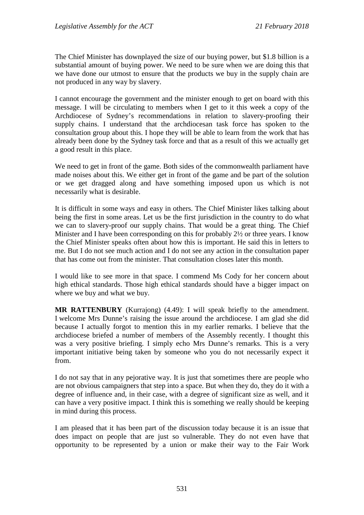The Chief Minister has downplayed the size of our buying power, but \$1.8 billion is a substantial amount of buying power. We need to be sure when we are doing this that we have done our utmost to ensure that the products we buy in the supply chain are not produced in any way by slavery.

I cannot encourage the government and the minister enough to get on board with this message. I will be circulating to members when I get to it this week a copy of the Archdiocese of Sydney's recommendations in relation to slavery-proofing their supply chains. I understand that the archdiocesan task force has spoken to the consultation group about this. I hope they will be able to learn from the work that has already been done by the Sydney task force and that as a result of this we actually get a good result in this place.

We need to get in front of the game. Both sides of the commonwealth parliament have made noises about this. We either get in front of the game and be part of the solution or we get dragged along and have something imposed upon us which is not necessarily what is desirable.

It is difficult in some ways and easy in others. The Chief Minister likes talking about being the first in some areas. Let us be the first jurisdiction in the country to do what we can to slavery-proof our supply chains. That would be a great thing. The Chief Minister and I have been corresponding on this for probably 2½ or three years. I know the Chief Minister speaks often about how this is important. He said this in letters to me. But I do not see much action and I do not see any action in the consultation paper that has come out from the minister. That consultation closes later this month.

I would like to see more in that space. I commend Ms Cody for her concern about high ethical standards. Those high ethical standards should have a bigger impact on where we buy and what we buy.

**MR RATTENBURY** (Kurrajong) (4.49): I will speak briefly to the amendment. I welcome Mrs Dunne's raising the issue around the archdiocese. I am glad she did because I actually forgot to mention this in my earlier remarks. I believe that the archdiocese briefed a number of members of the Assembly recently. I thought this was a very positive briefing. I simply echo Mrs Dunne's remarks. This is a very important initiative being taken by someone who you do not necessarily expect it from.

I do not say that in any pejorative way. It is just that sometimes there are people who are not obvious campaigners that step into a space. But when they do, they do it with a degree of influence and, in their case, with a degree of significant size as well, and it can have a very positive impact. I think this is something we really should be keeping in mind during this process.

I am pleased that it has been part of the discussion today because it is an issue that does impact on people that are just so vulnerable. They do not even have that opportunity to be represented by a union or make their way to the Fair Work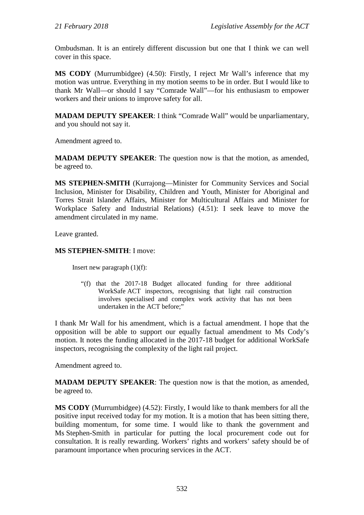Ombudsman. It is an entirely different discussion but one that I think we can well cover in this space.

**MS CODY** (Murrumbidgee) (4.50): Firstly, I reject Mr Wall's inference that my motion was untrue. Everything in my motion seems to be in order. But I would like to thank Mr Wall—or should I say "Comrade Wall"—for his enthusiasm to empower workers and their unions to improve safety for all.

**MADAM DEPUTY SPEAKER**: I think "Comrade Wall" would be unparliamentary, and you should not say it.

Amendment agreed to.

**MADAM DEPUTY SPEAKER**: The question now is that the motion, as amended, be agreed to.

**MS STEPHEN-SMITH** (Kurrajong—Minister for Community Services and Social Inclusion, Minister for Disability, Children and Youth, Minister for Aboriginal and Torres Strait Islander Affairs, Minister for Multicultural Affairs and Minister for Workplace Safety and Industrial Relations) (4.51): I seek leave to move the amendment circulated in my name.

Leave granted.

### **MS STEPHEN-SMITH**: I move:

Insert new paragraph  $(1)(f)$ :

"(f) that the 2017-18 Budget allocated funding for three additional WorkSafe ACT inspectors, recognising that light rail construction involves specialised and complex work activity that has not been undertaken in the ACT before;"

I thank Mr Wall for his amendment, which is a factual amendment. I hope that the opposition will be able to support our equally factual amendment to Ms Cody's motion. It notes the funding allocated in the 2017-18 budget for additional WorkSafe inspectors, recognising the complexity of the light rail project.

Amendment agreed to.

**MADAM DEPUTY SPEAKER**: The question now is that the motion, as amended, be agreed to.

**MS CODY** (Murrumbidgee) (4.52): Firstly, I would like to thank members for all the positive input received today for my motion. It is a motion that has been sitting there, building momentum, for some time. I would like to thank the government and Ms Stephen-Smith in particular for putting the local procurement code out for consultation. It is really rewarding. Workers' rights and workers' safety should be of paramount importance when procuring services in the ACT.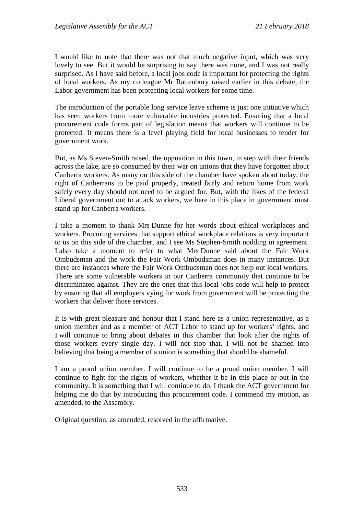I would like to note that there was not that much negative input, which was very lovely to see. But it would be surprising to say there was none, and I was not really surprised. As I have said before, a local jobs code is important for protecting the rights of local workers. As my colleague Mr Rattenbury raised earlier in this debate, the Labor government has been protecting local workers for some time.

The introduction of the portable long service leave scheme is just one initiative which has seen workers from more vulnerable industries protected. Ensuring that a local procurement code forms part of legislation means that workers will continue to be protected. It means there is a level playing field for local businesses to tender for government work.

But, as Ms Steven-Smith raised, the opposition in this town, in step with their friends across the lake, are so consumed by their war on unions that they have forgotten about Canberra workers. As many on this side of the chamber have spoken about today, the right of Canberrans to be paid properly, treated fairly and return home from work safely every day should not need to be argued for. But, with the likes of the federal Liberal government out to attack workers, we here in this place in government must stand up for Canberra workers.

I take a moment to thank Mrs Dunne for her words about ethical workplaces and workers. Procuring services that support ethical workplace relations is very important to us on this side of the chamber, and I see Ms Stephen-Smith nodding in agreement. I also take a moment to refer to what Mrs Dunne said about the Fair Work Ombudsman and the work the Fair Work Ombudsman does in many instances. But there are instances where the Fair Work Ombudsman does not help out local workers. There are some vulnerable workers in our Canberra community that continue to be discriminated against. They are the ones that this local jobs code will help to protect by ensuring that all employers vying for work from government will be protecting the workers that deliver those services.

It is with great pleasure and honour that I stand here as a union representative, as a union member and as a member of ACT Labor to stand up for workers' rights, and I will continue to bring about debates in this chamber that look after the rights of those workers every single day. I will not stop that. I will not be shamed into believing that being a member of a union is something that should be shameful.

I am a proud union member. I will continue to be a proud union member. I will continue to fight for the rights of workers, whether it be in this place or out in the community. It is something that I will continue to do. I thank the ACT government for helping me do that by introducing this procurement code. I commend my motion, as amended, to the Assembly.

Original question, as amended, resolved in the affirmative.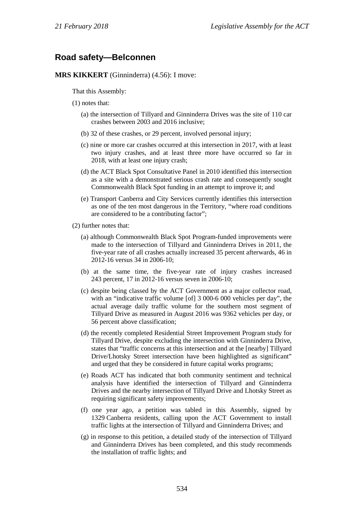# **Road safety—Belconnen**

**MRS KIKKERT** (Ginninderra) (4.56): I move:

That this Assembly:

- (1) notes that:
	- (a) the intersection of Tillyard and Ginninderra Drives was the site of 110 car crashes between 2003 and 2016 inclusive;
	- (b) 32 of these crashes, or 29 percent, involved personal injury;
	- (c) nine or more car crashes occurred at this intersection in 2017, with at least two injury crashes, and at least three more have occurred so far in 2018, with at least one injury crash;
	- (d) the ACT Black Spot Consultative Panel in 2010 identified this intersection as a site with a demonstrated serious crash rate and consequently sought Commonwealth Black Spot funding in an attempt to improve it; and
	- (e) Transport Canberra and City Services currently identifies this intersection as one of the ten most dangerous in the Territory, "where road conditions are considered to be a contributing factor";
- (2) further notes that:
	- (a) although Commonwealth Black Spot Program-funded improvements were made to the intersection of Tillyard and Ginninderra Drives in 2011, the five-year rate of all crashes actually increased 35 percent afterwards, 46 in 2012-16 versus 34 in 2006-10;
	- (b) at the same time, the five-year rate of injury crashes increased 243 percent, 17 in 2012-16 versus seven in 2006-10;
	- (c) despite being classed by the ACT Government as a major collector road, with an "indicative traffic volume [of] 3 000-6 000 vehicles per day", the actual average daily traffic volume for the southern most segment of Tillyard Drive as measured in August 2016 was 9362 vehicles per day, or 56 percent above classification;
	- (d) the recently completed Residential Street Improvement Program study for Tillyard Drive, despite excluding the intersection with Ginninderra Drive, states that "traffic concerns at this intersection and at the [nearby] Tillyard Drive/Lhotsky Street intersection have been highlighted as significant" and urged that they be considered in future capital works programs;
	- (e) Roads ACT has indicated that both community sentiment and technical analysis have identified the intersection of Tillyard and Ginninderra Drives and the nearby intersection of Tillyard Drive and Lhotsky Street as requiring significant safety improvements;
	- (f) one year ago, a petition was tabled in this Assembly, signed by 1329 Canberra residents, calling upon the ACT Government to install traffic lights at the intersection of Tillyard and Ginninderra Drives; and
	- (g) in response to this petition, a detailed study of the intersection of Tillyard and Ginninderra Drives has been completed, and this study recommends the installation of traffic lights; and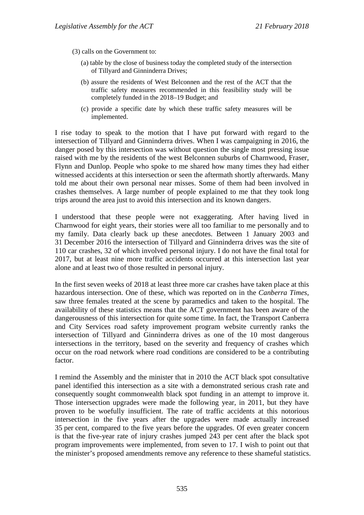- (3) calls on the Government to:
	- (a) table by the close of business today the completed study of the intersection of Tillyard and Ginninderra Drives;
	- (b) assure the residents of West Belconnen and the rest of the ACT that the traffic safety measures recommended in this feasibility study will be completely funded in the 2018–19 Budget; and
	- (c) provide a specific date by which these traffic safety measures will be implemented.

I rise today to speak to the motion that I have put forward with regard to the intersection of Tillyard and Ginninderra drives. When I was campaigning in 2016, the danger posed by this intersection was without question the single most pressing issue raised with me by the residents of the west Belconnen suburbs of Charnwood, Fraser, Flynn and Dunlop. People who spoke to me shared how many times they had either witnessed accidents at this intersection or seen the aftermath shortly afterwards. Many told me about their own personal near misses. Some of them had been involved in crashes themselves. A large number of people explained to me that they took long trips around the area just to avoid this intersection and its known dangers.

I understood that these people were not exaggerating. After having lived in Charnwood for eight years, their stories were all too familiar to me personally and to my family. Data clearly back up these anecdotes. Between 1 January 2003 and 31 December 2016 the intersection of Tillyard and Ginninderra drives was the site of 110 car crashes, 32 of which involved personal injury. I do not have the final total for 2017, but at least nine more traffic accidents occurred at this intersection last year alone and at least two of those resulted in personal injury.

In the first seven weeks of 2018 at least three more car crashes have taken place at this hazardous intersection. One of these, which was reported on in the *Canberra Times*, saw three females treated at the scene by paramedics and taken to the hospital. The availability of these statistics means that the ACT government has been aware of the dangerousness of this intersection for quite some time. In fact, the Transport Canberra and City Services road safety improvement program website currently ranks the intersection of Tillyard and Ginninderra drives as one of the 10 most dangerous intersections in the territory, based on the severity and frequency of crashes which occur on the road network where road conditions are considered to be a contributing factor.

I remind the Assembly and the minister that in 2010 the ACT black spot consultative panel identified this intersection as a site with a demonstrated serious crash rate and consequently sought commonwealth black spot funding in an attempt to improve it. Those intersection upgrades were made the following year, in 2011, but they have proven to be woefully insufficient. The rate of traffic accidents at this notorious intersection in the five years after the upgrades were made actually increased 35 per cent, compared to the five years before the upgrades. Of even greater concern is that the five-year rate of injury crashes jumped 243 per cent after the black spot program improvements were implemented, from seven to 17. I wish to point out that the minister's proposed amendments remove any reference to these shameful statistics.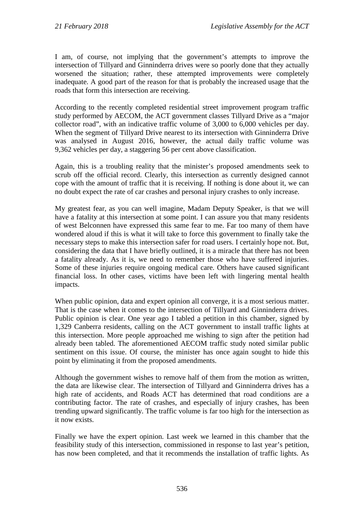I am, of course, not implying that the government's attempts to improve the intersection of Tillyard and Ginninderra drives were so poorly done that they actually worsened the situation; rather, these attempted improvements were completely inadequate. A good part of the reason for that is probably the increased usage that the roads that form this intersection are receiving.

According to the recently completed residential street improvement program traffic study performed by AECOM, the ACT government classes Tillyard Drive as a "major collector road", with an indicative traffic volume of 3,000 to 6,000 vehicles per day. When the segment of Tillyard Drive nearest to its intersection with Ginninderra Drive was analysed in August 2016, however, the actual daily traffic volume was 9,362 vehicles per day, a staggering 56 per cent above classification.

Again, this is a troubling reality that the minister's proposed amendments seek to scrub off the official record. Clearly, this intersection as currently designed cannot cope with the amount of traffic that it is receiving. If nothing is done about it, we can no doubt expect the rate of car crashes and personal injury crashes to only increase.

My greatest fear, as you can well imagine, Madam Deputy Speaker, is that we will have a fatality at this intersection at some point. I can assure you that many residents of west Belconnen have expressed this same fear to me. Far too many of them have wondered aloud if this is what it will take to force this government to finally take the necessary steps to make this intersection safer for road users. I certainly hope not. But, considering the data that I have briefly outlined, it is a miracle that there has not been a fatality already. As it is, we need to remember those who have suffered injuries. Some of these injuries require ongoing medical care. Others have caused significant financial loss. In other cases, victims have been left with lingering mental health impacts.

When public opinion, data and expert opinion all converge, it is a most serious matter. That is the case when it comes to the intersection of Tillyard and Ginninderra drives. Public opinion is clear. One year ago I tabled a petition in this chamber, signed by 1,329 Canberra residents, calling on the ACT government to install traffic lights at this intersection. More people approached me wishing to sign after the petition had already been tabled. The aforementioned AECOM traffic study noted similar public sentiment on this issue. Of course, the minister has once again sought to hide this point by eliminating it from the proposed amendments.

Although the government wishes to remove half of them from the motion as written, the data are likewise clear. The intersection of Tillyard and Ginninderra drives has a high rate of accidents, and Roads ACT has determined that road conditions are a contributing factor. The rate of crashes, and especially of injury crashes, has been trending upward significantly. The traffic volume is far too high for the intersection as it now exists.

Finally we have the expert opinion. Last week we learned in this chamber that the feasibility study of this intersection, commissioned in response to last year's petition, has now been completed, and that it recommends the installation of traffic lights. As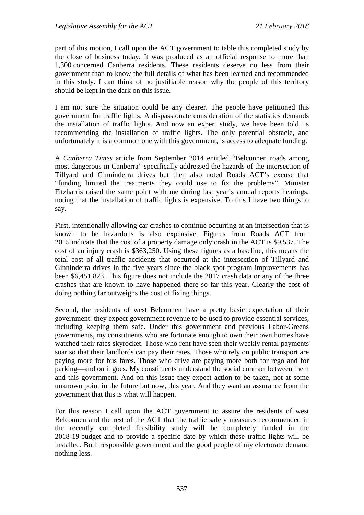part of this motion, I call upon the ACT government to table this completed study by the close of business today. It was produced as an official response to more than 1,300 concerned Canberra residents. These residents deserve no less from their government than to know the full details of what has been learned and recommended in this study. I can think of no justifiable reason why the people of this territory should be kept in the dark on this issue.

I am not sure the situation could be any clearer. The people have petitioned this government for traffic lights. A dispassionate consideration of the statistics demands the installation of traffic lights. And now an expert study, we have been told, is recommending the installation of traffic lights. The only potential obstacle, and unfortunately it is a common one with this government, is access to adequate funding.

A *Canberra Times* article from September 2014 entitled "Belconnen roads among most dangerous in Canberra" specifically addressed the hazards of the intersection of Tillyard and Ginninderra drives but then also noted Roads ACT's excuse that "funding limited the treatments they could use to fix the problems". Minister Fitzharris raised the same point with me during last year's annual reports hearings, noting that the installation of traffic lights is expensive. To this I have two things to say.

First, intentionally allowing car crashes to continue occurring at an intersection that is known to be hazardous is also expensive. Figures from Roads ACT from 2015 indicate that the cost of a property damage only crash in the ACT is \$9,537. The cost of an injury crash is \$363,250. Using these figures as a baseline, this means the total cost of all traffic accidents that occurred at the intersection of Tillyard and Ginninderra drives in the five years since the black spot program improvements has been \$6,451,823. This figure does not include the 2017 crash data or any of the three crashes that are known to have happened there so far this year. Clearly the cost of doing nothing far outweighs the cost of fixing things.

Second, the residents of west Belconnen have a pretty basic expectation of their government: they expect government revenue to be used to provide essential services, including keeping them safe. Under this government and previous Labor-Greens governments, my constituents who are fortunate enough to own their own homes have watched their rates skyrocket. Those who rent have seen their weekly rental payments soar so that their landlords can pay their rates. Those who rely on public transport are paying more for bus fares. Those who drive are paying more both for rego and for parking—and on it goes. My constituents understand the social contract between them and this government. And on this issue they expect action to be taken, not at some unknown point in the future but now, this year. And they want an assurance from the government that this is what will happen.

For this reason I call upon the ACT government to assure the residents of west Belconnen and the rest of the ACT that the traffic safety measures recommended in the recently completed feasibility study will be completely funded in the 2018-19 budget and to provide a specific date by which these traffic lights will be installed. Both responsible government and the good people of my electorate demand nothing less.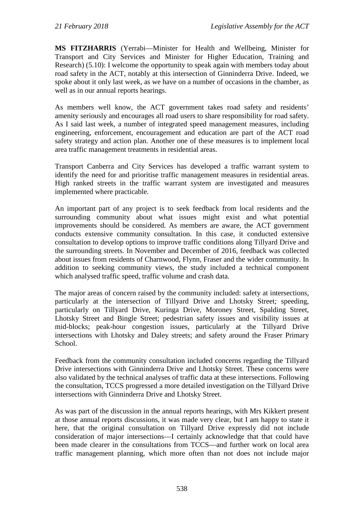**MS FITZHARRIS** (Yerrabi—Minister for Health and Wellbeing, Minister for Transport and City Services and Minister for Higher Education, Training and Research) (5.10): I welcome the opportunity to speak again with members today about road safety in the ACT, notably at this intersection of Ginninderra Drive. Indeed, we spoke about it only last week, as we have on a number of occasions in the chamber, as well as in our annual reports hearings.

As members well know, the ACT government takes road safety and residents' amenity seriously and encourages all road users to share responsibility for road safety. As I said last week, a number of integrated speed management measures, including engineering, enforcement, encouragement and education are part of the ACT road safety strategy and action plan. Another one of these measures is to implement local area traffic management treatments in residential areas.

Transport Canberra and City Services has developed a traffic warrant system to identify the need for and prioritise traffic management measures in residential areas. High ranked streets in the traffic warrant system are investigated and measures implemented where practicable.

An important part of any project is to seek feedback from local residents and the surrounding community about what issues might exist and what potential improvements should be considered. As members are aware, the ACT government conducts extensive community consultation. In this case, it conducted extensive consultation to develop options to improve traffic conditions along Tillyard Drive and the surrounding streets. In November and December of 2016, feedback was collected about issues from residents of Charnwood, Flynn, Fraser and the wider community. In addition to seeking community views, the study included a technical component which analysed traffic speed, traffic volume and crash data.

The major areas of concern raised by the community included: safety at intersections, particularly at the intersection of Tillyard Drive and Lhotsky Street; speeding, particularly on Tillyard Drive, Kuringa Drive, Moroney Street, Spalding Street, Lhotsky Street and Bingle Street; pedestrian safety issues and visibility issues at mid-blocks; peak-hour congestion issues, particularly at the Tillyard Drive intersections with Lhotsky and Daley streets; and safety around the Fraser Primary School.

Feedback from the community consultation included concerns regarding the Tillyard Drive intersections with Ginninderra Drive and Lhotsky Street. These concerns were also validated by the technical analyses of traffic data at these intersections. Following the consultation, TCCS progressed a more detailed investigation on the Tillyard Drive intersections with Ginninderra Drive and Lhotsky Street.

As was part of the discussion in the annual reports hearings, with Mrs Kikkert present at those annual reports discussions, it was made very clear, but I am happy to state it here, that the original consultation on Tillyard Drive expressly did not include consideration of major intersections—I certainly acknowledge that that could have been made clearer in the consultations from TCCS—and further work on local area traffic management planning, which more often than not does not include major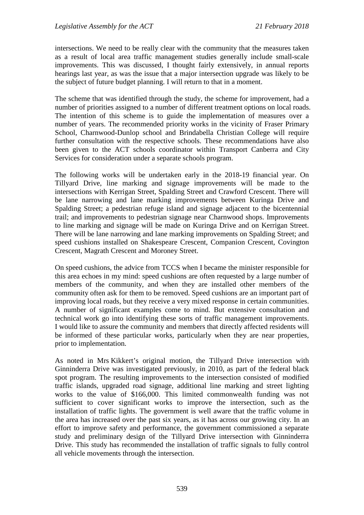intersections. We need to be really clear with the community that the measures taken as a result of local area traffic management studies generally include small-scale improvements. This was discussed, I thought fairly extensively, in annual reports hearings last year, as was the issue that a major intersection upgrade was likely to be the subject of future budget planning. I will return to that in a moment.

The scheme that was identified through the study, the scheme for improvement, had a number of priorities assigned to a number of different treatment options on local roads. The intention of this scheme is to guide the implementation of measures over a number of years. The recommended priority works in the vicinity of Fraser Primary School, Charnwood-Dunlop school and Brindabella Christian College will require further consultation with the respective schools. These recommendations have also been given to the ACT schools coordinator within Transport Canberra and City Services for consideration under a separate schools program.

The following works will be undertaken early in the 2018-19 financial year. On Tillyard Drive, line marking and signage improvements will be made to the intersections with Kerrigan Street, Spalding Street and Crawford Crescent. There will be lane narrowing and lane marking improvements between Kuringa Drive and Spalding Street; a pedestrian refuge island and signage adjacent to the bicentennial trail; and improvements to pedestrian signage near Charnwood shops. Improvements to line marking and signage will be made on Kuringa Drive and on Kerrigan Street. There will be lane narrowing and lane marking improvements on Spalding Street; and speed cushions installed on Shakespeare Crescent, Companion Crescent, Covington Crescent, Magrath Crescent and Moroney Street.

On speed cushions, the advice from TCCS when I became the minister responsible for this area echoes in my mind: speed cushions are often requested by a large number of members of the community, and when they are installed other members of the community often ask for them to be removed. Speed cushions are an important part of improving local roads, but they receive a very mixed response in certain communities. A number of significant examples come to mind. But extensive consultation and technical work go into identifying these sorts of traffic management improvements. I would like to assure the community and members that directly affected residents will be informed of these particular works, particularly when they are near properties, prior to implementation.

As noted in Mrs Kikkert's original motion, the Tillyard Drive intersection with Ginninderra Drive was investigated previously, in 2010, as part of the federal black spot program. The resulting improvements to the intersection consisted of modified traffic islands, upgraded road signage, additional line marking and street lighting works to the value of \$166,000. This limited commonwealth funding was not sufficient to cover significant works to improve the intersection, such as the installation of traffic lights. The government is well aware that the traffic volume in the area has increased over the past six years, as it has across our growing city. In an effort to improve safety and performance, the government commissioned a separate study and preliminary design of the Tillyard Drive intersection with Ginninderra Drive. This study has recommended the installation of traffic signals to fully control all vehicle movements through the intersection.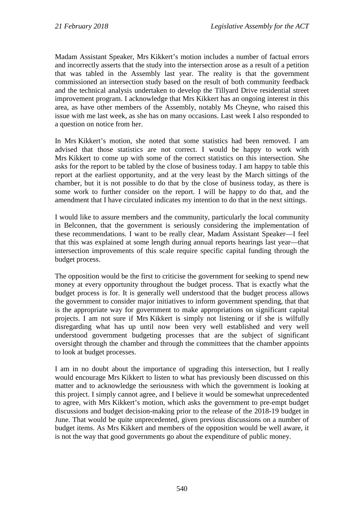Madam Assistant Speaker, Mrs Kikkert's motion includes a number of factual errors and incorrectly asserts that the study into the intersection arose as a result of a petition that was tabled in the Assembly last year. The reality is that the government commissioned an intersection study based on the result of both community feedback and the technical analysis undertaken to develop the Tillyard Drive residential street improvement program. I acknowledge that Mrs Kikkert has an ongoing interest in this area, as have other members of the Assembly, notably Ms Cheyne, who raised this issue with me last week, as she has on many occasions. Last week I also responded to a question on notice from her.

In Mrs Kikkert's motion, she noted that some statistics had been removed. I am advised that those statistics are not correct. I would be happy to work with Mrs Kikkert to come up with some of the correct statistics on this intersection. She asks for the report to be tabled by the close of business today. I am happy to table this report at the earliest opportunity, and at the very least by the March sittings of the chamber, but it is not possible to do that by the close of business today, as there is some work to further consider on the report. I will be happy to do that, and the amendment that I have circulated indicates my intention to do that in the next sittings.

I would like to assure members and the community, particularly the local community in Belconnen, that the government is seriously considering the implementation of these recommendations. I want to be really clear, Madam Assistant Speaker—I feel that this was explained at some length during annual reports hearings last year—that intersection improvements of this scale require specific capital funding through the budget process.

The opposition would be the first to criticise the government for seeking to spend new money at every opportunity throughout the budget process. That is exactly what the budget process is for. It is generally well understood that the budget process allows the government to consider major initiatives to inform government spending, that that is the appropriate way for government to make appropriations on significant capital projects. I am not sure if Mrs Kikkert is simply not listening or if she is wilfully disregarding what has up until now been very well established and very well understood government budgeting processes that are the subject of significant oversight through the chamber and through the committees that the chamber appoints to look at budget processes.

I am in no doubt about the importance of upgrading this intersection, but I really would encourage Mrs Kikkert to listen to what has previously been discussed on this matter and to acknowledge the seriousness with which the government is looking at this project. I simply cannot agree, and I believe it would be somewhat unprecedented to agree, with Mrs Kikkert's motion, which asks the government to pre-empt budget discussions and budget decision-making prior to the release of the 2018-19 budget in June. That would be quite unprecedented, given previous discussions on a number of budget items. As Mrs Kikkert and members of the opposition would be well aware, it is not the way that good governments go about the expenditure of public money.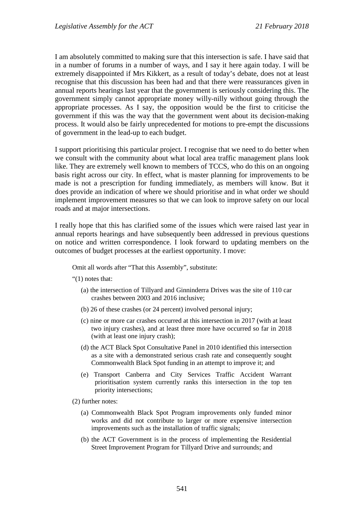I am absolutely committed to making sure that this intersection is safe. I have said that in a number of forums in a number of ways, and I say it here again today. I will be extremely disappointed if Mrs Kikkert, as a result of today's debate, does not at least recognise that this discussion has been had and that there were reassurances given in annual reports hearings last year that the government is seriously considering this. The government simply cannot appropriate money willy-nilly without going through the appropriate processes. As I say, the opposition would be the first to criticise the government if this was the way that the government went about its decision-making process. It would also be fairly unprecedented for motions to pre-empt the discussions of government in the lead-up to each budget.

I support prioritising this particular project. I recognise that we need to do better when we consult with the community about what local area traffic management plans look like. They are extremely well known to members of TCCS, who do this on an ongoing basis right across our city. In effect, what is master planning for improvements to be made is not a prescription for funding immediately, as members will know. But it does provide an indication of where we should prioritise and in what order we should implement improvement measures so that we can look to improve safety on our local roads and at major intersections.

I really hope that this has clarified some of the issues which were raised last year in annual reports hearings and have subsequently been addressed in previous questions on notice and written correspondence. I look forward to updating members on the outcomes of budget processes at the earliest opportunity. I move:

Omit all words after "That this Assembly", substitute:

"(1) notes that:

- (a) the intersection of Tillyard and Ginninderra Drives was the site of 110 car crashes between 2003 and 2016 inclusive;
- (b) 26 of these crashes (or 24 percent) involved personal injury;
- (c) nine or more car crashes occurred at this intersection in 2017 (with at least two injury crashes), and at least three more have occurred so far in 2018 (with at least one injury crash);
- (d) the ACT Black Spot Consultative Panel in 2010 identified this intersection as a site with a demonstrated serious crash rate and consequently sought Commonwealth Black Spot funding in an attempt to improve it; and
- (e) Transport Canberra and City Services Traffic Accident Warrant prioritisation system currently ranks this intersection in the top ten priority intersections;

(2) further notes:

- (a) Commonwealth Black Spot Program improvements only funded minor works and did not contribute to larger or more expensive intersection improvements such as the installation of traffic signals;
- (b) the ACT Government is in the process of implementing the Residential Street Improvement Program for Tillyard Drive and surrounds; and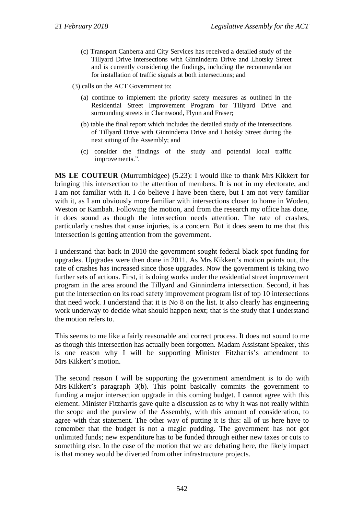- (c) Transport Canberra and City Services has received a detailed study of the Tillyard Drive intersections with Ginninderra Drive and Lhotsky Street and is currently considering the findings, including the recommendation for installation of traffic signals at both intersections; and
- (3) calls on the ACT Government to:
	- (a) continue to implement the priority safety measures as outlined in the Residential Street Improvement Program for Tillyard Drive and surrounding streets in Charnwood, Flynn and Fraser;
	- (b) table the final report which includes the detailed study of the intersections of Tillyard Drive with Ginninderra Drive and Lhotsky Street during the next sitting of the Assembly; and
	- (c) consider the findings of the study and potential local traffic improvements.".

**MS LE COUTEUR** (Murrumbidgee) (5.23): I would like to thank Mrs Kikkert for bringing this intersection to the attention of members. It is not in my electorate, and I am not familiar with it. I do believe I have been there, but I am not very familiar with it, as I am obviously more familiar with intersections closer to home in Woden, Weston or Kambah. Following the motion, and from the research my office has done, it does sound as though the intersection needs attention. The rate of crashes, particularly crashes that cause injuries, is a concern. But it does seem to me that this intersection is getting attention from the government.

I understand that back in 2010 the government sought federal black spot funding for upgrades. Upgrades were then done in 2011. As Mrs Kikkert's motion points out, the rate of crashes has increased since those upgrades. Now the government is taking two further sets of actions. First, it is doing works under the residential street improvement program in the area around the Tillyard and Ginninderra intersection. Second, it has put the intersection on its road safety improvement program list of top 10 intersections that need work. I understand that it is No 8 on the list. It also clearly has engineering work underway to decide what should happen next; that is the study that I understand the motion refers to.

This seems to me like a fairly reasonable and correct process. It does not sound to me as though this intersection has actually been forgotten. Madam Assistant Speaker, this is one reason why I will be supporting Minister Fitzharris's amendment to Mrs Kikkert's motion.

The second reason I will be supporting the government amendment is to do with Mrs Kikkert's paragraph 3(b). This point basically commits the government to funding a major intersection upgrade in this coming budget. I cannot agree with this element. Minister Fitzharris gave quite a discussion as to why it was not really within the scope and the purview of the Assembly, with this amount of consideration, to agree with that statement. The other way of putting it is this: all of us here have to remember that the budget is not a magic pudding. The government has not got unlimited funds; new expenditure has to be funded through either new taxes or cuts to something else. In the case of the motion that we are debating here, the likely impact is that money would be diverted from other infrastructure projects.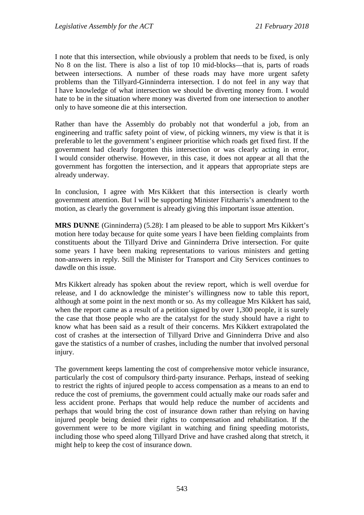I note that this intersection, while obviously a problem that needs to be fixed, is only No 8 on the list. There is also a list of top 10 mid-blocks—that is, parts of roads between intersections. A number of these roads may have more urgent safety problems than the Tillyard-Ginninderra intersection. I do not feel in any way that I have knowledge of what intersection we should be diverting money from. I would hate to be in the situation where money was diverted from one intersection to another only to have someone die at this intersection.

Rather than have the Assembly do probably not that wonderful a job, from an engineering and traffic safety point of view, of picking winners, my view is that it is preferable to let the government's engineer prioritise which roads get fixed first. If the government had clearly forgotten this intersection or was clearly acting in error, I would consider otherwise. However, in this case, it does not appear at all that the government has forgotten the intersection, and it appears that appropriate steps are already underway.

In conclusion, I agree with Mrs Kikkert that this intersection is clearly worth government attention. But I will be supporting Minister Fitzharris's amendment to the motion, as clearly the government is already giving this important issue attention.

**MRS DUNNE** (Ginninderra) (5.28): I am pleased to be able to support Mrs Kikkert's motion here today because for quite some years I have been fielding complaints from constituents about the Tillyard Drive and Ginninderra Drive intersection. For quite some years I have been making representations to various ministers and getting non-answers in reply. Still the Minister for Transport and City Services continues to dawdle on this issue.

Mrs Kikkert already has spoken about the review report, which is well overdue for release, and I do acknowledge the minister's willingness now to table this report, although at some point in the next month or so. As my colleague Mrs Kikkert has said, when the report came as a result of a petition signed by over 1,300 people, it is surely the case that those people who are the catalyst for the study should have a right to know what has been said as a result of their concerns. Mrs Kikkert extrapolated the cost of crashes at the intersection of Tillyard Drive and Ginninderra Drive and also gave the statistics of a number of crashes, including the number that involved personal injury.

The government keeps lamenting the cost of comprehensive motor vehicle insurance, particularly the cost of compulsory third-party insurance. Perhaps, instead of seeking to restrict the rights of injured people to access compensation as a means to an end to reduce the cost of premiums, the government could actually make our roads safer and less accident prone. Perhaps that would help reduce the number of accidents and perhaps that would bring the cost of insurance down rather than relying on having injured people being denied their rights to compensation and rehabilitation. If the government were to be more vigilant in watching and fining speeding motorists, including those who speed along Tillyard Drive and have crashed along that stretch, it might help to keep the cost of insurance down.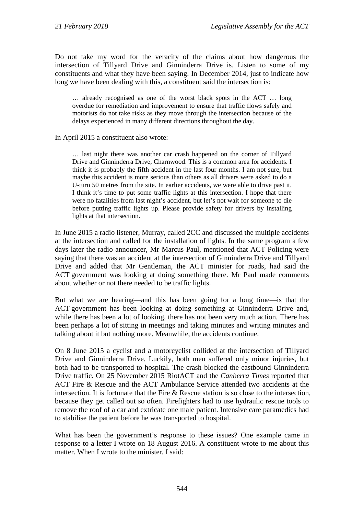Do not take my word for the veracity of the claims about how dangerous the intersection of Tillyard Drive and Ginninderra Drive is. Listen to some of my constituents and what they have been saying. In December 2014, just to indicate how long we have been dealing with this, a constituent said the intersection is:

… already recognised as one of the worst black spots in the ACT … long overdue for remediation and improvement to ensure that traffic flows safely and motorists do not take risks as they move through the intersection because of the delays experienced in many different directions throughout the day.

#### In April 2015 a constituent also wrote:

… last night there was another car crash happened on the corner of Tillyard Drive and Ginninderra Drive, Charnwood. This is a common area for accidents. I think it is probably the fifth accident in the last four months. I am not sure, but maybe this accident is more serious than others as all drivers were asked to do a U-turn 50 metres from the site. In earlier accidents, we were able to drive past it. I think it's time to put some traffic lights at this intersection. I hope that there were no fatalities from last night's accident, but let's not wait for someone to die before putting traffic lights up. Please provide safety for drivers by installing lights at that intersection.

In June 2015 a radio listener, Murray, called 2CC and discussed the multiple accidents at the intersection and called for the installation of lights. In the same program a few days later the radio announcer, Mr Marcus Paul, mentioned that ACT Policing were saying that there was an accident at the intersection of Ginninderra Drive and Tillyard Drive and added that Mr Gentleman, the ACT minister for roads, had said the ACT government was looking at doing something there. Mr Paul made comments about whether or not there needed to be traffic lights.

But what we are hearing—and this has been going for a long time—is that the ACT government has been looking at doing something at Ginninderra Drive and, while there has been a lot of looking, there has not been very much action. There has been perhaps a lot of sitting in meetings and taking minutes and writing minutes and talking about it but nothing more. Meanwhile, the accidents continue.

On 8 June 2015 a cyclist and a motorcyclist collided at the intersection of Tillyard Drive and Ginninderra Drive. Luckily, both men suffered only minor injuries, but both had to be transported to hospital. The crash blocked the eastbound Ginninderra Drive traffic. On 25 November 2015 RiotACT and the *Canberra Times* reported that ACT Fire & Rescue and the ACT Ambulance Service attended two accidents at the intersection. It is fortunate that the Fire  $\&$  Rescue station is so close to the intersection, because they get called out so often. Firefighters had to use hydraulic rescue tools to remove the roof of a car and extricate one male patient. Intensive care paramedics had to stabilise the patient before he was transported to hospital.

What has been the government's response to these issues? One example came in response to a letter I wrote on 18 August 2016. A constituent wrote to me about this matter. When I wrote to the minister, I said: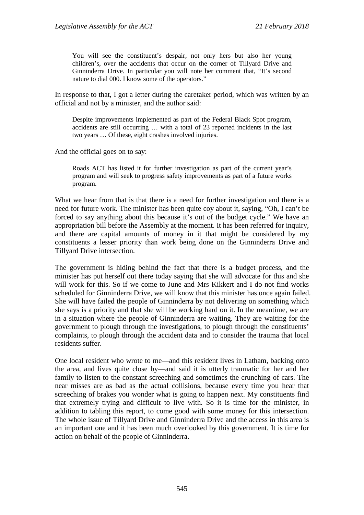You will see the constituent's despair, not only hers but also her young children's, over the accidents that occur on the corner of Tillyard Drive and Ginninderra Drive. In particular you will note her comment that, "It's second nature to dial 000. I know some of the operators."

In response to that, I got a letter during the caretaker period, which was written by an official and not by a minister, and the author said:

Despite improvements implemented as part of the Federal Black Spot program, accidents are still occurring … with a total of 23 reported incidents in the last two years … Of these, eight crashes involved injuries.

And the official goes on to say:

Roads ACT has listed it for further investigation as part of the current year's program and will seek to progress safety improvements as part of a future works program.

What we hear from that is that there is a need for further investigation and there is a need for future work. The minister has been quite coy about it, saying, "Oh, I can't be forced to say anything about this because it's out of the budget cycle." We have an appropriation bill before the Assembly at the moment. It has been referred for inquiry, and there are capital amounts of money in it that might be considered by my constituents a lesser priority than work being done on the Ginninderra Drive and Tillyard Drive intersection.

The government is hiding behind the fact that there is a budget process, and the minister has put herself out there today saying that she will advocate for this and she will work for this. So if we come to June and Mrs Kikkert and I do not find works scheduled for Ginninderra Drive, we will know that this minister has once again failed. She will have failed the people of Ginninderra by not delivering on something which she says is a priority and that she will be working hard on it. In the meantime, we are in a situation where the people of Ginninderra are waiting. They are waiting for the government to plough through the investigations, to plough through the constituents' complaints, to plough through the accident data and to consider the trauma that local residents suffer.

One local resident who wrote to me—and this resident lives in Latham, backing onto the area, and lives quite close by—and said it is utterly traumatic for her and her family to listen to the constant screeching and sometimes the crunching of cars. The near misses are as bad as the actual collisions, because every time you hear that screeching of brakes you wonder what is going to happen next. My constituents find that extremely trying and difficult to live with. So it is time for the minister, in addition to tabling this report, to come good with some money for this intersection. The whole issue of Tillyard Drive and Ginninderra Drive and the access in this area is an important one and it has been much overlooked by this government. It is time for action on behalf of the people of Ginninderra.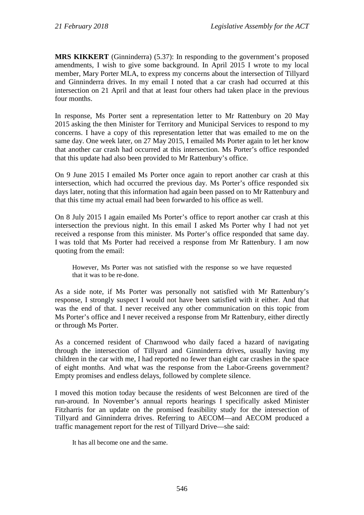**MRS KIKKERT** (Ginninderra) (5.37): In responding to the government's proposed amendments, I wish to give some background. In April 2015 I wrote to my local member, Mary Porter MLA, to express my concerns about the intersection of Tillyard and Ginninderra drives. In my email I noted that a car crash had occurred at this intersection on 21 April and that at least four others had taken place in the previous four months.

In response, Ms Porter sent a representation letter to Mr Rattenbury on 20 May 2015 asking the then Minister for Territory and Municipal Services to respond to my concerns. I have a copy of this representation letter that was emailed to me on the same day. One week later, on 27 May 2015, I emailed Ms Porter again to let her know that another car crash had occurred at this intersection. Ms Porter's office responded that this update had also been provided to Mr Rattenbury's office.

On 9 June 2015 I emailed Ms Porter once again to report another car crash at this intersection, which had occurred the previous day. Ms Porter's office responded six days later, noting that this information had again been passed on to Mr Rattenbury and that this time my actual email had been forwarded to his office as well.

On 8 July 2015 I again emailed Ms Porter's office to report another car crash at this intersection the previous night. In this email I asked Ms Porter why I had not yet received a response from this minister. Ms Porter's office responded that same day. I was told that Ms Porter had received a response from Mr Rattenbury. I am now quoting from the email:

However, Ms Porter was not satisfied with the response so we have requested that it was to be re-done.

As a side note, if Ms Porter was personally not satisfied with Mr Rattenbury's response, I strongly suspect I would not have been satisfied with it either. And that was the end of that. I never received any other communication on this topic from Ms Porter's office and I never received a response from Mr Rattenbury, either directly or through Ms Porter.

As a concerned resident of Charnwood who daily faced a hazard of navigating through the intersection of Tillyard and Ginninderra drives, usually having my children in the car with me, I had reported no fewer than eight car crashes in the space of eight months. And what was the response from the Labor-Greens government? Empty promises and endless delays, followed by complete silence.

I moved this motion today because the residents of west Belconnen are tired of the run-around. In November's annual reports hearings I specifically asked Minister Fitzharris for an update on the promised feasibility study for the intersection of Tillyard and Ginninderra drives. Referring to AECOM—and AECOM produced a traffic management report for the rest of Tillyard Drive—she said:

It has all become one and the same.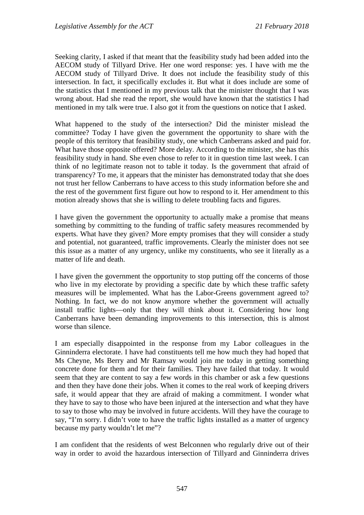Seeking clarity, I asked if that meant that the feasibility study had been added into the AECOM study of Tillyard Drive. Her one word response: yes. I have with me the AECOM study of Tillyard Drive. It does not include the feasibility study of this intersection. In fact, it specifically excludes it. But what it does include are some of the statistics that I mentioned in my previous talk that the minister thought that I was wrong about. Had she read the report, she would have known that the statistics I had mentioned in my talk were true. I also got it from the questions on notice that I asked.

What happened to the study of the intersection? Did the minister mislead the committee? Today I have given the government the opportunity to share with the people of this territory that feasibility study, one which Canberrans asked and paid for. What have those opposite offered? More delay. According to the minister, she has this feasibility study in hand. She even chose to refer to it in question time last week. I can think of no legitimate reason not to table it today. Is the government that afraid of transparency? To me, it appears that the minister has demonstrated today that she does not trust her fellow Canberrans to have access to this study information before she and the rest of the government first figure out how to respond to it. Her amendment to this motion already shows that she is willing to delete troubling facts and figures.

I have given the government the opportunity to actually make a promise that means something by committing to the funding of traffic safety measures recommended by experts. What have they given? More empty promises that they will consider a study and potential, not guaranteed, traffic improvements. Clearly the minister does not see this issue as a matter of any urgency, unlike my constituents, who see it literally as a matter of life and death.

I have given the government the opportunity to stop putting off the concerns of those who live in my electorate by providing a specific date by which these traffic safety measures will be implemented. What has the Labor-Greens government agreed to? Nothing. In fact, we do not know anymore whether the government will actually install traffic lights—only that they will think about it. Considering how long Canberrans have been demanding improvements to this intersection, this is almost worse than silence.

I am especially disappointed in the response from my Labor colleagues in the Ginninderra electorate. I have had constituents tell me how much they had hoped that Ms Cheyne, Ms Berry and Mr Ramsay would join me today in getting something concrete done for them and for their families. They have failed that today. It would seem that they are content to say a few words in this chamber or ask a few questions and then they have done their jobs. When it comes to the real work of keeping drivers safe, it would appear that they are afraid of making a commitment. I wonder what they have to say to those who have been injured at the intersection and what they have to say to those who may be involved in future accidents. Will they have the courage to say, "I'm sorry. I didn't vote to have the traffic lights installed as a matter of urgency because my party wouldn't let me"?

I am confident that the residents of west Belconnen who regularly drive out of their way in order to avoid the hazardous intersection of Tillyard and Ginninderra drives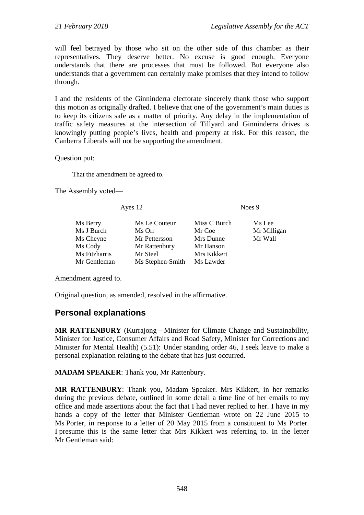will feel betrayed by those who sit on the other side of this chamber as their representatives. They deserve better. No excuse is good enough. Everyone understands that there are processes that must be followed. But everyone also understands that a government can certainly make promises that they intend to follow through.

I and the residents of the Ginninderra electorate sincerely thank those who support this motion as originally drafted. I believe that one of the government's main duties is to keep its citizens safe as a matter of priority. Any delay in the implementation of traffic safety measures at the intersection of Tillyard and Ginninderra drives is knowingly putting people's lives, health and property at risk. For this reason, the Canberra Liberals will not be supporting the amendment.

Question put:

That the amendment be agreed to.

The Assembly voted—

Ayes 12 Noes 9

| Ms Berry      | Ms Le Couteur    | Miss C Burch | Ms Lee      |
|---------------|------------------|--------------|-------------|
| Ms J Burch    | Ms Orr           | Mr Coe       | Mr Milligan |
| Ms Cheyne     | Mr Pettersson    | Mrs Dunne    | Mr Wall     |
| Ms Cody       | Mr Rattenbury    | Mr Hanson    |             |
| Ms Fitzharris | Mr Steel         | Mrs Kikkert  |             |
| Mr Gentleman  | Ms Stephen-Smith | Ms Lawder    |             |

Amendment agreed to.

Original question, as amended, resolved in the affirmative.

# **Personal explanations**

**MR RATTENBURY** (Kurrajong—Minister for Climate Change and Sustainability, Minister for Justice, Consumer Affairs and Road Safety, Minister for Corrections and Minister for Mental Health) (5.51): Under standing order 46, I seek leave to make a personal explanation relating to the debate that has just occurred.

**MADAM SPEAKER**: Thank you, Mr Rattenbury.

**MR RATTENBURY**: Thank you, Madam Speaker. Mrs Kikkert, in her remarks during the previous debate, outlined in some detail a time line of her emails to my office and made assertions about the fact that I had never replied to her. I have in my hands a copy of the letter that Minister Gentleman wrote on 22 June 2015 to Ms Porter, in response to a letter of 20 May 2015 from a constituent to Ms Porter. I presume this is the same letter that Mrs Kikkert was referring to. In the letter Mr Gentleman said: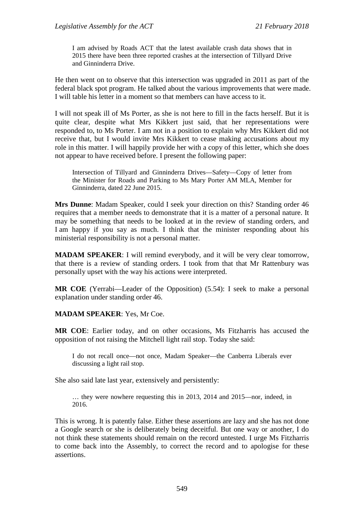I am advised by Roads ACT that the latest available crash data shows that in 2015 there have been three reported crashes at the intersection of Tillyard Drive and Ginninderra Drive.

He then went on to observe that this intersection was upgraded in 2011 as part of the federal black spot program. He talked about the various improvements that were made. I will table his letter in a moment so that members can have access to it.

I will not speak ill of Ms Porter, as she is not here to fill in the facts herself. But it is quite clear, despite what Mrs Kikkert just said, that her representations were responded to, to Ms Porter. I am not in a position to explain why Mrs Kikkert did not receive that, but I would invite Mrs Kikkert to cease making accusations about my role in this matter. I will happily provide her with a copy of this letter, which she does not appear to have received before. I present the following paper:

Intersection of Tillyard and Ginninderra Drives—Safety—Copy of letter from the Minister for Roads and Parking to Ms Mary Porter AM MLA, Member for Ginninderra, dated 22 June 2015.

**Mrs Dunne**: Madam Speaker, could I seek your direction on this? Standing order 46 requires that a member needs to demonstrate that it is a matter of a personal nature. It may be something that needs to be looked at in the review of standing orders, and I am happy if you say as much. I think that the minister responding about his ministerial responsibility is not a personal matter.

**MADAM SPEAKER**: I will remind everybody, and it will be very clear tomorrow, that there is a review of standing orders. I took from that that Mr Rattenbury was personally upset with the way his actions were interpreted.

**MR COE** (Yerrabi—Leader of the Opposition) (5.54): I seek to make a personal explanation under standing order 46.

#### **MADAM SPEAKER**: Yes, Mr Coe.

**MR COE**: Earlier today, and on other occasions, Ms Fitzharris has accused the opposition of not raising the Mitchell light rail stop. Today she said:

I do not recall once—not once, Madam Speaker—the Canberra Liberals ever discussing a light rail stop.

She also said late last year, extensively and persistently:

… they were nowhere requesting this in 2013, 2014 and 2015—nor, indeed, in 2016.

This is wrong. It is patently false. Either these assertions are lazy and she has not done a Google search or she is deliberately being deceitful. But one way or another, I do not think these statements should remain on the record untested. I urge Ms Fitzharris to come back into the Assembly, to correct the record and to apologise for these assertions.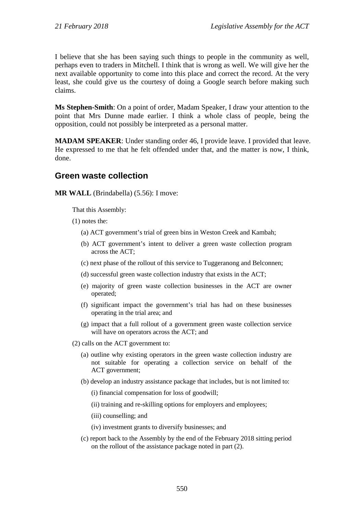I believe that she has been saying such things to people in the community as well, perhaps even to traders in Mitchell. I think that is wrong as well. We will give her the next available opportunity to come into this place and correct the record. At the very least, she could give us the courtesy of doing a Google search before making such claims.

**Ms Stephen-Smith**: On a point of order, Madam Speaker, I draw your attention to the point that Mrs Dunne made earlier. I think a whole class of people, being the opposition, could not possibly be interpreted as a personal matter.

**MADAM SPEAKER**: Under standing order 46, I provide leave. I provided that leave. He expressed to me that he felt offended under that, and the matter is now, I think, done.

## **Green waste collection**

**MR WALL** (Brindabella) (5.56): I move:

That this Assembly:

(1) notes the:

- (a) ACT government's trial of green bins in Weston Creek and Kambah;
- (b) ACT government's intent to deliver a green waste collection program across the ACT;
- (c) next phase of the rollout of this service to Tuggeranong and Belconnen;
- (d) successful green waste collection industry that exists in the ACT;
- (e) majority of green waste collection businesses in the ACT are owner operated;
- (f) significant impact the government's trial has had on these businesses operating in the trial area; and
- (g) impact that a full rollout of a government green waste collection service will have on operators across the ACT; and
- (2) calls on the ACT government to:
	- (a) outline why existing operators in the green waste collection industry are not suitable for operating a collection service on behalf of the ACT government;
	- (b) develop an industry assistance package that includes, but is not limited to:
		- (i) financial compensation for loss of goodwill;
		- (ii) training and re-skilling options for employers and employees;
		- (iii) counselling; and
		- (iv) investment grants to diversify businesses; and
	- (c) report back to the Assembly by the end of the February 2018 sitting period on the rollout of the assistance package noted in part (2).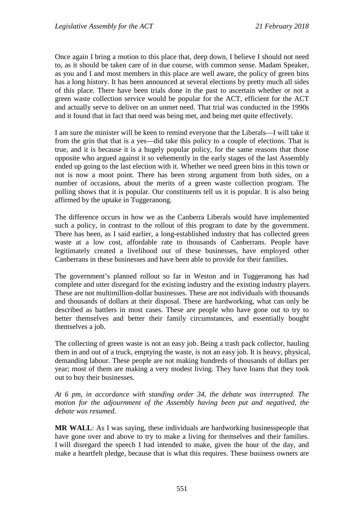Once again I bring a motion to this place that, deep down, I believe I should not need to, as it should be taken care of in due course, with common sense. Madam Speaker, as you and I and most members in this place are well aware, the policy of green bins has a long history. It has been announced at several elections by pretty much all sides of this place. There have been trials done in the past to ascertain whether or not a green waste collection service would be popular for the ACT, efficient for the ACT and actually serve to deliver on an unmet need. That trial was conducted in the 1990s and it found that in fact that need was being met, and being met quite effectively.

I am sure the minister will be keen to remind everyone that the Liberals—I will take it from the grin that that is a yes—did take this policy to a couple of elections. That is true, and it is because it is a hugely popular policy, for the same reasons that those opposite who argued against it so vehemently in the early stages of the last Assembly ended up going to the last election with it. Whether we need green bins in this town or not is now a moot point. There has been strong argument from both sides, on a number of occasions, about the merits of a green waste collection program. The polling shows that it is popular. Our constituents tell us it is popular. It is also being affirmed by the uptake in Tuggeranong.

The difference occurs in how we as the Canberra Liberals would have implemented such a policy, in contrast to the rollout of this program to date by the government. There has been, as I said earlier, a long-established industry that has collected green waste at a low cost, affordable rate to thousands of Canberrans. People have legitimately created a livelihood out of these businesses, have employed other Canberrans in these businesses and have been able to provide for their families.

The government's planned rollout so far in Weston and in Tuggeranong has had complete and utter disregard for the existing industry and the existing industry players. These are not multimillion-dollar businesses. These are not individuals with thousands and thousands of dollars at their disposal. These are hardworking, what can only be described as battlers in most cases. These are people who have gone out to try to better themselves and better their family circumstances, and essentially bought themselves a job.

The collecting of green waste is not an easy job. Being a trash pack collector, hauling them in and out of a truck, emptying the waste, is not an easy job. It is heavy, physical, demanding labour. These people are not making hundreds of thousands of dollars per year; most of them are making a very modest living. They have loans that they took out to buy their businesses.

*At 6 pm, in accordance with standing order 34, the debate was interrupted. The motion for the adjournment of the Assembly having been put and negatived, the debate was resumed.*

**MR WALL**: As I was saying, these individuals are hardworking businesspeople that have gone over and above to try to make a living for themselves and their families. I will disregard the speech I had intended to make, given the hour of the day, and make a heartfelt pledge, because that is what this requires. These business owners are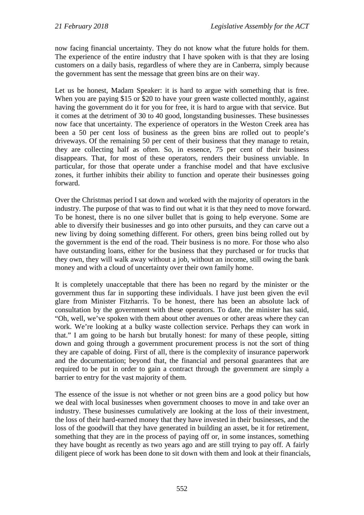now facing financial uncertainty. They do not know what the future holds for them. The experience of the entire industry that I have spoken with is that they are losing customers on a daily basis, regardless of where they are in Canberra, simply because the government has sent the message that green bins are on their way.

Let us be honest, Madam Speaker: it is hard to argue with something that is free. When you are paying \$15 or \$20 to have your green waste collected monthly, against having the government do it for you for free, it is hard to argue with that service. But it comes at the detriment of 30 to 40 good, longstanding businesses. These businesses now face that uncertainty. The experience of operators in the Weston Creek area has been a 50 per cent loss of business as the green bins are rolled out to people's driveways. Of the remaining 50 per cent of their business that they manage to retain, they are collecting half as often. So, in essence, 75 per cent of their business disappears. That, for most of these operators, renders their business unviable. In particular, for those that operate under a franchise model and that have exclusive zones, it further inhibits their ability to function and operate their businesses going forward.

Over the Christmas period I sat down and worked with the majority of operators in the industry. The purpose of that was to find out what it is that they need to move forward. To be honest, there is no one silver bullet that is going to help everyone. Some are able to diversify their businesses and go into other pursuits, and they can carve out a new living by doing something different. For others, green bins being rolled out by the government is the end of the road. Their business is no more. For those who also have outstanding loans, either for the business that they purchased or for trucks that they own, they will walk away without a job, without an income, still owing the bank money and with a cloud of uncertainty over their own family home.

It is completely unacceptable that there has been no regard by the minister or the government thus far in supporting these individuals. I have just been given the evil glare from Minister Fitzharris. To be honest, there has been an absolute lack of consultation by the government with these operators. To date, the minister has said, "Oh, well, we've spoken with them about other avenues or other areas where they can work. We're looking at a bulky waste collection service. Perhaps they can work in that." I am going to be harsh but brutally honest: for many of these people, sitting down and going through a government procurement process is not the sort of thing they are capable of doing. First of all, there is the complexity of insurance paperwork and the documentation; beyond that, the financial and personal guarantees that are required to be put in order to gain a contract through the government are simply a barrier to entry for the vast majority of them.

The essence of the issue is not whether or not green bins are a good policy but how we deal with local businesses when government chooses to move in and take over an industry. These businesses cumulatively are looking at the loss of their investment, the loss of their hard-earned money that they have invested in their businesses, and the loss of the goodwill that they have generated in building an asset, be it for retirement, something that they are in the process of paying off or, in some instances, something they have bought as recently as two years ago and are still trying to pay off. A fairly diligent piece of work has been done to sit down with them and look at their financials,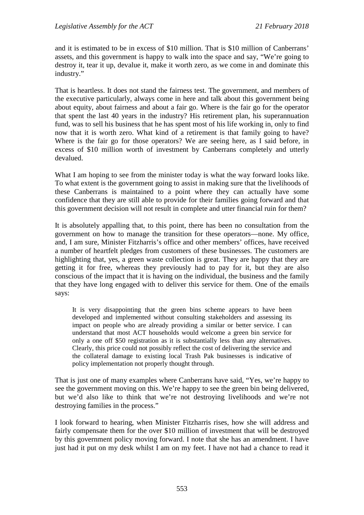and it is estimated to be in excess of \$10 million. That is \$10 million of Canberrans' assets, and this government is happy to walk into the space and say, "We're going to destroy it, tear it up, devalue it, make it worth zero, as we come in and dominate this industry."

That is heartless. It does not stand the fairness test. The government, and members of the executive particularly, always come in here and talk about this government being about equity, about fairness and about a fair go. Where is the fair go for the operator that spent the last 40 years in the industry? His retirement plan, his superannuation fund, was to sell his business that he has spent most of his life working in, only to find now that it is worth zero. What kind of a retirement is that family going to have? Where is the fair go for those operators? We are seeing here, as I said before, in excess of \$10 million worth of investment by Canberrans completely and utterly devalued.

What I am hoping to see from the minister today is what the way forward looks like. To what extent is the government going to assist in making sure that the livelihoods of these Canberrans is maintained to a point where they can actually have some confidence that they are still able to provide for their families going forward and that this government decision will not result in complete and utter financial ruin for them?

It is absolutely appalling that, to this point, there has been no consultation from the government on how to manage the transition for these operators—none. My office, and, I am sure, Minister Fitzharris's office and other members' offices, have received a number of heartfelt pledges from customers of these businesses. The customers are highlighting that, yes, a green waste collection is great. They are happy that they are getting it for free, whereas they previously had to pay for it, but they are also conscious of the impact that it is having on the individual, the business and the family that they have long engaged with to deliver this service for them. One of the emails says:

It is very disappointing that the green bins scheme appears to have been developed and implemented without consulting stakeholders and assessing its impact on people who are already providing a similar or better service. I can understand that most ACT households would welcome a green bin service for only a one off \$50 registration as it is substantially less than any alternatives. Clearly, this price could not possibly reflect the cost of delivering the service and the collateral damage to existing local Trash Pak businesses is indicative of policy implementation not properly thought through.

That is just one of many examples where Canberrans have said, "Yes, we're happy to see the government moving on this. We're happy to see the green bin being delivered, but we'd also like to think that we're not destroying livelihoods and we're not destroying families in the process."

I look forward to hearing, when Minister Fitzharris rises, how she will address and fairly compensate them for the over \$10 million of investment that will be destroyed by this government policy moving forward. I note that she has an amendment. I have just had it put on my desk whilst I am on my feet. I have not had a chance to read it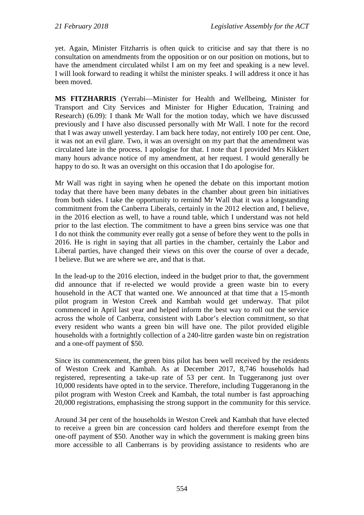yet. Again, Minister Fitzharris is often quick to criticise and say that there is no consultation on amendments from the opposition or on our position on motions, but to have the amendment circulated whilst I am on my feet and speaking is a new level. I will look forward to reading it whilst the minister speaks. I will address it once it has been moved.

**MS FITZHARRIS** (Yerrabi—Minister for Health and Wellbeing, Minister for Transport and City Services and Minister for Higher Education, Training and Research) (6.09): I thank Mr Wall for the motion today, which we have discussed previously and I have also discussed personally with Mr Wall. I note for the record that I was away unwell yesterday. I am back here today, not entirely 100 per cent. One, it was not an evil glare. Two, it was an oversight on my part that the amendment was circulated late in the process. I apologise for that. I note that I provided Mrs Kikkert many hours advance notice of my amendment, at her request. I would generally be happy to do so. It was an oversight on this occasion that I do apologise for.

Mr Wall was right in saying when he opened the debate on this important motion today that there have been many debates in the chamber about green bin initiatives from both sides. I take the opportunity to remind Mr Wall that it was a longstanding commitment from the Canberra Liberals, certainly in the 2012 election and, I believe, in the 2016 election as well, to have a round table, which I understand was not held prior to the last election. The commitment to have a green bins service was one that I do not think the community ever really got a sense of before they went to the polls in 2016. He is right in saying that all parties in the chamber, certainly the Labor and Liberal parties, have changed their views on this over the course of over a decade, I believe. But we are where we are, and that is that.

In the lead-up to the 2016 election, indeed in the budget prior to that, the government did announce that if re-elected we would provide a green waste bin to every household in the ACT that wanted one. We announced at that time that a 15-month pilot program in Weston Creek and Kambah would get underway. That pilot commenced in April last year and helped inform the best way to roll out the service across the whole of Canberra, consistent with Labor's election commitment, so that every resident who wants a green bin will have one. The pilot provided eligible households with a fortnightly collection of a 240-litre garden waste bin on registration and a one-off payment of \$50.

Since its commencement, the green bins pilot has been well received by the residents of Weston Creek and Kambah. As at December 2017, 8,746 households had registered, representing a take-up rate of 53 per cent. In Tuggeranong just over 10,000 residents have opted in to the service. Therefore, including Tuggeranong in the pilot program with Weston Creek and Kambah, the total number is fast approaching 20,000 registrations, emphasising the strong support in the community for this service.

Around 34 per cent of the households in Weston Creek and Kambah that have elected to receive a green bin are concession card holders and therefore exempt from the one-off payment of \$50. Another way in which the government is making green bins more accessible to all Canberrans is by providing assistance to residents who are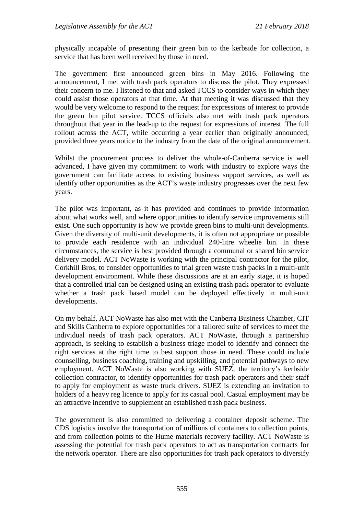physically incapable of presenting their green bin to the kerbside for collection, a service that has been well received by those in need.

The government first announced green bins in May 2016. Following the announcement, I met with trash pack operators to discuss the pilot. They expressed their concern to me. I listened to that and asked TCCS to consider ways in which they could assist those operators at that time. At that meeting it was discussed that they would be very welcome to respond to the request for expressions of interest to provide the green bin pilot service. TCCS officials also met with trash pack operators throughout that year in the lead-up to the request for expressions of interest. The full rollout across the ACT, while occurring a year earlier than originally announced, provided three years notice to the industry from the date of the original announcement.

Whilst the procurement process to deliver the whole-of-Canberra service is well advanced, I have given my commitment to work with industry to explore ways the government can facilitate access to existing business support services, as well as identify other opportunities as the ACT's waste industry progresses over the next few years.

The pilot was important, as it has provided and continues to provide information about what works well, and where opportunities to identify service improvements still exist. One such opportunity is how we provide green bins to multi-unit developments. Given the diversity of multi-unit developments, it is often not appropriate or possible to provide each residence with an individual 240-litre wheelie bin. In these circumstances, the service is best provided through a communal or shared bin service delivery model. ACT NoWaste is working with the principal contractor for the pilot, Corkhill Bros, to consider opportunities to trial green waste trash packs in a multi-unit development environment. While these discussions are at an early stage, it is hoped that a controlled trial can be designed using an existing trash pack operator to evaluate whether a trash pack based model can be deployed effectively in multi-unit developments.

On my behalf, ACT NoWaste has also met with the Canberra Business Chamber, CIT and Skills Canberra to explore opportunities for a tailored suite of services to meet the individual needs of trash pack operators. ACT NoWaste, through a partnership approach, is seeking to establish a business triage model to identify and connect the right services at the right time to best support those in need. These could include counselling, business coaching, training and upskilling, and potential pathways to new employment. ACT NoWaste is also working with SUEZ, the territory's kerbside collection contractor, to identify opportunities for trash pack operators and their staff to apply for employment as waste truck drivers. SUEZ is extending an invitation to holders of a heavy reg licence to apply for its casual pool. Casual employment may be an attractive incentive to supplement an established trash pack business.

The government is also committed to delivering a container deposit scheme. The CDS logistics involve the transportation of millions of containers to collection points, and from collection points to the Hume materials recovery facility. ACT NoWaste is assessing the potential for trash pack operators to act as transportation contracts for the network operator. There are also opportunities for trash pack operators to diversify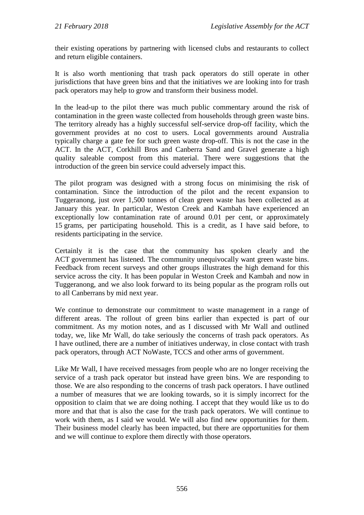their existing operations by partnering with licensed clubs and restaurants to collect and return eligible containers.

It is also worth mentioning that trash pack operators do still operate in other jurisdictions that have green bins and that the initiatives we are looking into for trash pack operators may help to grow and transform their business model.

In the lead-up to the pilot there was much public commentary around the risk of contamination in the green waste collected from households through green waste bins. The territory already has a highly successful self-service drop-off facility, which the government provides at no cost to users. Local governments around Australia typically charge a gate fee for such green waste drop-off. This is not the case in the ACT. In the ACT, Corkhill Bros and Canberra Sand and Gravel generate a high quality saleable compost from this material. There were suggestions that the introduction of the green bin service could adversely impact this.

The pilot program was designed with a strong focus on minimising the risk of contamination. Since the introduction of the pilot and the recent expansion to Tuggeranong, just over 1,500 tonnes of clean green waste has been collected as at January this year. In particular, Weston Creek and Kambah have experienced an exceptionally low contamination rate of around 0.01 per cent, or approximately 15 grams, per participating household. This is a credit, as I have said before, to residents participating in the service.

Certainly it is the case that the community has spoken clearly and the ACT government has listened. The community unequivocally want green waste bins. Feedback from recent surveys and other groups illustrates the high demand for this service across the city. It has been popular in Weston Creek and Kambah and now in Tuggeranong, and we also look forward to its being popular as the program rolls out to all Canberrans by mid next year.

We continue to demonstrate our commitment to waste management in a range of different areas. The rollout of green bins earlier than expected is part of our commitment. As my motion notes, and as I discussed with Mr Wall and outlined today, we, like Mr Wall, do take seriously the concerns of trash pack operators. As I have outlined, there are a number of initiatives underway, in close contact with trash pack operators, through ACT NoWaste, TCCS and other arms of government.

Like Mr Wall, I have received messages from people who are no longer receiving the service of a trash pack operator but instead have green bins. We are responding to those. We are also responding to the concerns of trash pack operators. I have outlined a number of measures that we are looking towards, so it is simply incorrect for the opposition to claim that we are doing nothing. I accept that they would like us to do more and that that is also the case for the trash pack operators. We will continue to work with them, as I said we would. We will also find new opportunities for them. Their business model clearly has been impacted, but there are opportunities for them and we will continue to explore them directly with those operators.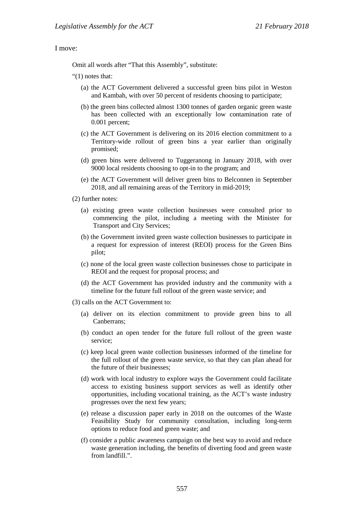#### I move:

Omit all words after "That this Assembly", substitute:

"(1) notes that:

- (a) the ACT Government delivered a successful green bins pilot in Weston and Kambah, with over 50 percent of residents choosing to participate;
- (b) the green bins collected almost 1300 tonnes of garden organic green waste has been collected with an exceptionally low contamination rate of 0.001 percent;
- (c) the ACT Government is delivering on its 2016 election commitment to a Territory-wide rollout of green bins a year earlier than originally promised;
- (d) green bins were delivered to Tuggeranong in January 2018, with over 9000 local residents choosing to opt-in to the program; and
- (e) the ACT Government will deliver green bins to Belconnen in September 2018, and all remaining areas of the Territory in mid-2019;
- (2) further notes:
	- (a) existing green waste collection businesses were consulted prior to commencing the pilot, including a meeting with the Minister for Transport and City Services;
	- (b) the Government invited green waste collection businesses to participate in a request for expression of interest (REOI) process for the Green Bins pilot;
	- (c) none of the local green waste collection businesses chose to participate in REOI and the request for proposal process; and
	- (d) the ACT Government has provided industry and the community with a timeline for the future full rollout of the green waste service; and
- (3) calls on the ACT Government to:
	- (a) deliver on its election commitment to provide green bins to all Canberrans;
	- (b) conduct an open tender for the future full rollout of the green waste service;
	- (c) keep local green waste collection businesses informed of the timeline for the full rollout of the green waste service, so that they can plan ahead for the future of their businesses;
	- (d) work with local industry to explore ways the Government could facilitate access to existing business support services as well as identify other opportunities, including vocational training, as the ACT's waste industry progresses over the next few years;
	- (e) release a discussion paper early in 2018 on the outcomes of the Waste Feasibility Study for community consultation, including long-term options to reduce food and green waste; and
	- (f) consider a public awareness campaign on the best way to avoid and reduce waste generation including, the benefits of diverting food and green waste from landfill.".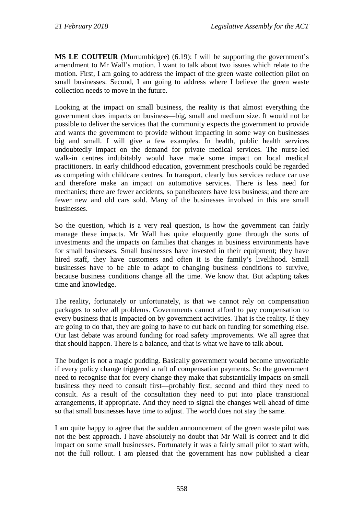**MS LE COUTEUR** (Murrumbidgee) (6.19): I will be supporting the government's amendment to Mr Wall's motion. I want to talk about two issues which relate to the motion. First, I am going to address the impact of the green waste collection pilot on small businesses. Second, I am going to address where I believe the green waste collection needs to move in the future.

Looking at the impact on small business, the reality is that almost everything the government does impacts on business—big, small and medium size. It would not be possible to deliver the services that the community expects the government to provide and wants the government to provide without impacting in some way on businesses big and small. I will give a few examples. In health, public health services undoubtedly impact on the demand for private medical services. The nurse-led walk-in centres indubitably would have made some impact on local medical practitioners. In early childhood education, government preschools could be regarded as competing with childcare centres. In transport, clearly bus services reduce car use and therefore make an impact on automotive services. There is less need for mechanics; there are fewer accidents, so panelbeaters have less business; and there are fewer new and old cars sold. Many of the businesses involved in this are small businesses.

So the question, which is a very real question, is how the government can fairly manage these impacts. Mr Wall has quite eloquently gone through the sorts of investments and the impacts on families that changes in business environments have for small businesses. Small businesses have invested in their equipment; they have hired staff, they have customers and often it is the family's livelihood. Small businesses have to be able to adapt to changing business conditions to survive, because business conditions change all the time. We know that. But adapting takes time and knowledge.

The reality, fortunately or unfortunately, is that we cannot rely on compensation packages to solve all problems. Governments cannot afford to pay compensation to every business that is impacted on by government activities. That is the reality. If they are going to do that, they are going to have to cut back on funding for something else. Our last debate was around funding for road safety improvements. We all agree that that should happen. There is a balance, and that is what we have to talk about.

The budget is not a magic pudding. Basically government would become unworkable if every policy change triggered a raft of compensation payments. So the government need to recognise that for every change they make that substantially impacts on small business they need to consult first—probably first, second and third they need to consult. As a result of the consultation they need to put into place transitional arrangements, if appropriate. And they need to signal the changes well ahead of time so that small businesses have time to adjust. The world does not stay the same.

I am quite happy to agree that the sudden announcement of the green waste pilot was not the best approach. I have absolutely no doubt that Mr Wall is correct and it did impact on some small businesses. Fortunately it was a fairly small pilot to start with, not the full rollout. I am pleased that the government has now published a clear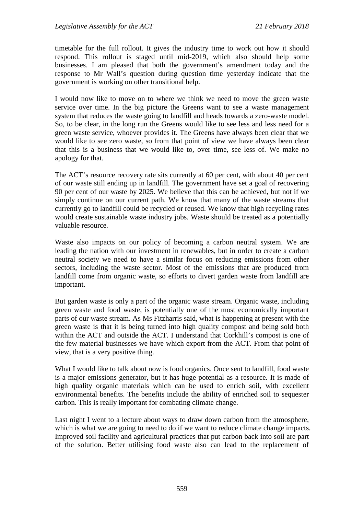timetable for the full rollout. It gives the industry time to work out how it should respond. This rollout is staged until mid-2019, which also should help some businesses. I am pleased that both the government's amendment today and the response to Mr Wall's question during question time yesterday indicate that the government is working on other transitional help.

I would now like to move on to where we think we need to move the green waste service over time. In the big picture the Greens want to see a waste management system that reduces the waste going to landfill and heads towards a zero-waste model. So, to be clear, in the long run the Greens would like to see less and less need for a green waste service, whoever provides it. The Greens have always been clear that we would like to see zero waste, so from that point of view we have always been clear that this is a business that we would like to, over time, see less of. We make no apology for that.

The ACT's resource recovery rate sits currently at 60 per cent, with about 40 per cent of our waste still ending up in landfill. The government have set a goal of recovering 90 per cent of our waste by 2025. We believe that this can be achieved, but not if we simply continue on our current path. We know that many of the waste streams that currently go to landfill could be recycled or reused. We know that high recycling rates would create sustainable waste industry jobs. Waste should be treated as a potentially valuable resource.

Waste also impacts on our policy of becoming a carbon neutral system. We are leading the nation with our investment in renewables, but in order to create a carbon neutral society we need to have a similar focus on reducing emissions from other sectors, including the waste sector. Most of the emissions that are produced from landfill come from organic waste, so efforts to divert garden waste from landfill are important.

But garden waste is only a part of the organic waste stream. Organic waste, including green waste and food waste, is potentially one of the most economically important parts of our waste stream. As Ms Fitzharris said, what is happening at present with the green waste is that it is being turned into high quality compost and being sold both within the ACT and outside the ACT. I understand that Corkhill's compost is one of the few material businesses we have which export from the ACT. From that point of view, that is a very positive thing.

What I would like to talk about now is food organics. Once sent to landfill, food waste is a major emissions generator, but it has huge potential as a resource. It is made of high quality organic materials which can be used to enrich soil, with excellent environmental benefits. The benefits include the ability of enriched soil to sequester carbon. This is really important for combating climate change.

Last night I went to a lecture about ways to draw down carbon from the atmosphere, which is what we are going to need to do if we want to reduce climate change impacts. Improved soil facility and agricultural practices that put carbon back into soil are part of the solution. Better utilising food waste also can lead to the replacement of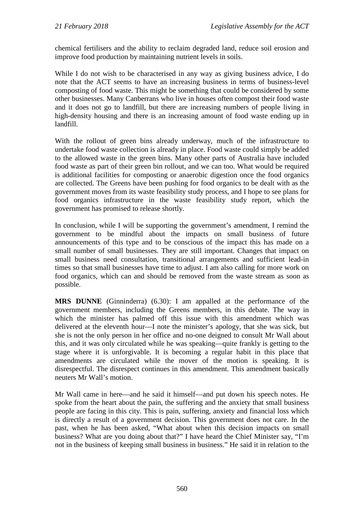chemical fertilisers and the ability to reclaim degraded land, reduce soil erosion and improve food production by maintaining nutrient levels in soils.

While I do not wish to be characterised in any way as giving business advice, I do note that the ACT seems to have an increasing business in terms of business-level composting of food waste. This might be something that could be considered by some other businesses. Many Canberrans who live in houses often compost their food waste and it does not go to landfill, but there are increasing numbers of people living in high-density housing and there is an increasing amount of food waste ending up in landfill.

With the rollout of green bins already underway, much of the infrastructure to undertake food waste collection is already in place. Food waste could simply be added to the allowed waste in the green bins. Many other parts of Australia have included food waste as part of their green bin rollout, and we can too. What would be required is additional facilities for composting or anaerobic digestion once the food organics are collected. The Greens have been pushing for food organics to be dealt with as the government moves from its waste feasibility study process, and I hope to see plans for food organics infrastructure in the waste feasibility study report, which the government has promised to release shortly.

In conclusion, while I will be supporting the government's amendment, I remind the government to be mindful about the impacts on small business of future announcements of this type and to be conscious of the impact this has made on a small number of small businesses. They are still important. Changes that impact on small business need consultation, transitional arrangements and sufficient lead-in times so that small businesses have time to adjust. I am also calling for more work on food organics, which can and should be removed from the waste stream as soon as possible.

**MRS DUNNE** (Ginninderra) (6.30): I am appalled at the performance of the government members, including the Greens members, in this debate. The way in which the minister has palmed off this issue with this amendment which was delivered at the eleventh hour—I note the minister's apology, that she was sick, but she is not the only person in her office and no-one deigned to consult Mr Wall about this, and it was only circulated while he was speaking—quite frankly is getting to the stage where it is unforgivable. It is becoming a regular habit in this place that amendments are circulated while the mover of the motion is speaking. It is disrespectful. The disrespect continues in this amendment. This amendment basically neuters Mr Wall's motion.

Mr Wall came in here—and he said it himself—and put down his speech notes. He spoke from the heart about the pain, the suffering and the anxiety that small business people are facing in this city. This is pain, suffering, anxiety and financial loss which is directly a result of a government decision. This government does not care. In the past, when he has been asked, "What about when this decision impacts on small business? What are you doing about that?" I have heard the Chief Minister say, "I'm not in the business of keeping small business in business." He said it in relation to the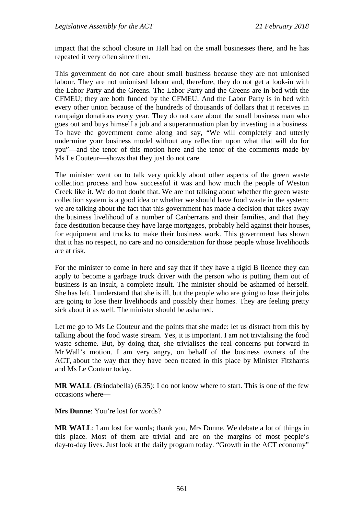impact that the school closure in Hall had on the small businesses there, and he has repeated it very often since then.

This government do not care about small business because they are not unionised labour. They are not unionised labour and, therefore, they do not get a look-in with the Labor Party and the Greens. The Labor Party and the Greens are in bed with the CFMEU; they are both funded by the CFMEU. And the Labor Party is in bed with every other union because of the hundreds of thousands of dollars that it receives in campaign donations every year. They do not care about the small business man who goes out and buys himself a job and a superannuation plan by investing in a business. To have the government come along and say, "We will completely and utterly undermine your business model without any reflection upon what that will do for you"—and the tenor of this motion here and the tenor of the comments made by Ms Le Couteur—shows that they just do not care.

The minister went on to talk very quickly about other aspects of the green waste collection process and how successful it was and how much the people of Weston Creek like it. We do not doubt that. We are not talking about whether the green waste collection system is a good idea or whether we should have food waste in the system; we are talking about the fact that this government has made a decision that takes away the business livelihood of a number of Canberrans and their families, and that they face destitution because they have large mortgages, probably held against their houses, for equipment and trucks to make their business work. This government has shown that it has no respect, no care and no consideration for those people whose livelihoods are at risk.

For the minister to come in here and say that if they have a rigid B licence they can apply to become a garbage truck driver with the person who is putting them out of business is an insult, a complete insult. The minister should be ashamed of herself. She has left. I understand that she is ill, but the people who are going to lose their jobs are going to lose their livelihoods and possibly their homes. They are feeling pretty sick about it as well. The minister should be ashamed.

Let me go to Ms Le Couteur and the points that she made: let us distract from this by talking about the food waste stream. Yes, it is important. I am not trivialising the food waste scheme. But, by doing that, she trivialises the real concerns put forward in Mr Wall's motion. I am very angry, on behalf of the business owners of the ACT, about the way that they have been treated in this place by Minister Fitzharris and Ms Le Couteur today.

**MR WALL** (Brindabella) (6.35): I do not know where to start. This is one of the few occasions where—

**Mrs Dunne**: You're lost for words?

**MR WALL**: I am lost for words; thank you, Mrs Dunne. We debate a lot of things in this place. Most of them are trivial and are on the margins of most people's day-to-day lives. Just look at the daily program today. "Growth in the ACT economy"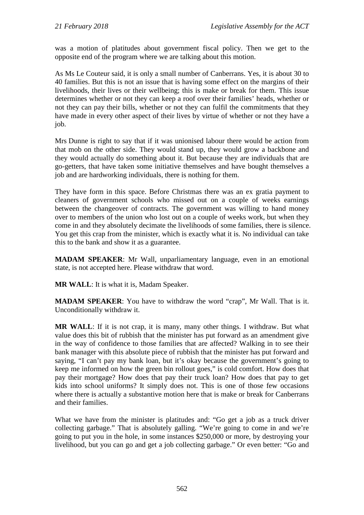was a motion of platitudes about government fiscal policy. Then we get to the opposite end of the program where we are talking about this motion.

As Ms Le Couteur said, it is only a small number of Canberrans. Yes, it is about 30 to 40 families. But this is not an issue that is having some effect on the margins of their livelihoods, their lives or their wellbeing; this is make or break for them. This issue determines whether or not they can keep a roof over their families' heads, whether or not they can pay their bills, whether or not they can fulfil the commitments that they have made in every other aspect of their lives by virtue of whether or not they have a job.

Mrs Dunne is right to say that if it was unionised labour there would be action from that mob on the other side. They would stand up, they would grow a backbone and they would actually do something about it. But because they are individuals that are go-getters, that have taken some initiative themselves and have bought themselves a job and are hardworking individuals, there is nothing for them.

They have form in this space. Before Christmas there was an ex gratia payment to cleaners of government schools who missed out on a couple of weeks earnings between the changeover of contracts. The government was willing to hand money over to members of the union who lost out on a couple of weeks work, but when they come in and they absolutely decimate the livelihoods of some families, there is silence. You get this crap from the minister, which is exactly what it is. No individual can take this to the bank and show it as a guarantee.

**MADAM SPEAKER**: Mr Wall, unparliamentary language, even in an emotional state, is not accepted here. Please withdraw that word.

**MR WALL**: It is what it is, Madam Speaker.

**MADAM SPEAKER**: You have to withdraw the word "crap", Mr Wall. That is it. Unconditionally withdraw it.

**MR WALL**: If it is not crap, it is many, many other things. I withdraw. But what value does this bit of rubbish that the minister has put forward as an amendment give in the way of confidence to those families that are affected? Walking in to see their bank manager with this absolute piece of rubbish that the minister has put forward and saying, "I can't pay my bank loan, but it's okay because the government's going to keep me informed on how the green bin rollout goes," is cold comfort. How does that pay their mortgage? How does that pay their truck loan? How does that pay to get kids into school uniforms? It simply does not. This is one of those few occasions where there is actually a substantive motion here that is make or break for Canberrans and their families.

What we have from the minister is platitudes and: "Go get a job as a truck driver collecting garbage." That is absolutely galling. "We're going to come in and we're going to put you in the hole, in some instances \$250,000 or more, by destroying your livelihood, but you can go and get a job collecting garbage." Or even better: "Go and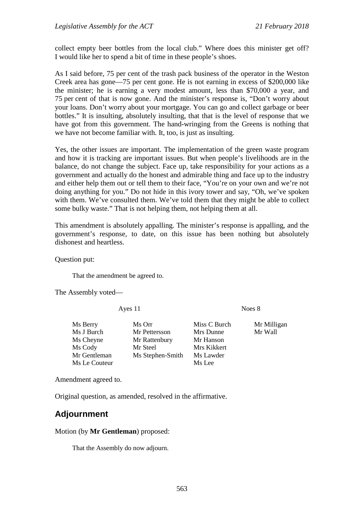collect empty beer bottles from the local club." Where does this minister get off? I would like her to spend a bit of time in these people's shoes.

As I said before, 75 per cent of the trash pack business of the operator in the Weston Creek area has gone—75 per cent gone. He is not earning in excess of \$200,000 like the minister; he is earning a very modest amount, less than \$70,000 a year, and 75 per cent of that is now gone. And the minister's response is, "Don't worry about your loans. Don't worry about your mortgage. You can go and collect garbage or beer bottles." It is insulting, absolutely insulting, that that is the level of response that we have got from this government. The hand-wringing from the Greens is nothing that we have not become familiar with. It, too, is just as insulting.

Yes, the other issues are important. The implementation of the green waste program and how it is tracking are important issues. But when people's livelihoods are in the balance, do not change the subject. Face up, take responsibility for your actions as a government and actually do the honest and admirable thing and face up to the industry and either help them out or tell them to their face, "You're on your own and we're not doing anything for you." Do not hide in this ivory tower and say, "Oh, we've spoken with them. We've consulted them. We've told them that they might be able to collect some bulky waste." That is not helping them, not helping them at all.

This amendment is absolutely appalling. The minister's response is appalling, and the government's response, to date, on this issue has been nothing but absolutely dishonest and heartless.

Question put:

That the amendment be agreed to.

The Assembly voted—

Ayes 11 Noes 8

Ms J Burch Mr Pettersson Mrs Dunne Mr Wall Ms Cheyne Mr Rattenbury Mr Hanson Ms Cody Mr Steel Mrs Kikkert Mr Gentleman Ms Stephen-Smith Ms Lawder Ms Le Couteur Ms Lee

Ms Berry Ms Orr Miss C Burch Mr Milligan

Amendment agreed to.

Original question, as amended, resolved in the affirmative.

# **Adjournment**

Motion (by **Mr Gentleman**) proposed:

That the Assembly do now adjourn.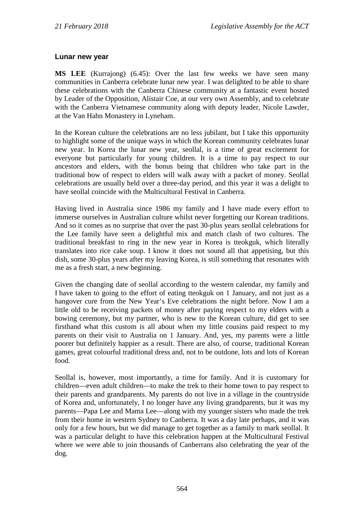### **Lunar new year**

**MS LEE** (Kurrajong) (6.45): Over the last few weeks we have seen many communities in Canberra celebrate lunar new year. I was delighted to be able to share these celebrations with the Canberra Chinese community at a fantastic event hosted by Leader of the Opposition, Alistair Coe, at our very own Assembly, and to celebrate with the Canberra Vietnamese community along with deputy leader, Nicole Lawder, at the Van Hahn Monastery in Lyneham.

In the Korean culture the celebrations are no less jubilant, but I take this opportunity to highlight some of the unique ways in which the Korean community celebrates lunar new year. In Korea the lunar new year, seollal, is a time of great excitement for everyone but particularly for young children. It is a time to pay respect to our ancestors and elders, with the bonus being that children who take part in the traditional bow of respect to elders will walk away with a packet of money. Seollal celebrations are usually held over a three-day period, and this year it was a delight to have seollal coincide with the Multicultural Festival in Canberra.

Having lived in Australia since 1986 my family and I have made every effort to immerse ourselves in Australian culture whilst never forgetting our Korean traditions. And so it comes as no surprise that over the past 30-plus years seollal celebrations for the Lee family have seen a delightful mix and match clash of two cultures. The traditional breakfast to ring in the new year in Korea is tteokguk, which literally translates into rice cake soup. I know it does not sound all that appetising, but this dish, some 30-plus years after my leaving Korea, is still something that resonates with me as a fresh start, a new beginning.

Given the changing date of seollal according to the western calendar, my family and I have taken to going to the effort of eating tteokguk on 1 January, and not just as a hangover cure from the New Year's Eve celebrations the night before. Now I am a little old to be receiving packets of money after paying respect to my elders with a bowing ceremony, but my partner, who is new to the Korean culture, did get to see firsthand what this custom is all about when my little cousins paid respect to my parents on their visit to Australia on 1 January. And, yes, my parents were a little poorer but definitely happier as a result. There are also, of course, traditional Korean games, great colourful traditional dress and, not to be outdone, lots and lots of Korean food.

Seollal is, however, most importantly, a time for family. And it is customary for children—even adult children—to make the trek to their home town to pay respect to their parents and grandparents. My parents do not live in a village in the countryside of Korea and, unfortunately, I no longer have any living grandparents, but it was my parents—Papa Lee and Mama Lee—along with my younger sisters who made the trek from their home in western Sydney to Canberra. It was a day late perhaps, and it was only for a few hours, but we did manage to get together as a family to mark seollal. It was a particular delight to have this celebration happen at the Multicultural Festival where we were able to join thousands of Canberrans also celebrating the year of the dog.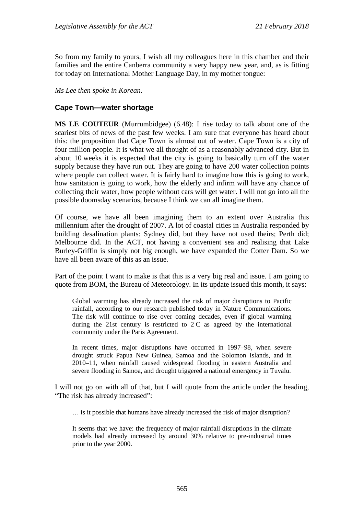So from my family to yours, I wish all my colleagues here in this chamber and their families and the entire Canberra community a very happy new year, and, as is fitting for today on International Mother Language Day, in my mother tongue:

*Ms Lee then spoke in Korean.* 

#### **Cape Town—water shortage**

**MS LE COUTEUR** (Murrumbidgee) (6.48): I rise today to talk about one of the scariest bits of news of the past few weeks. I am sure that everyone has heard about this: the proposition that Cape Town is almost out of water. Cape Town is a city of four million people. It is what we all thought of as a reasonably advanced city. But in about 10 weeks it is expected that the city is going to basically turn off the water supply because they have run out. They are going to have 200 water collection points where people can collect water. It is fairly hard to imagine how this is going to work, how sanitation is going to work, how the elderly and infirm will have any chance of collecting their water, how people without cars will get water. I will not go into all the possible doomsday scenarios, because I think we can all imagine them.

Of course, we have all been imagining them to an extent over Australia this millennium after the drought of 2007. A lot of coastal cities in Australia responded by building desalination plants: Sydney did, but they have not used theirs; Perth did; Melbourne did. In the ACT, not having a convenient sea and realising that Lake Burley-Griffin is simply not big enough, we have expanded the Cotter Dam. So we have all been aware of this as an issue.

Part of the point I want to make is that this is a very big real and issue. I am going to quote from BOM, the Bureau of Meteorology. In its update issued this month, it says:

Global warming has already increased the risk of major disruptions to Pacific rainfall, according to our research published today in Nature Communications. The risk will continue to rise over coming decades, even if global warming during the 21st century is restricted to 2 C as agreed by the international community under the Paris Agreement.

In recent times, major disruptions have occurred in 1997–98, when severe drought struck Papua New Guinea, Samoa and the Solomon Islands, and in 2010–11, when rainfall caused widespread flooding in eastern Australia and severe flooding in Samoa, and drought triggered a national emergency in Tuvalu.

I will not go on with all of that, but I will quote from the article under the heading, "The risk has already increased":

… is it possible that humans have already increased the risk of major disruption?

It seems that we have: the frequency of major rainfall disruptions in the climate models had already increased by around 30% relative to pre-industrial times prior to the year 2000.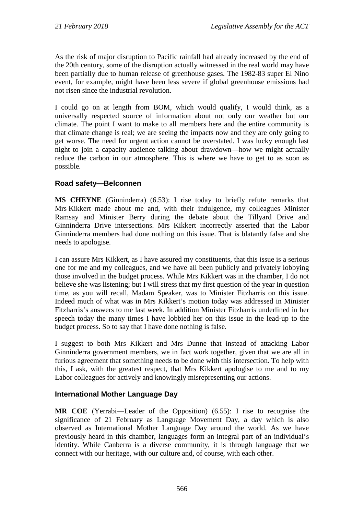As the risk of major disruption to Pacific rainfall had already increased by the end of the 20th century, some of the disruption actually witnessed in the real world may have been partially due to human release of greenhouse gases. The 1982-83 super El Nino event, for example, might have been less severe if global greenhouse emissions had not risen since the industrial revolution.

I could go on at length from BOM, which would qualify, I would think, as a universally respected source of information about not only our weather but our climate. The point I want to make to all members here and the entire community is that climate change is real; we are seeing the impacts now and they are only going to get worse. The need for urgent action cannot be overstated. I was lucky enough last night to join a capacity audience talking about drawdown—how we might actually reduce the carbon in our atmosphere. This is where we have to get to as soon as possible.

# **Road safety—Belconnen**

**MS CHEYNE** (Ginninderra) (6.53): I rise today to briefly refute remarks that Mrs Kikkert made about me and, with their indulgence, my colleagues Minister Ramsay and Minister Berry during the debate about the Tillyard Drive and Ginninderra Drive intersections. Mrs Kikkert incorrectly asserted that the Labor Ginninderra members had done nothing on this issue. That is blatantly false and she needs to apologise.

I can assure Mrs Kikkert, as I have assured my constituents, that this issue is a serious one for me and my colleagues, and we have all been publicly and privately lobbying those involved in the budget process. While Mrs Kikkert was in the chamber, I do not believe she was listening; but I will stress that my first question of the year in question time, as you will recall, Madam Speaker, was to Minister Fitzharris on this issue. Indeed much of what was in Mrs Kikkert's motion today was addressed in Minister Fitzharris's answers to me last week. In addition Minister Fitzharris underlined in her speech today the many times I have lobbied her on this issue in the lead-up to the budget process. So to say that I have done nothing is false.

I suggest to both Mrs Kikkert and Mrs Dunne that instead of attacking Labor Ginninderra government members, we in fact work together, given that we are all in furious agreement that something needs to be done with this intersection. To help with this, I ask, with the greatest respect, that Mrs Kikkert apologise to me and to my Labor colleagues for actively and knowingly misrepresenting our actions.

# **International Mother Language Day**

**MR COE** (Yerrabi—Leader of the Opposition) (6.55): I rise to recognise the significance of 21 February as Language Movement Day, a day which is also observed as International Mother Language Day around the world. As we have previously heard in this chamber, languages form an integral part of an individual's identity. While Canberra is a diverse community, it is through language that we connect with our heritage, with our culture and, of course, with each other.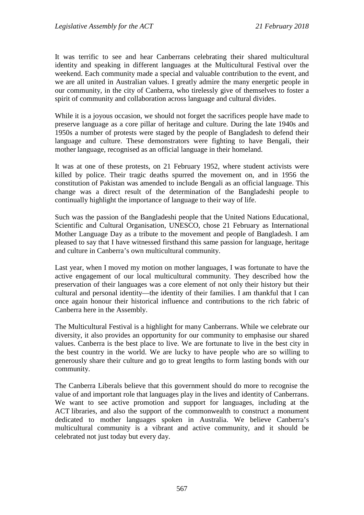It was terrific to see and hear Canberrans celebrating their shared multicultural identity and speaking in different languages at the Multicultural Festival over the weekend. Each community made a special and valuable contribution to the event, and we are all united in Australian values. I greatly admire the many energetic people in our community, in the city of Canberra, who tirelessly give of themselves to foster a spirit of community and collaboration across language and cultural divides.

While it is a joyous occasion, we should not forget the sacrifices people have made to preserve language as a core pillar of heritage and culture. During the late 1940s and 1950s a number of protests were staged by the people of Bangladesh to defend their language and culture. These demonstrators were fighting to have Bengali, their mother language, recognised as an official language in their homeland.

It was at one of these protests, on 21 February 1952, where student activists were killed by police. Their tragic deaths spurred the movement on, and in 1956 the constitution of Pakistan was amended to include Bengali as an official language. This change was a direct result of the determination of the Bangladeshi people to continually highlight the importance of language to their way of life.

Such was the passion of the Bangladeshi people that the United Nations Educational, Scientific and Cultural Organisation, UNESCO, chose 21 February as International Mother Language Day as a tribute to the movement and people of Bangladesh. I am pleased to say that I have witnessed firsthand this same passion for language, heritage and culture in Canberra's own multicultural community.

Last year, when I moved my motion on mother languages, I was fortunate to have the active engagement of our local multicultural community. They described how the preservation of their languages was a core element of not only their history but their cultural and personal identity—the identity of their families. I am thankful that I can once again honour their historical influence and contributions to the rich fabric of Canberra here in the Assembly.

The Multicultural Festival is a highlight for many Canberrans. While we celebrate our diversity, it also provides an opportunity for our community to emphasise our shared values. Canberra is the best place to live. We are fortunate to live in the best city in the best country in the world. We are lucky to have people who are so willing to generously share their culture and go to great lengths to form lasting bonds with our community.

The Canberra Liberals believe that this government should do more to recognise the value of and important role that languages play in the lives and identity of Canberrans. We want to see active promotion and support for languages, including at the ACT libraries, and also the support of the commonwealth to construct a monument dedicated to mother languages spoken in Australia. We believe Canberra's multicultural community is a vibrant and active community, and it should be celebrated not just today but every day.